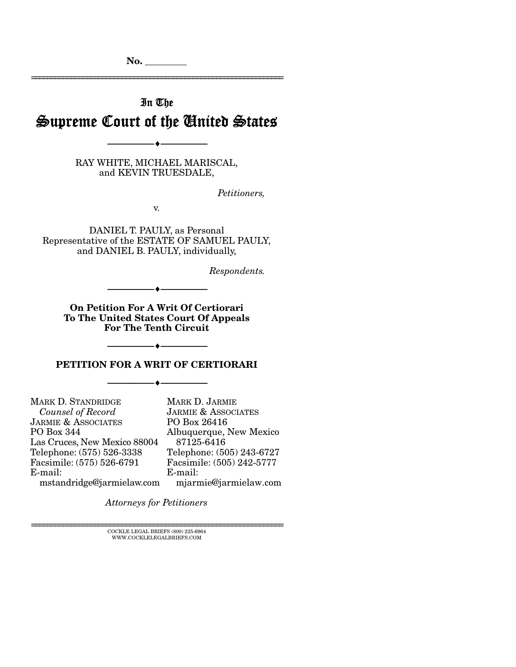No.

================================================================

# In The Supreme Court of the United States

--------------------------------- --------------------------------- RAY WHITE, MICHAEL MARISCAL,

and KEVIN TRUESDALE,

*Petitioners,* 

v.

DANIEL T. PAULY, as Personal Representative of the ESTATE OF SAMUEL PAULY, and DANIEL B. PAULY, individually,

*Respondents.* 

On Petition For A Writ Of Certiorari To The United States Court Of Appeals For The Tenth Circuit

 $-$  +  $-$ 

--------------------------------- ---------------------------------

### PETITION FOR A WRIT OF CERTIORARI

--------------------------------- ---------------------------------

MARK D. STANDRIDGE  *Counsel of Record*  JARMIE & ASSOCIATES PO Box 344 Las Cruces, New Mexico 88004 Telephone: (575) 526-3338 Facsimile: (575) 526-6791 E-mail: mstandridge@jarmielaw.com MARK D. JARMIE PO Box 26416 87125-6416 E-mail:

JARMIE & ASSOCIATES Albuquerque, New Mexico Telephone: (505) 243-6727 Facsimile: (505) 242-5777 mjarmie@jarmielaw.com

*Attorneys for Petitioners*

 ${\rm COCKLE}$ LEGAL BRIEFS (800) 225-6964 WWW.COCKLELEGALBRIEFS.COM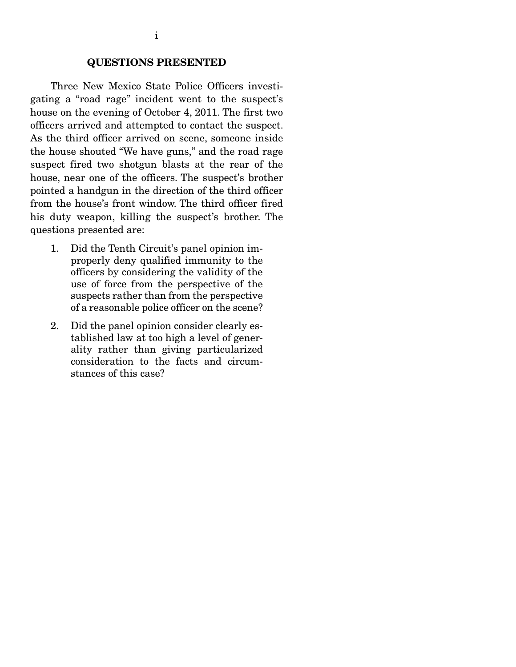#### QUESTIONS PRESENTED

 Three New Mexico State Police Officers investigating a "road rage" incident went to the suspect's house on the evening of October 4, 2011. The first two officers arrived and attempted to contact the suspect. As the third officer arrived on scene, someone inside the house shouted "We have guns," and the road rage suspect fired two shotgun blasts at the rear of the house, near one of the officers. The suspect's brother pointed a handgun in the direction of the third officer from the house's front window. The third officer fired his duty weapon, killing the suspect's brother. The questions presented are:

- 1. Did the Tenth Circuit's panel opinion improperly deny qualified immunity to the officers by considering the validity of the use of force from the perspective of the suspects rather than from the perspective of a reasonable police officer on the scene?
- 2. Did the panel opinion consider clearly established law at too high a level of generality rather than giving particularized consideration to the facts and circumstances of this case?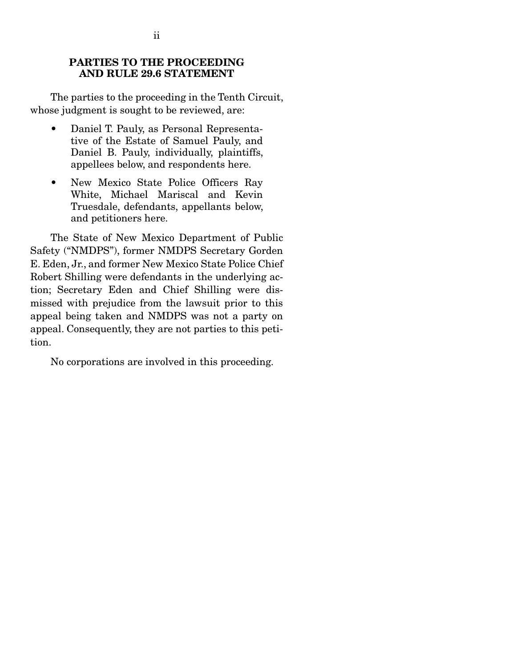### PARTIES TO THE PROCEEDING AND RULE 29.6 STATEMENT

 The parties to the proceeding in the Tenth Circuit, whose judgment is sought to be reviewed, are:

- Daniel T. Pauly, as Personal Representative of the Estate of Samuel Pauly, and Daniel B. Pauly, individually, plaintiffs, appellees below, and respondents here.
- New Mexico State Police Officers Ray White, Michael Mariscal and Kevin Truesdale, defendants, appellants below, and petitioners here.

 The State of New Mexico Department of Public Safety ("NMDPS"), former NMDPS Secretary Gorden E. Eden, Jr., and former New Mexico State Police Chief Robert Shilling were defendants in the underlying action; Secretary Eden and Chief Shilling were dismissed with prejudice from the lawsuit prior to this appeal being taken and NMDPS was not a party on appeal. Consequently, they are not parties to this petition.

No corporations are involved in this proceeding.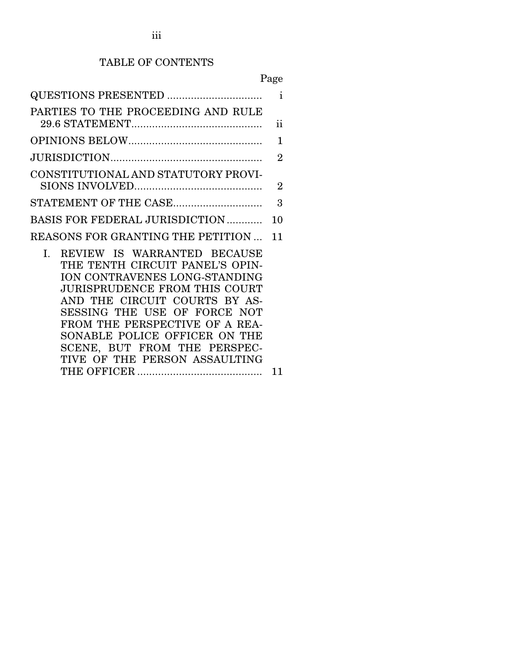## TABLE OF CONTENTS

# Page

| QUESTIONS PRESENTED                 | $\mathbf{i}$   |
|-------------------------------------|----------------|
| PARTIES TO THE PROCEEDING AND RULE  |                |
|                                     | ii             |
|                                     | 1              |
|                                     | $\overline{2}$ |
| CONSTITUTIONAL AND STATUTORY PROVI- |                |
|                                     | $\overline{2}$ |
| STATEMENT OF THE CASE               | 3              |
| BASIS FOR FEDERAL JURISDICTION      | 10             |
| REASONS FOR GRANTING THE PETITION   | 11             |
| REVIEW IS WARRANTED BECAUSE<br>Ι.   |                |
| THE TENTH CIRCUIT PANEL'S OPIN-     |                |
| ION CONTRAVENES LONG-STANDING       |                |
| JURISPRUDENCE FROM THIS COURT       |                |
| AND THE CIRCUIT COURTS BY AS-       |                |
| SESSING THE USE OF FORCE NOT        |                |
| FROM THE PERSPECTIVE OF A REA-      |                |
| SONABLE POLICE OFFICER ON THE       |                |
| SCENE, BUT FROM THE PERSPEC-        |                |
| TIVE OF THE PERSON ASSAULTING       |                |
|                                     | 11             |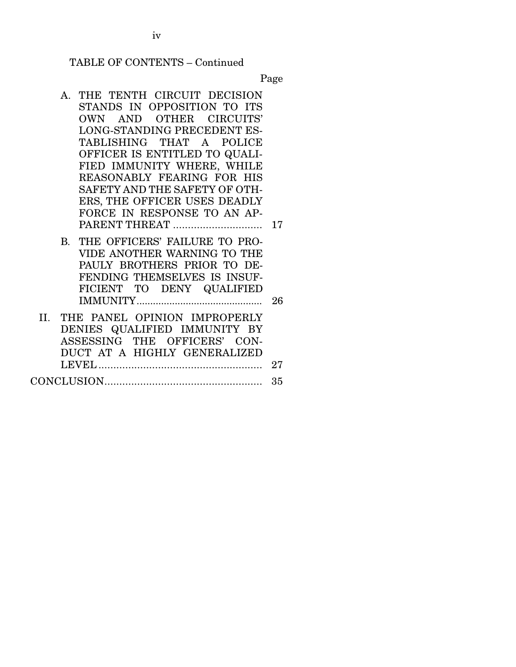TABLE OF CONTENTS – Continued

Page

- A. THE TENTH CIRCUIT DECISION STANDS IN OPPOSITION TO ITS OWN AND OTHER CIRCUITS' LONG-STANDING PRECEDENT ES-TABLISHING THAT A POLICE OFFICER IS ENTITLED TO QUALI-FIED IMMUNITY WHERE, WHILE REASONABLY FEARING FOR HIS SAFETY AND THE SAFETY OF OTH-ERS, THE OFFICER USES DEADLY FORCE IN RESPONSE TO AN AP-PARENT THREAT .............................. 17 B. THE OFFICERS' FAILURE TO PRO-VIDE ANOTHER WARNING TO THE PAULY BROTHERS PRIOR TO DE-FENDING THEMSELVES IS INSUF-FICIENT TO DENY QUALIFIED IMMUNITY .............................................. 26
- II. THE PANEL OPINION IMPROPERLY DENIES QUALIFIED IMMUNITY BY ASSESSING THE OFFICERS' CON-DUCT AT A HIGHLY GENERALIZED LEVEL ....................................................... 27
- CONCLUSION ..................................................... 35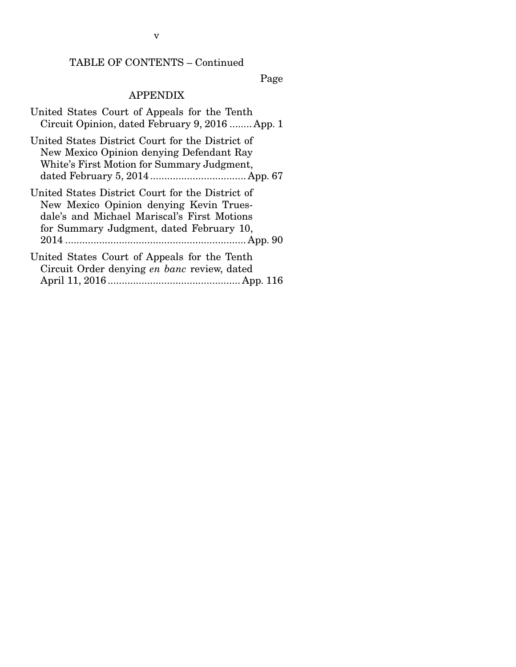TABLE OF CONTENTS – Continued

Page

## APPENDIX

| United States Court of Appeals for the Tenth<br>Circuit Opinion, dated February 9, 2016  App. 1                                                                                        |
|----------------------------------------------------------------------------------------------------------------------------------------------------------------------------------------|
| United States District Court for the District of<br>New Mexico Opinion denying Defendant Ray<br>White's First Motion for Summary Judgment,                                             |
| United States District Court for the District of<br>New Mexico Opinion denying Kevin Trues-<br>dale's and Michael Mariscal's First Motions<br>for Summary Judgment, dated February 10, |
| United States Court of Appeals for the Tenth<br>Circuit Order denying en banc review, dated                                                                                            |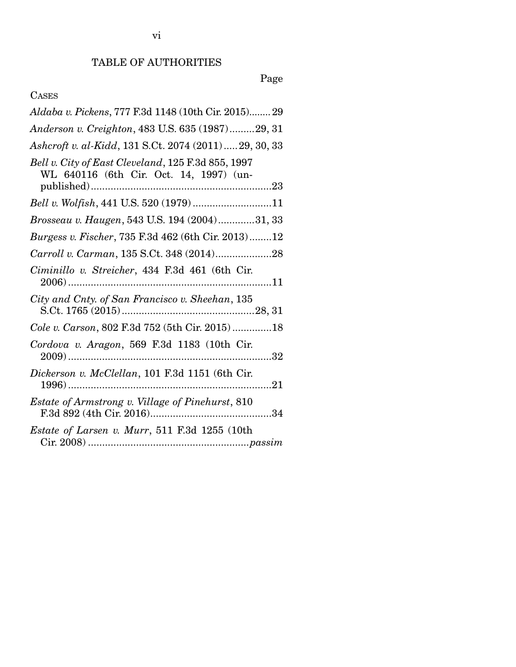# Page

### CASES

| Aldaba v. Pickens, 777 F.3d 1148 (10th Cir. 2015) 29                                          |
|-----------------------------------------------------------------------------------------------|
| Anderson v. Creighton, 483 U.S. 635 (1987)29, 31                                              |
| Ashcroft v. al-Kidd, 131 S.Ct. 2074 (2011) 29, 30, 33                                         |
| Bell v. City of East Cleveland, 125 F.3d 855, 1997<br>WL 640116 (6th Cir. Oct. 14, 1997) (un- |
|                                                                                               |
| Brosseau v. Haugen, 543 U.S. 194 (2004)31, 33                                                 |
| Burgess v. Fischer, 735 F.3d 462 (6th Cir. 2013)12                                            |
| Carroll v. Carman, 135 S.Ct. 348 (2014)28                                                     |
| Ciminillo v. Streicher, 434 F.3d 461 (6th Cir.<br>$2006)$                                     |
| City and Cnty. of San Francisco v. Sheehan, 135                                               |
| Cole v. Carson, 802 F.3d 752 (5th Cir. 2015)18                                                |
| Cordova v. Aragon, 569 F.3d 1183 (10th Cir.                                                   |
| Dickerson v. McClellan, 101 F.3d 1151 (6th Cir.                                               |
| Estate of Armstrong v. Village of Pinehurst, 810                                              |
| <i>Estate of Larsen v. Murr</i> , 511 F.3d 1255 (10th                                         |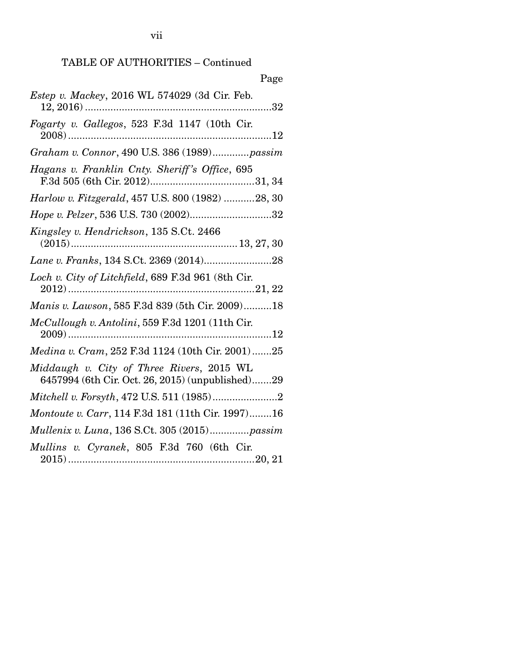| Page                                                                                          |
|-----------------------------------------------------------------------------------------------|
| Estep v. Mackey, 2016 WL 574029 (3d Cir. Feb.                                                 |
| Fogarty v. Gallegos, 523 F.3d 1147 (10th Cir.                                                 |
| Graham v. Connor, 490 U.S. 386 (1989)passim                                                   |
| Hagans v. Franklin Cnty. Sheriff's Office, 695                                                |
| Harlow v. Fitzgerald, 457 U.S. 800 (1982) 28, 30                                              |
| Hope v. Pelzer, 536 U.S. 730 (2002)32                                                         |
| Kingsley v. Hendrickson, 135 S.Ct. 2466                                                       |
|                                                                                               |
| Loch v. City of Litchfield, 689 F.3d 961 (8th Cir.                                            |
| Manis v. Lawson, 585 F.3d 839 (5th Cir. 2009)18                                               |
| McCullough v. Antolini, 559 F.3d 1201 (11th Cir.                                              |
| Medina v. Cram, 252 F.3d 1124 (10th Cir. 2001)25                                              |
| Middaugh v. City of Three Rivers, 2015 WL<br>6457994 (6th Cir. Oct. 26, 2015) (unpublished)29 |
|                                                                                               |
| Montoute v. Carr, 114 F.3d 181 (11th Cir. 1997)16                                             |
| Mullenix v. Luna, 136 S.Ct. 305 (2015)passim                                                  |
| Mullins v. Cyranek, 805 F.3d 760 (6th Cir.                                                    |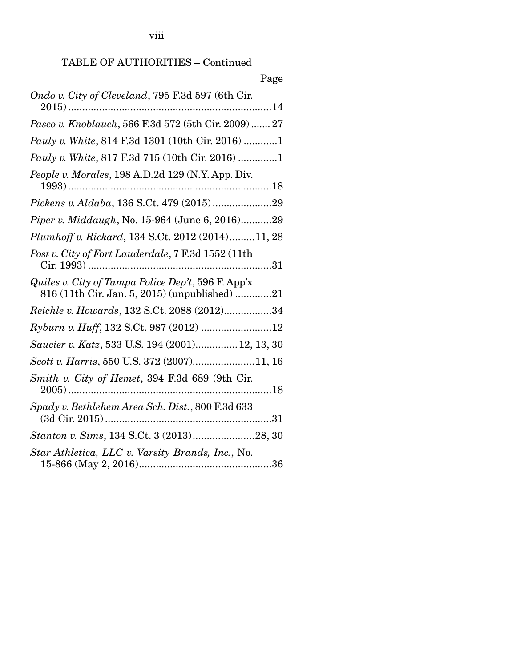viii

## TABLE OF AUTHORITIES – Continued

Page

| Ondo v. City of Cleveland, 795 F.3d 597 (6th Cir.                                                   |
|-----------------------------------------------------------------------------------------------------|
| Pasco v. Knoblauch, 566 F.3d 572 (5th Cir. 2009)  27                                                |
| Pauly v. White, 814 F.3d 1301 (10th Cir. 2016) 1                                                    |
| Pauly v. White, 817 F.3d 715 (10th Cir. 2016) 1                                                     |
| People v. Morales, 198 A.D.2d 129 (N.Y. App. Div.                                                   |
| Pickens v. Aldaba, 136 S.Ct. 479 (2015)29                                                           |
| <i>Piper v. Middaugh, No.</i> 15-964 (June 6, 2016)29                                               |
| Plumhoff v. Rickard, 134 S.Ct. 2012 (2014)11, 28                                                    |
| Post v. City of Fort Lauderdale, 7 F.3d 1552 (11th                                                  |
| Quiles v. City of Tampa Police Dep't, 596 F. App'x<br>816 (11th Cir. Jan. 5, 2015) (unpublished) 21 |
| Reichle v. Howards, 132 S.Ct. 2088 (2012)34                                                         |
| Ryburn v. Huff, 132 S.Ct. 987 (2012) 12                                                             |
| Saucier v. Katz, 533 U.S. 194 (2001) 12, 13, 30                                                     |
| Scott v. Harris, 550 U.S. 372 (2007)11, 16                                                          |
| Smith v. City of Hemet, 394 F.3d 689 (9th Cir.                                                      |
| Spady v. Bethlehem Area Sch. Dist., 800 F.3d 633                                                    |
| Stanton v. Sims, 134 S.Ct. 3 (2013)28, 30                                                           |
| Star Athletica, LLC v. Varsity Brands, Inc., No.                                                    |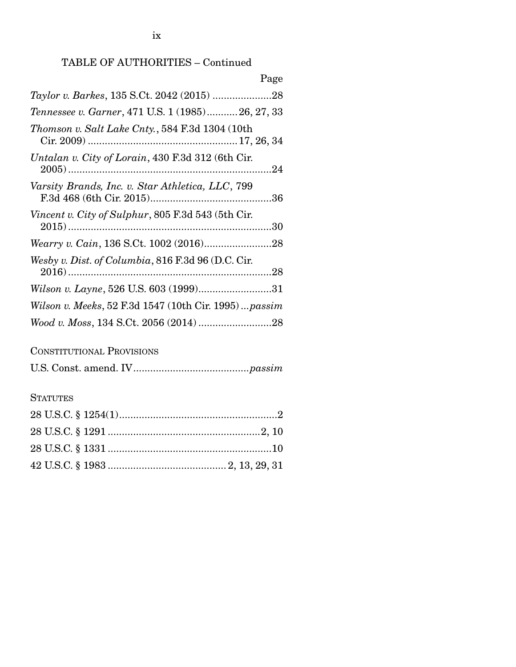### TABLE OF AUTHORITIES – Continued

| Page                                                 |
|------------------------------------------------------|
|                                                      |
| Tennessee v. Garner, 471 U.S. 1 (1985) 26, 27, 33    |
| Thomson v. Salt Lake Cnty., 584 F.3d 1304 (10th      |
| Untalan v. City of Lorain, 430 F.3d 312 (6th Cir.    |
| Varsity Brands, Inc. v. Star Athletica, LLC, 799     |
| Vincent v. City of Sulphur, 805 F.3d 543 (5th Cir.   |
|                                                      |
| Wesby v. Dist. of Columbia, 816 F.3d 96 (D.C. Cir.   |
| Wilson v. Layne, 526 U.S. 603 (1999)31               |
| Wilson v. Meeks, 52 F.3d 1547 (10th Cir. 1995)passim |
|                                                      |

### CONSTITUTIONAL PROVISIONS

|--|--|--|--|

## **STATUTES**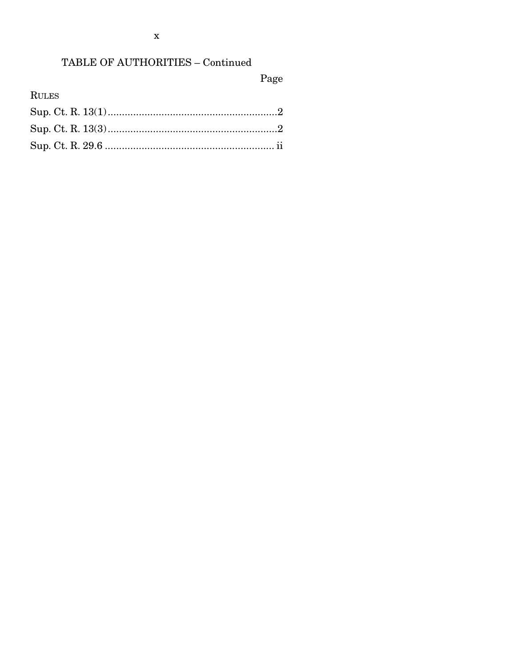# TABLE OF AUTHORITIES - Continued

# Page

RULES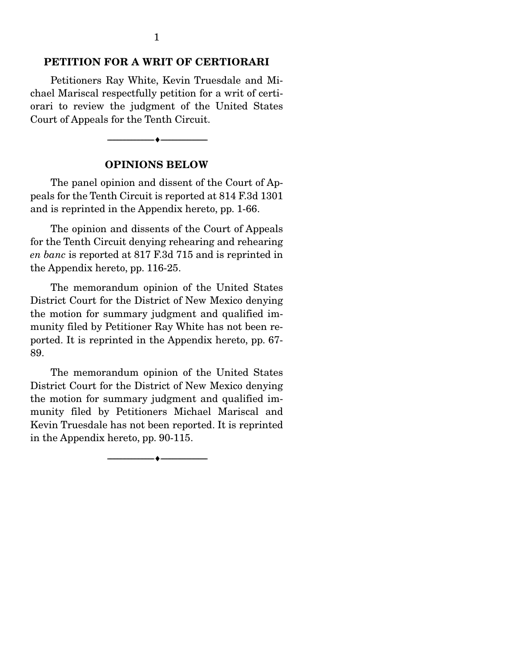### PETITION FOR A WRIT OF CERTIORARI

 Petitioners Ray White, Kevin Truesdale and Michael Mariscal respectfully petition for a writ of certiorari to review the judgment of the United States Court of Appeals for the Tenth Circuit.

#### OPINIONS BELOW

--------------------------------- ---------------------------------

 The panel opinion and dissent of the Court of Appeals for the Tenth Circuit is reported at 814 F.3d 1301 and is reprinted in the Appendix hereto, pp. 1-66.

 The opinion and dissents of the Court of Appeals for the Tenth Circuit denying rehearing and rehearing *en banc* is reported at 817 F.3d 715 and is reprinted in the Appendix hereto, pp. 116-25.

 The memorandum opinion of the United States District Court for the District of New Mexico denying the motion for summary judgment and qualified immunity filed by Petitioner Ray White has not been reported. It is reprinted in the Appendix hereto, pp. 67- 89.

 The memorandum opinion of the United States District Court for the District of New Mexico denying the motion for summary judgment and qualified immunity filed by Petitioners Michael Mariscal and Kevin Truesdale has not been reported. It is reprinted in the Appendix hereto, pp. 90-115.

--------------------------------- ---------------------------------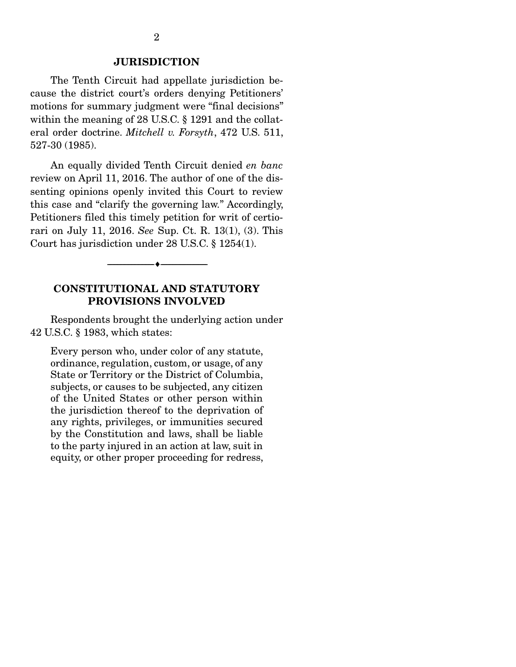### JURISDICTION

 The Tenth Circuit had appellate jurisdiction because the district court's orders denying Petitioners' motions for summary judgment were "final decisions" within the meaning of 28 U.S.C. § 1291 and the collateral order doctrine. *Mitchell v. Forsyth*, 472 U.S. 511, 527-30 (1985).

 An equally divided Tenth Circuit denied *en banc* review on April 11, 2016. The author of one of the dissenting opinions openly invited this Court to review this case and "clarify the governing law." Accordingly, Petitioners filed this timely petition for writ of certiorari on July 11, 2016. *See* Sup. Ct. R. 13(1), (3). This Court has jurisdiction under 28 U.S.C. § 1254(1).

### CONSTITUTIONAL AND STATUTORY PROVISIONS INVOLVED

--------------------------------- ---------------------------------

 Respondents brought the underlying action under 42 U.S.C. § 1983, which states:

Every person who, under color of any statute, ordinance, regulation, custom, or usage, of any State or Territory or the District of Columbia, subjects, or causes to be subjected, any citizen of the United States or other person within the jurisdiction thereof to the deprivation of any rights, privileges, or immunities secured by the Constitution and laws, shall be liable to the party injured in an action at law, suit in equity, or other proper proceeding for redress,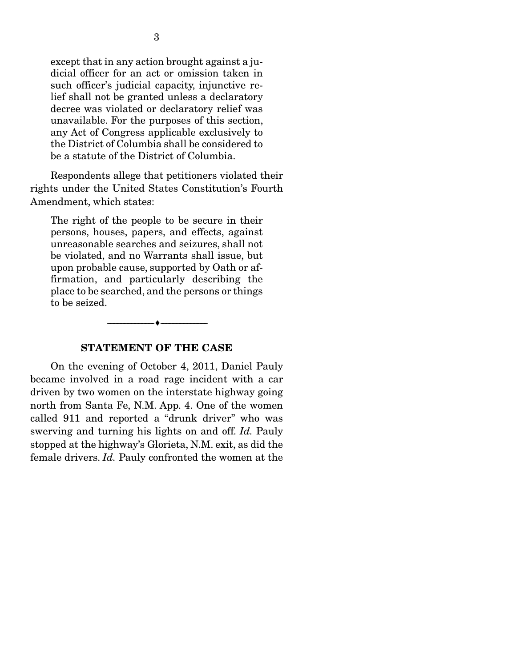except that in any action brought against a judicial officer for an act or omission taken in such officer's judicial capacity, injunctive relief shall not be granted unless a declaratory decree was violated or declaratory relief was unavailable. For the purposes of this section, any Act of Congress applicable exclusively to the District of Columbia shall be considered to be a statute of the District of Columbia.

 Respondents allege that petitioners violated their rights under the United States Constitution's Fourth Amendment, which states:

The right of the people to be secure in their persons, houses, papers, and effects, against unreasonable searches and seizures, shall not be violated, and no Warrants shall issue, but upon probable cause, supported by Oath or affirmation, and particularly describing the place to be searched, and the persons or things to be seized.

#### STATEMENT OF THE CASE

--------------------------------- ---------------------------------

 On the evening of October 4, 2011, Daniel Pauly became involved in a road rage incident with a car driven by two women on the interstate highway going north from Santa Fe, N.M. App. 4. One of the women called 911 and reported a "drunk driver" who was swerving and turning his lights on and off. *Id.* Pauly stopped at the highway's Glorieta, N.M. exit, as did the female drivers. *Id.* Pauly confronted the women at the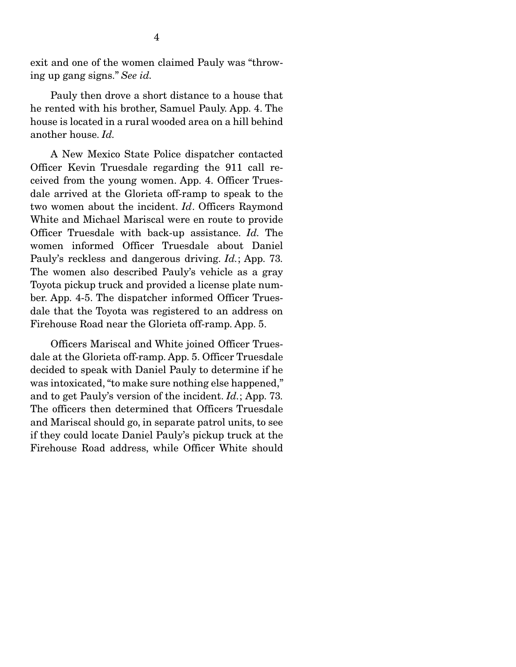exit and one of the women claimed Pauly was "throwing up gang signs." *See id.* 

 Pauly then drove a short distance to a house that he rented with his brother, Samuel Pauly. App. 4. The house is located in a rural wooded area on a hill behind another house. *Id.* 

 A New Mexico State Police dispatcher contacted Officer Kevin Truesdale regarding the 911 call received from the young women. App. 4. Officer Truesdale arrived at the Glorieta off-ramp to speak to the two women about the incident. *Id*. Officers Raymond White and Michael Mariscal were en route to provide Officer Truesdale with back-up assistance. *Id.* The women informed Officer Truesdale about Daniel Pauly's reckless and dangerous driving. *Id.*; App. 73*.*  The women also described Pauly's vehicle as a gray Toyota pickup truck and provided a license plate number. App. 4-5. The dispatcher informed Officer Truesdale that the Toyota was registered to an address on Firehouse Road near the Glorieta off-ramp. App. 5.

 Officers Mariscal and White joined Officer Truesdale at the Glorieta off-ramp. App. 5. Officer Truesdale decided to speak with Daniel Pauly to determine if he was intoxicated, "to make sure nothing else happened," and to get Pauly's version of the incident. *Id.*; App. 73*.*  The officers then determined that Officers Truesdale and Mariscal should go, in separate patrol units, to see if they could locate Daniel Pauly's pickup truck at the Firehouse Road address, while Officer White should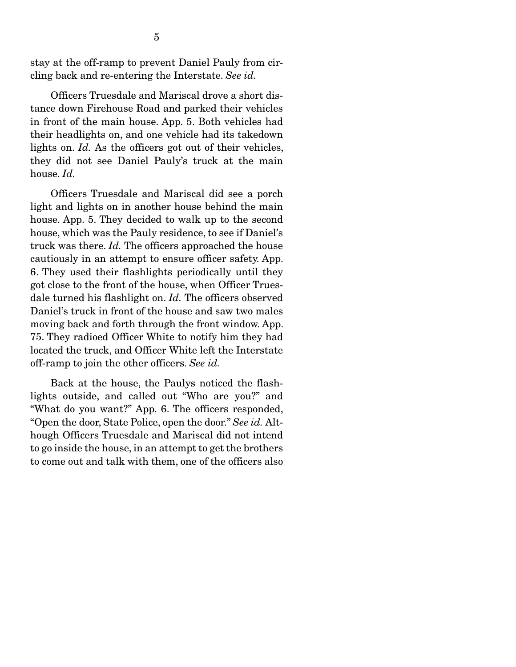stay at the off-ramp to prevent Daniel Pauly from circling back and re-entering the Interstate. *See id.*

 Officers Truesdale and Mariscal drove a short distance down Firehouse Road and parked their vehicles in front of the main house. App. 5. Both vehicles had their headlights on, and one vehicle had its takedown lights on. *Id.* As the officers got out of their vehicles, they did not see Daniel Pauly's truck at the main house. *Id.*

 Officers Truesdale and Mariscal did see a porch light and lights on in another house behind the main house. App. 5. They decided to walk up to the second house, which was the Pauly residence, to see if Daniel's truck was there. *Id.* The officers approached the house cautiously in an attempt to ensure officer safety. App. 6. They used their flashlights periodically until they got close to the front of the house, when Officer Truesdale turned his flashlight on. *Id.* The officers observed Daniel's truck in front of the house and saw two males moving back and forth through the front window. App. 75. They radioed Officer White to notify him they had located the truck, and Officer White left the Interstate off-ramp to join the other officers. *See id.*

 Back at the house, the Paulys noticed the flashlights outside, and called out "Who are you?" and "What do you want?" App. 6. The officers responded, "Open the door, State Police, open the door." *See id.* Although Officers Truesdale and Mariscal did not intend to go inside the house, in an attempt to get the brothers to come out and talk with them, one of the officers also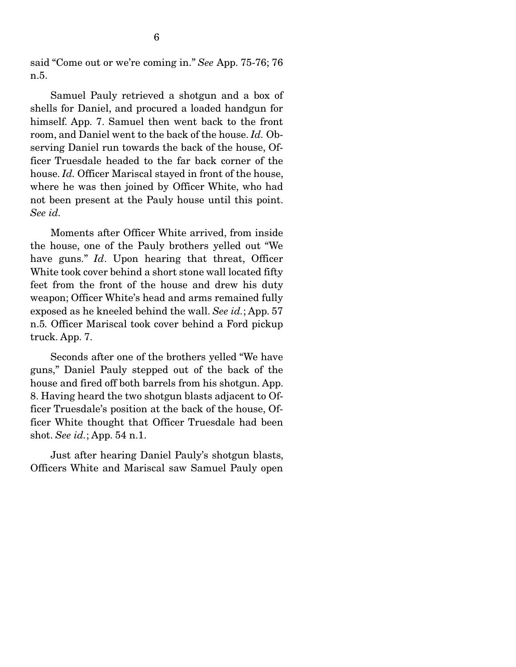said "Come out or we're coming in." *See* App. 75-76; 76 n.5.

 Samuel Pauly retrieved a shotgun and a box of shells for Daniel, and procured a loaded handgun for himself. App. 7. Samuel then went back to the front room, and Daniel went to the back of the house. *Id.* Observing Daniel run towards the back of the house, Officer Truesdale headed to the far back corner of the house. *Id.* Officer Mariscal stayed in front of the house, where he was then joined by Officer White, who had not been present at the Pauly house until this point. *See id.*

 Moments after Officer White arrived, from inside the house, one of the Pauly brothers yelled out "We have guns." *Id*. Upon hearing that threat, Officer White took cover behind a short stone wall located fifty feet from the front of the house and drew his duty weapon; Officer White's head and arms remained fully exposed as he kneeled behind the wall. *See id.*; App. 57 n.5*.* Officer Mariscal took cover behind a Ford pickup truck. App. 7.

 Seconds after one of the brothers yelled "We have guns," Daniel Pauly stepped out of the back of the house and fired off both barrels from his shotgun. App. 8. Having heard the two shotgun blasts adjacent to Officer Truesdale's position at the back of the house, Officer White thought that Officer Truesdale had been shot. *See id.*; App. 54 n.1.

 Just after hearing Daniel Pauly's shotgun blasts, Officers White and Mariscal saw Samuel Pauly open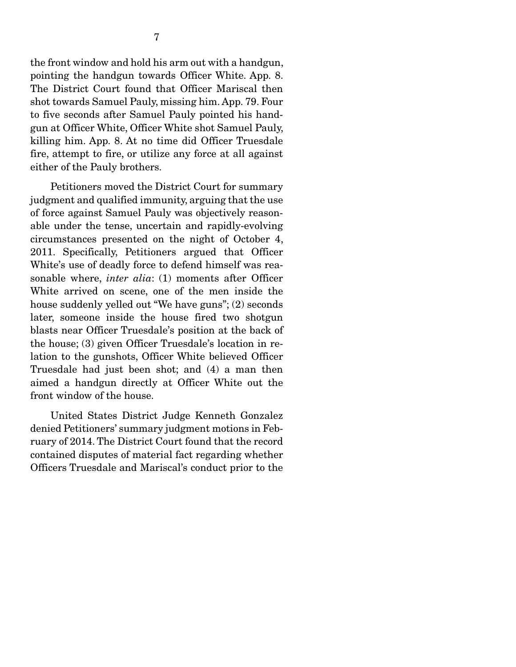the front window and hold his arm out with a handgun, pointing the handgun towards Officer White. App. 8. The District Court found that Officer Mariscal then shot towards Samuel Pauly, missing him. App. 79. Four to five seconds after Samuel Pauly pointed his handgun at Officer White, Officer White shot Samuel Pauly, killing him. App. 8. At no time did Officer Truesdale fire, attempt to fire, or utilize any force at all against either of the Pauly brothers.

 Petitioners moved the District Court for summary judgment and qualified immunity, arguing that the use of force against Samuel Pauly was objectively reasonable under the tense, uncertain and rapidly-evolving circumstances presented on the night of October 4, 2011. Specifically, Petitioners argued that Officer White's use of deadly force to defend himself was reasonable where, *inter alia*: (1) moments after Officer White arrived on scene, one of the men inside the house suddenly yelled out "We have guns"; (2) seconds later, someone inside the house fired two shotgun blasts near Officer Truesdale's position at the back of the house; (3) given Officer Truesdale's location in relation to the gunshots, Officer White believed Officer Truesdale had just been shot; and (4) a man then aimed a handgun directly at Officer White out the front window of the house.

 United States District Judge Kenneth Gonzalez denied Petitioners' summary judgment motions in February of 2014. The District Court found that the record contained disputes of material fact regarding whether Officers Truesdale and Mariscal's conduct prior to the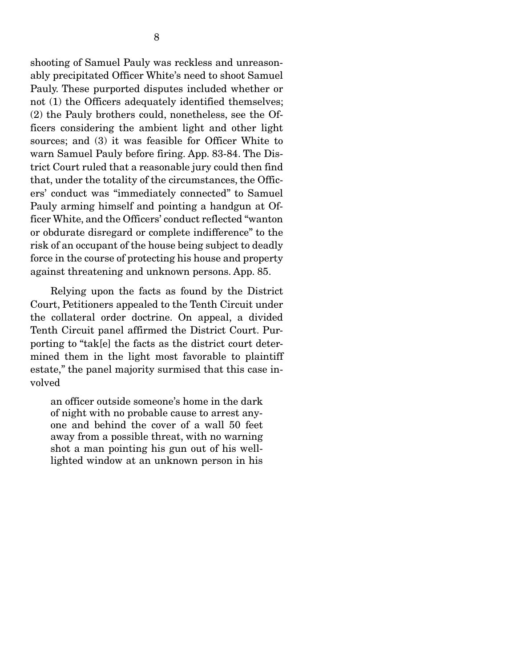shooting of Samuel Pauly was reckless and unreasonably precipitated Officer White's need to shoot Samuel Pauly. These purported disputes included whether or not (1) the Officers adequately identified themselves; (2) the Pauly brothers could, nonetheless, see the Officers considering the ambient light and other light sources; and (3) it was feasible for Officer White to warn Samuel Pauly before firing. App. 83-84. The District Court ruled that a reasonable jury could then find that, under the totality of the circumstances, the Officers' conduct was "immediately connected" to Samuel Pauly arming himself and pointing a handgun at Officer White, and the Officers' conduct reflected "wanton or obdurate disregard or complete indifference" to the risk of an occupant of the house being subject to deadly force in the course of protecting his house and property against threatening and unknown persons. App. 85.

 Relying upon the facts as found by the District Court, Petitioners appealed to the Tenth Circuit under the collateral order doctrine. On appeal, a divided Tenth Circuit panel affirmed the District Court. Purporting to "tak[e] the facts as the district court determined them in the light most favorable to plaintiff estate," the panel majority surmised that this case involved

an officer outside someone's home in the dark of night with no probable cause to arrest anyone and behind the cover of a wall 50 feet away from a possible threat, with no warning shot a man pointing his gun out of his welllighted window at an unknown person in his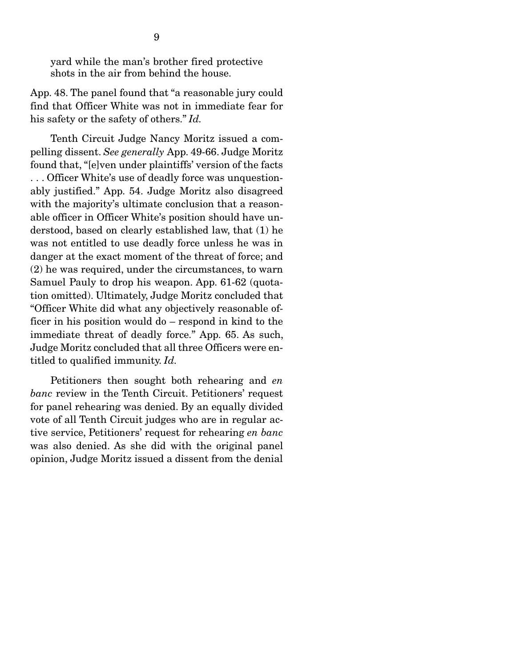yard while the man's brother fired protective shots in the air from behind the house.

App. 48. The panel found that "a reasonable jury could find that Officer White was not in immediate fear for his safety or the safety of others." *Id.*

 Tenth Circuit Judge Nancy Moritz issued a compelling dissent. *See generally* App. 49-66. Judge Moritz found that, "[e]ven under plaintiffs' version of the facts . . . Officer White's use of deadly force was unquestionably justified." App. 54. Judge Moritz also disagreed with the majority's ultimate conclusion that a reasonable officer in Officer White's position should have understood, based on clearly established law, that (1) he was not entitled to use deadly force unless he was in danger at the exact moment of the threat of force; and (2) he was required, under the circumstances, to warn Samuel Pauly to drop his weapon. App. 61-62 (quotation omitted). Ultimately, Judge Moritz concluded that "Officer White did what any objectively reasonable officer in his position would do – respond in kind to the immediate threat of deadly force." App. 65. As such, Judge Moritz concluded that all three Officers were entitled to qualified immunity. *Id.*

 Petitioners then sought both rehearing and *en banc* review in the Tenth Circuit. Petitioners' request for panel rehearing was denied. By an equally divided vote of all Tenth Circuit judges who are in regular active service, Petitioners' request for rehearing *en banc* was also denied. As she did with the original panel opinion, Judge Moritz issued a dissent from the denial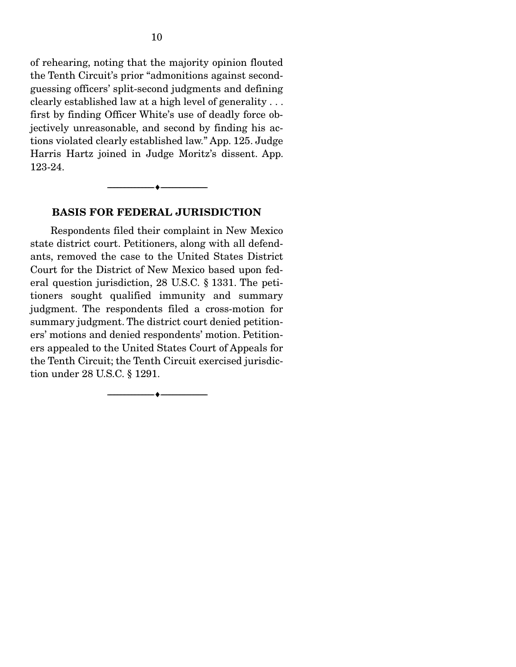of rehearing, noting that the majority opinion flouted the Tenth Circuit's prior "admonitions against secondguessing officers' split-second judgments and defining clearly established law at a high level of generality . . . first by finding Officer White's use of deadly force objectively unreasonable, and second by finding his actions violated clearly established law." App. 125. Judge Harris Hartz joined in Judge Moritz's dissent. App. 123-24.

#### BASIS FOR FEDERAL JURISDICTION

--------------------------------- ---------------------------------

 Respondents filed their complaint in New Mexico state district court. Petitioners, along with all defendants, removed the case to the United States District Court for the District of New Mexico based upon federal question jurisdiction, 28 U.S.C. § 1331. The petitioners sought qualified immunity and summary judgment. The respondents filed a cross-motion for summary judgment. The district court denied petitioners' motions and denied respondents' motion. Petitioners appealed to the United States Court of Appeals for the Tenth Circuit; the Tenth Circuit exercised jurisdiction under 28 U.S.C. § 1291.

--------------------------------- ---------------------------------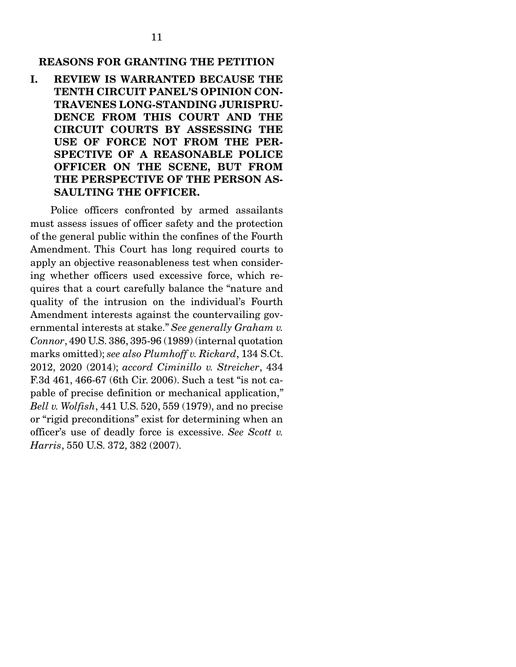### REASONS FOR GRANTING THE PETITION

I. REVIEW IS WARRANTED BECAUSE THE TENTH CIRCUIT PANEL'S OPINION CON-TRAVENES LONG-STANDING JURISPRU-DENCE FROM THIS COURT AND THE CIRCUIT COURTS BY ASSESSING THE USE OF FORCE NOT FROM THE PER-SPECTIVE OF A REASONABLE POLICE OFFICER ON THE SCENE, BUT FROM THE PERSPECTIVE OF THE PERSON AS-SAULTING THE OFFICER.

 Police officers confronted by armed assailants must assess issues of officer safety and the protection of the general public within the confines of the Fourth Amendment. This Court has long required courts to apply an objective reasonableness test when considering whether officers used excessive force, which requires that a court carefully balance the "nature and quality of the intrusion on the individual's Fourth Amendment interests against the countervailing governmental interests at stake." *See generally Graham v. Connor*, 490 U.S. 386, 395-96 (1989) (internal quotation marks omitted); *see also Plumhoff v. Rickard*, 134 S.Ct. 2012, 2020 (2014); *accord Ciminillo v. Streicher*, 434 F.3d 461, 466-67 (6th Cir. 2006). Such a test "is not capable of precise definition or mechanical application," *Bell v. Wolfish*, 441 U.S. 520, 559 (1979), and no precise or "rigid preconditions" exist for determining when an officer's use of deadly force is excessive. *See Scott v. Harris*, 550 U.S. 372, 382 (2007).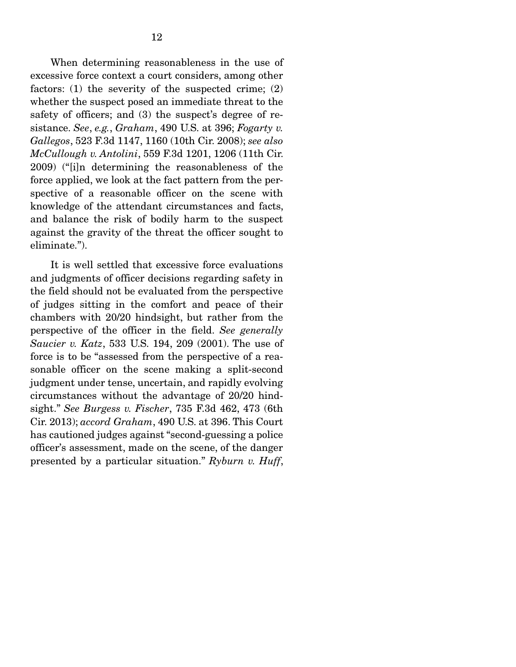When determining reasonableness in the use of excessive force context a court considers, among other factors: (1) the severity of the suspected crime; (2) whether the suspect posed an immediate threat to the safety of officers; and (3) the suspect's degree of resistance. *See*, *e.g.*, *Graham*, 490 U.S. at 396; *Fogarty v. Gallegos*, 523 F.3d 1147, 1160 (10th Cir. 2008); *see also McCullough v. Antolini*, 559 F.3d 1201, 1206 (11th Cir. 2009) ("[i]n determining the reasonableness of the force applied, we look at the fact pattern from the perspective of a reasonable officer on the scene with knowledge of the attendant circumstances and facts, and balance the risk of bodily harm to the suspect against the gravity of the threat the officer sought to eliminate.").

 It is well settled that excessive force evaluations and judgments of officer decisions regarding safety in the field should not be evaluated from the perspective of judges sitting in the comfort and peace of their chambers with 20/20 hindsight, but rather from the perspective of the officer in the field. *See generally Saucier v. Katz*, 533 U.S. 194, 209 (2001). The use of force is to be "assessed from the perspective of a reasonable officer on the scene making a split-second judgment under tense, uncertain, and rapidly evolving circumstances without the advantage of 20/20 hindsight." *See Burgess v. Fischer*, 735 F.3d 462, 473 (6th Cir. 2013); *accord Graham*, 490 U.S. at 396. This Court has cautioned judges against "second-guessing a police officer's assessment, made on the scene, of the danger presented by a particular situation." *Ryburn v. Huff*,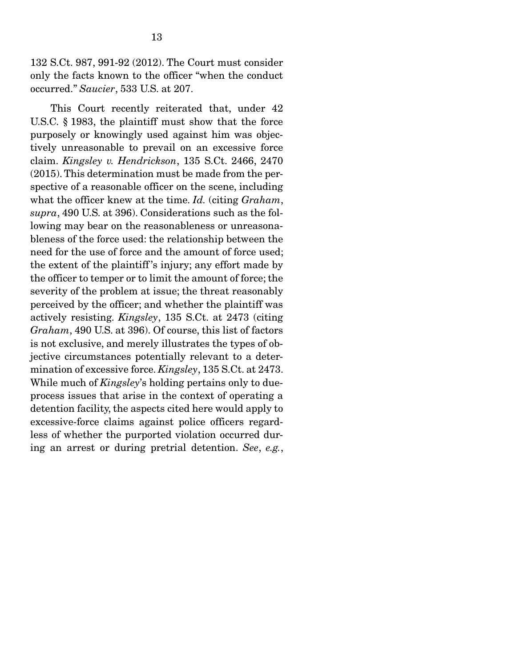132 S.Ct. 987, 991-92 (2012). The Court must consider only the facts known to the officer "when the conduct occurred." *Saucier*, 533 U.S. at 207.

 This Court recently reiterated that, under 42 U.S.C. § 1983, the plaintiff must show that the force purposely or knowingly used against him was objectively unreasonable to prevail on an excessive force claim. *Kingsley v. Hendrickson*, 135 S.Ct. 2466, 2470 (2015). This determination must be made from the perspective of a reasonable officer on the scene, including what the officer knew at the time. *Id.* (citing *Graham*, *supra*, 490 U.S. at 396). Considerations such as the following may bear on the reasonableness or unreasonableness of the force used: the relationship between the need for the use of force and the amount of force used; the extent of the plaintiff 's injury; any effort made by the officer to temper or to limit the amount of force; the severity of the problem at issue; the threat reasonably perceived by the officer; and whether the plaintiff was actively resisting. *Kingsley*, 135 S.Ct. at 2473 (citing *Graham*, 490 U.S. at 396). Of course, this list of factors is not exclusive, and merely illustrates the types of objective circumstances potentially relevant to a determination of excessive force. *Kingsley*, 135 S.Ct. at 2473. While much of *Kingsley*'s holding pertains only to dueprocess issues that arise in the context of operating a detention facility, the aspects cited here would apply to excessive-force claims against police officers regardless of whether the purported violation occurred during an arrest or during pretrial detention. *See*, *e.g.*,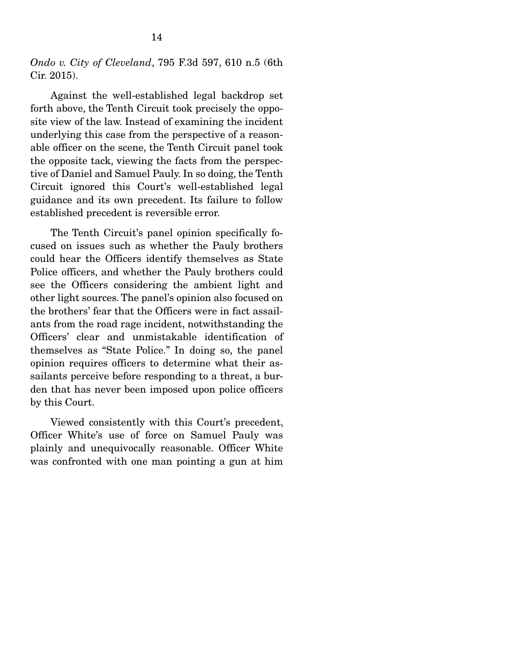*Ondo v. City of Cleveland*, 795 F.3d 597, 610 n.5 (6th Cir. 2015).

 Against the well-established legal backdrop set forth above, the Tenth Circuit took precisely the opposite view of the law. Instead of examining the incident underlying this case from the perspective of a reasonable officer on the scene, the Tenth Circuit panel took the opposite tack, viewing the facts from the perspective of Daniel and Samuel Pauly. In so doing, the Tenth Circuit ignored this Court's well-established legal guidance and its own precedent. Its failure to follow established precedent is reversible error.

 The Tenth Circuit's panel opinion specifically focused on issues such as whether the Pauly brothers could hear the Officers identify themselves as State Police officers, and whether the Pauly brothers could see the Officers considering the ambient light and other light sources. The panel's opinion also focused on the brothers' fear that the Officers were in fact assailants from the road rage incident, notwithstanding the Officers' clear and unmistakable identification of themselves as "State Police." In doing so, the panel opinion requires officers to determine what their assailants perceive before responding to a threat, a burden that has never been imposed upon police officers by this Court.

 Viewed consistently with this Court's precedent, Officer White's use of force on Samuel Pauly was plainly and unequivocally reasonable. Officer White was confronted with one man pointing a gun at him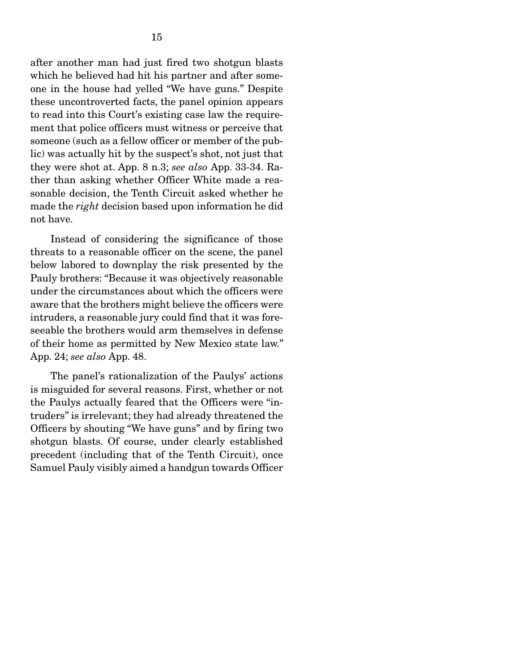after another man had just fired two shotgun blasts which he believed had hit his partner and after someone in the house had yelled "We have guns." Despite these uncontroverted facts, the panel opinion appears to read into this Court's existing case law the requirement that police officers must witness or perceive that someone (such as a fellow officer or member of the public) was actually hit by the suspect's shot, not just that they were shot at. App. 8 n.3; *see also* App. 33-34. Rather than asking whether Officer White made a reasonable decision, the Tenth Circuit asked whether he made the *right* decision based upon information he did not have.

 Instead of considering the significance of those threats to a reasonable officer on the scene, the panel below labored to downplay the risk presented by the Pauly brothers: "Because it was objectively reasonable under the circumstances about which the officers were aware that the brothers might believe the officers were intruders, a reasonable jury could find that it was foreseeable the brothers would arm themselves in defense of their home as permitted by New Mexico state law." App. 24; *see also* App. 48.

 The panel's rationalization of the Paulys' actions is misguided for several reasons. First, whether or not the Paulys actually feared that the Officers were "intruders" is irrelevant; they had already threatened the Officers by shouting "We have guns" and by firing two shotgun blasts. Of course, under clearly established precedent (including that of the Tenth Circuit), once Samuel Pauly visibly aimed a handgun towards Officer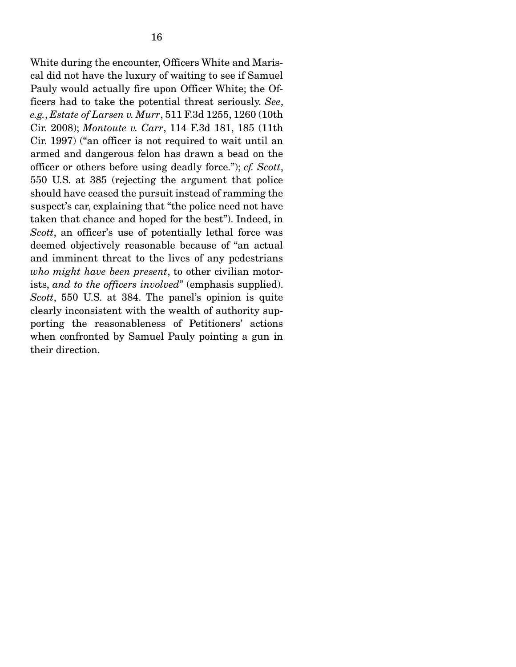White during the encounter, Officers White and Mariscal did not have the luxury of waiting to see if Samuel Pauly would actually fire upon Officer White; the Officers had to take the potential threat seriously. *See*, *e.g.*, *Estate of Larsen v. Murr*, 511 F.3d 1255, 1260 (10th Cir. 2008); *Montoute v. Carr*, 114 F.3d 181, 185 (11th Cir. 1997) ("an officer is not required to wait until an armed and dangerous felon has drawn a bead on the officer or others before using deadly force."); *cf. Scott*, 550 U.S. at 385 (rejecting the argument that police should have ceased the pursuit instead of ramming the suspect's car, explaining that "the police need not have taken that chance and hoped for the best"). Indeed, in *Scott*, an officer's use of potentially lethal force was deemed objectively reasonable because of "an actual and imminent threat to the lives of any pedestrians *who might have been present*, to other civilian motorists, *and to the officers involved*" (emphasis supplied). *Scott*, 550 U.S. at 384. The panel's opinion is quite clearly inconsistent with the wealth of authority supporting the reasonableness of Petitioners' actions when confronted by Samuel Pauly pointing a gun in their direction.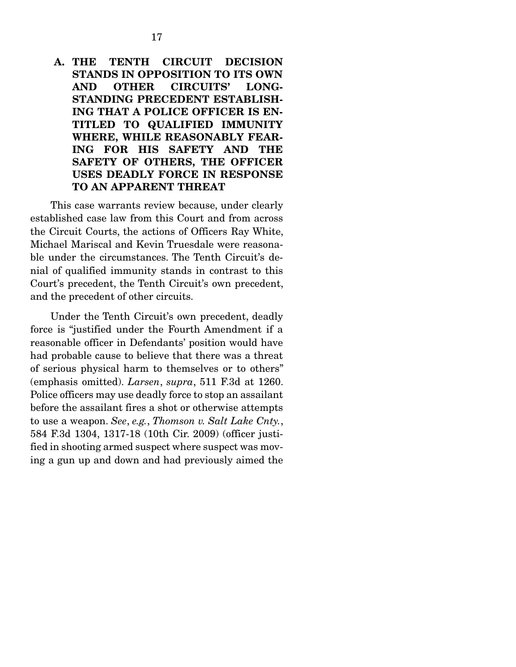### A. THE TENTH CIRCUIT DECISION STANDS IN OPPOSITION TO ITS OWN AND OTHER CIRCUITS' LONG-STANDING PRECEDENT ESTABLISH-ING THAT A POLICE OFFICER IS EN-TITLED TO QUALIFIED IMMUNITY WHERE, WHILE REASONABLY FEAR-ING FOR HIS SAFETY AND THE SAFETY OF OTHERS, THE OFFICER USES DEADLY FORCE IN RESPONSE TO AN APPARENT THREAT

 This case warrants review because, under clearly established case law from this Court and from across the Circuit Courts, the actions of Officers Ray White, Michael Mariscal and Kevin Truesdale were reasonable under the circumstances. The Tenth Circuit's denial of qualified immunity stands in contrast to this Court's precedent, the Tenth Circuit's own precedent, and the precedent of other circuits.

 Under the Tenth Circuit's own precedent, deadly force is "justified under the Fourth Amendment if a reasonable officer in Defendants' position would have had probable cause to believe that there was a threat of serious physical harm to themselves or to others" (emphasis omitted). *Larsen*, *supra*, 511 F.3d at 1260. Police officers may use deadly force to stop an assailant before the assailant fires a shot or otherwise attempts to use a weapon. *See*, *e.g.*, *Thomson v. Salt Lake Cnty.*, 584 F.3d 1304, 1317-18 (10th Cir. 2009) (officer justified in shooting armed suspect where suspect was moving a gun up and down and had previously aimed the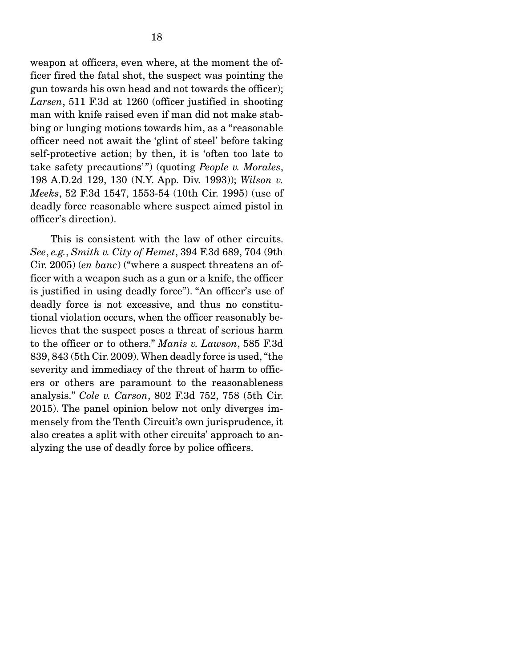weapon at officers, even where, at the moment the officer fired the fatal shot, the suspect was pointing the gun towards his own head and not towards the officer); *Larsen*, 511 F.3d at 1260 (officer justified in shooting man with knife raised even if man did not make stabbing or lunging motions towards him, as a "reasonable officer need not await the 'glint of steel' before taking self-protective action; by then, it is 'often too late to take safety precautions' ") (quoting *People v. Morales*, 198 A.D.2d 129, 130 (N.Y. App. Div. 1993)); *Wilson v. Meeks*, 52 F.3d 1547, 1553-54 (10th Cir. 1995) (use of deadly force reasonable where suspect aimed pistol in officer's direction).

 This is consistent with the law of other circuits. *See*, *e.g.*, *Smith v. City of Hemet*, 394 F.3d 689, 704 (9th Cir. 2005) (*en banc*) ("where a suspect threatens an officer with a weapon such as a gun or a knife, the officer is justified in using deadly force"). "An officer's use of deadly force is not excessive, and thus no constitutional violation occurs, when the officer reasonably believes that the suspect poses a threat of serious harm to the officer or to others." *Manis v. Lawson*, 585 F.3d 839, 843 (5th Cir. 2009). When deadly force is used, "the severity and immediacy of the threat of harm to officers or others are paramount to the reasonableness analysis." *Cole v. Carson*, 802 F.3d 752, 758 (5th Cir. 2015). The panel opinion below not only diverges immensely from the Tenth Circuit's own jurisprudence, it also creates a split with other circuits' approach to analyzing the use of deadly force by police officers.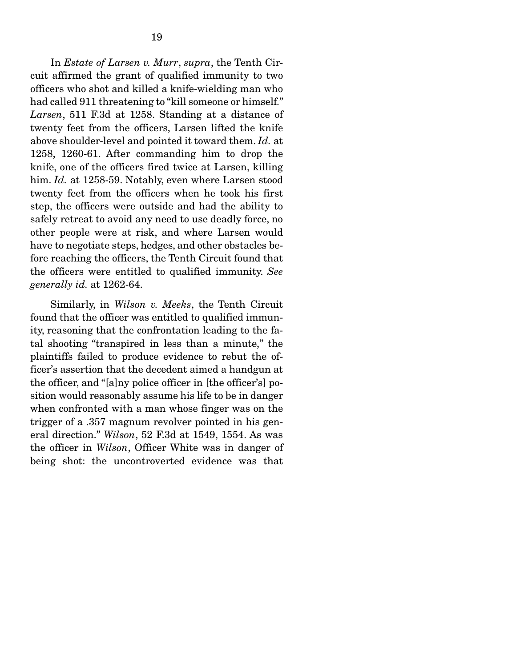In *Estate of Larsen v. Murr*, *supra*, the Tenth Circuit affirmed the grant of qualified immunity to two officers who shot and killed a knife-wielding man who had called 911 threatening to "kill someone or himself." *Larsen*, 511 F.3d at 1258. Standing at a distance of twenty feet from the officers, Larsen lifted the knife above shoulder-level and pointed it toward them. *Id.* at 1258, 1260-61. After commanding him to drop the knife, one of the officers fired twice at Larsen, killing him. *Id.* at 1258-59. Notably, even where Larsen stood twenty feet from the officers when he took his first step, the officers were outside and had the ability to safely retreat to avoid any need to use deadly force, no other people were at risk, and where Larsen would have to negotiate steps, hedges, and other obstacles before reaching the officers, the Tenth Circuit found that the officers were entitled to qualified immunity. *See generally id.* at 1262-64.

 Similarly, in *Wilson v. Meeks*, the Tenth Circuit found that the officer was entitled to qualified immunity, reasoning that the confrontation leading to the fatal shooting "transpired in less than a minute," the plaintiffs failed to produce evidence to rebut the officer's assertion that the decedent aimed a handgun at the officer, and "[a]ny police officer in [the officer's] position would reasonably assume his life to be in danger when confronted with a man whose finger was on the trigger of a .357 magnum revolver pointed in his general direction." *Wilson*, 52 F.3d at 1549, 1554. As was the officer in *Wilson*, Officer White was in danger of being shot: the uncontroverted evidence was that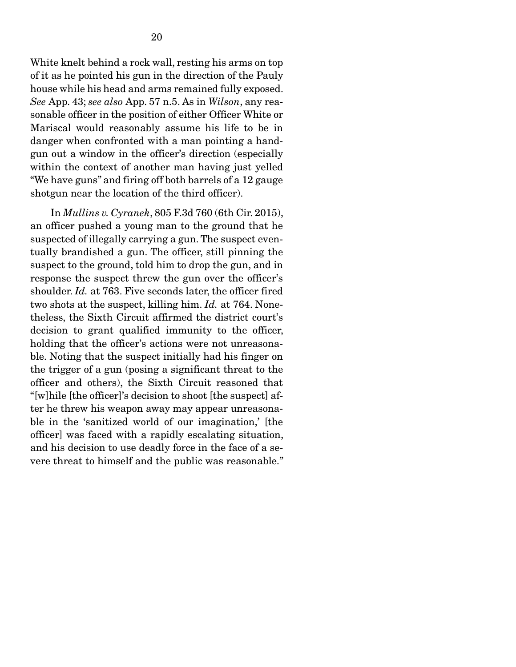White knelt behind a rock wall, resting his arms on top of it as he pointed his gun in the direction of the Pauly house while his head and arms remained fully exposed. *See* App. 43; *see also* App. 57 n.5. As in *Wilson*, any reasonable officer in the position of either Officer White or Mariscal would reasonably assume his life to be in danger when confronted with a man pointing a handgun out a window in the officer's direction (especially within the context of another man having just yelled "We have guns" and firing off both barrels of a 12 gauge shotgun near the location of the third officer).

 In *Mullins v. Cyranek*, 805 F.3d 760 (6th Cir. 2015), an officer pushed a young man to the ground that he suspected of illegally carrying a gun. The suspect eventually brandished a gun. The officer, still pinning the suspect to the ground, told him to drop the gun, and in response the suspect threw the gun over the officer's shoulder. *Id.* at 763. Five seconds later, the officer fired two shots at the suspect, killing him. *Id.* at 764. Nonetheless, the Sixth Circuit affirmed the district court's decision to grant qualified immunity to the officer, holding that the officer's actions were not unreasonable. Noting that the suspect initially had his finger on the trigger of a gun (posing a significant threat to the officer and others), the Sixth Circuit reasoned that "[w]hile [the officer]'s decision to shoot [the suspect] after he threw his weapon away may appear unreasonable in the 'sanitized world of our imagination,' [the officer] was faced with a rapidly escalating situation, and his decision to use deadly force in the face of a severe threat to himself and the public was reasonable."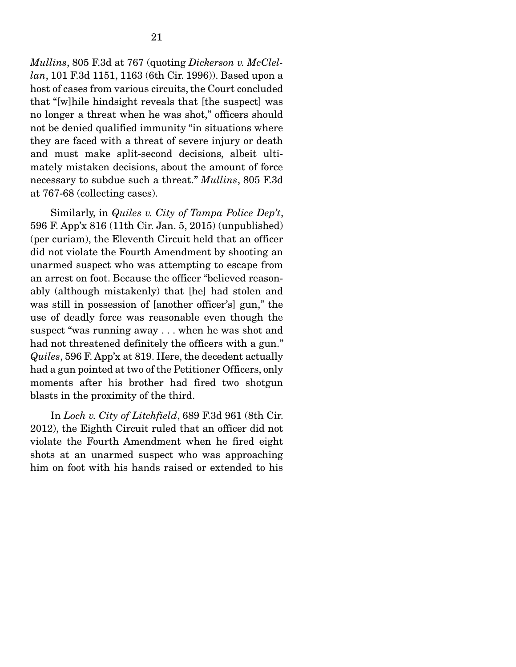*Mullins*, 805 F.3d at 767 (quoting *Dickerson v. McClellan*, 101 F.3d 1151, 1163 (6th Cir. 1996)). Based upon a host of cases from various circuits, the Court concluded that "[w]hile hindsight reveals that [the suspect] was no longer a threat when he was shot," officers should not be denied qualified immunity "in situations where they are faced with a threat of severe injury or death and must make split-second decisions, albeit ultimately mistaken decisions, about the amount of force necessary to subdue such a threat." *Mullins*, 805 F.3d at 767-68 (collecting cases).

 Similarly, in *Quiles v. City of Tampa Police Dep't*, 596 F. App'x 816 (11th Cir. Jan. 5, 2015) (unpublished) (per curiam), the Eleventh Circuit held that an officer did not violate the Fourth Amendment by shooting an unarmed suspect who was attempting to escape from an arrest on foot. Because the officer "believed reasonably (although mistakenly) that [he] had stolen and was still in possession of [another officer's] gun," the use of deadly force was reasonable even though the suspect "was running away . . . when he was shot and had not threatened definitely the officers with a gun." *Quiles*, 596 F. App'x at 819. Here, the decedent actually had a gun pointed at two of the Petitioner Officers, only moments after his brother had fired two shotgun blasts in the proximity of the third.

 In *Loch v. City of Litchfield*, 689 F.3d 961 (8th Cir. 2012), the Eighth Circuit ruled that an officer did not violate the Fourth Amendment when he fired eight shots at an unarmed suspect who was approaching him on foot with his hands raised or extended to his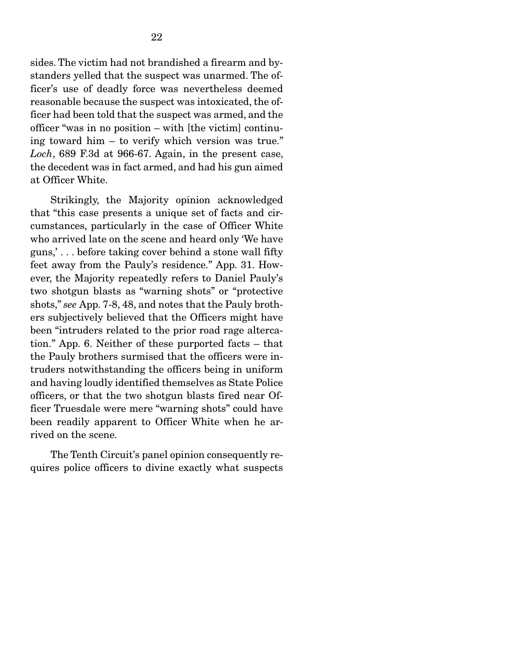sides. The victim had not brandished a firearm and bystanders yelled that the suspect was unarmed. The officer's use of deadly force was nevertheless deemed reasonable because the suspect was intoxicated, the officer had been told that the suspect was armed, and the officer "was in no position – with [the victim] continuing toward him – to verify which version was true." *Loch*, 689 F.3d at 966-67. Again, in the present case, the decedent was in fact armed, and had his gun aimed at Officer White.

 Strikingly, the Majority opinion acknowledged that "this case presents a unique set of facts and circumstances, particularly in the case of Officer White who arrived late on the scene and heard only 'We have guns,' . . . before taking cover behind a stone wall fifty feet away from the Pauly's residence." App. 31. However, the Majority repeatedly refers to Daniel Pauly's two shotgun blasts as "warning shots" or "protective shots," *see* App. 7-8, 48, and notes that the Pauly brothers subjectively believed that the Officers might have been "intruders related to the prior road rage altercation." App. 6. Neither of these purported facts – that the Pauly brothers surmised that the officers were intruders notwithstanding the officers being in uniform and having loudly identified themselves as State Police officers, or that the two shotgun blasts fired near Officer Truesdale were mere "warning shots" could have been readily apparent to Officer White when he arrived on the scene.

 The Tenth Circuit's panel opinion consequently requires police officers to divine exactly what suspects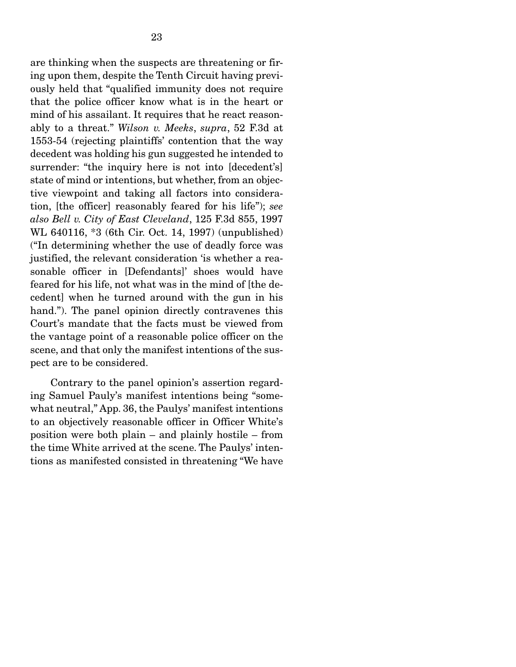are thinking when the suspects are threatening or firing upon them, despite the Tenth Circuit having previously held that "qualified immunity does not require that the police officer know what is in the heart or mind of his assailant. It requires that he react reasonably to a threat." *Wilson v. Meeks*, *supra*, 52 F.3d at 1553-54 (rejecting plaintiffs' contention that the way decedent was holding his gun suggested he intended to surrender: "the inquiry here is not into [decedent's] state of mind or intentions, but whether, from an objective viewpoint and taking all factors into consideration, [the officer] reasonably feared for his life"); *see also Bell v. City of East Cleveland*, 125 F.3d 855, 1997 WL 640116, \*3 (6th Cir. Oct. 14, 1997) (unpublished) ("In determining whether the use of deadly force was justified, the relevant consideration 'is whether a reasonable officer in [Defendants]' shoes would have feared for his life, not what was in the mind of [the decedent] when he turned around with the gun in his hand."). The panel opinion directly contravenes this Court's mandate that the facts must be viewed from the vantage point of a reasonable police officer on the scene, and that only the manifest intentions of the suspect are to be considered.

 Contrary to the panel opinion's assertion regarding Samuel Pauly's manifest intentions being "somewhat neutral," App. 36, the Paulys' manifest intentions to an objectively reasonable officer in Officer White's position were both plain – and plainly hostile – from the time White arrived at the scene. The Paulys' intentions as manifested consisted in threatening "We have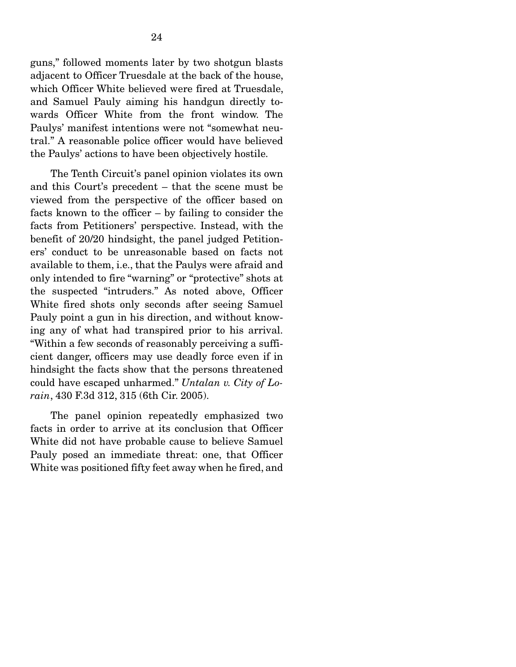guns," followed moments later by two shotgun blasts adjacent to Officer Truesdale at the back of the house, which Officer White believed were fired at Truesdale, and Samuel Pauly aiming his handgun directly towards Officer White from the front window. The Paulys' manifest intentions were not "somewhat neutral." A reasonable police officer would have believed the Paulys' actions to have been objectively hostile.

 The Tenth Circuit's panel opinion violates its own and this Court's precedent – that the scene must be viewed from the perspective of the officer based on facts known to the officer – by failing to consider the facts from Petitioners' perspective. Instead, with the benefit of 20/20 hindsight, the panel judged Petitioners' conduct to be unreasonable based on facts not available to them, i.e., that the Paulys were afraid and only intended to fire "warning" or "protective" shots at the suspected "intruders." As noted above, Officer White fired shots only seconds after seeing Samuel Pauly point a gun in his direction, and without knowing any of what had transpired prior to his arrival. "Within a few seconds of reasonably perceiving a sufficient danger, officers may use deadly force even if in hindsight the facts show that the persons threatened could have escaped unharmed." *Untalan v. City of Lorain*, 430 F.3d 312, 315 (6th Cir. 2005).

 The panel opinion repeatedly emphasized two facts in order to arrive at its conclusion that Officer White did not have probable cause to believe Samuel Pauly posed an immediate threat: one, that Officer White was positioned fifty feet away when he fired, and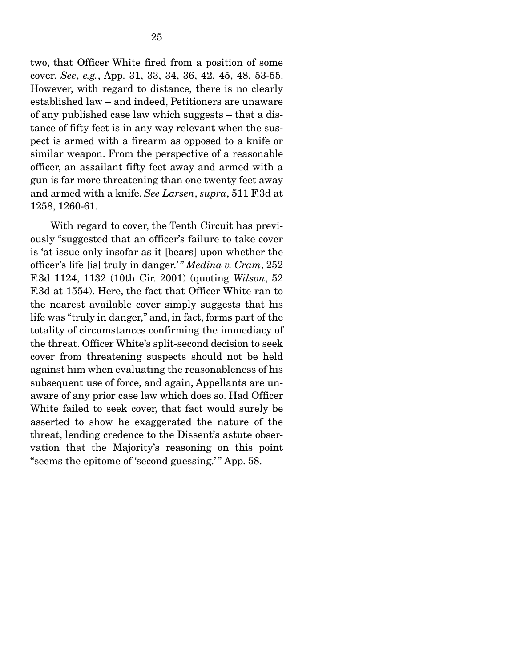two, that Officer White fired from a position of some cover. *See*, *e.g.*, App. 31, 33, 34, 36, 42, 45, 48, 53-55. However, with regard to distance, there is no clearly established law – and indeed, Petitioners are unaware of any published case law which suggests – that a distance of fifty feet is in any way relevant when the suspect is armed with a firearm as opposed to a knife or similar weapon. From the perspective of a reasonable officer, an assailant fifty feet away and armed with a gun is far more threatening than one twenty feet away and armed with a knife. *See Larsen*, *supra*, 511 F.3d at 1258, 1260-61.

 With regard to cover, the Tenth Circuit has previously "suggested that an officer's failure to take cover is 'at issue only insofar as it [bears] upon whether the officer's life [is] truly in danger.' " *Medina v. Cram*, 252 F.3d 1124, 1132 (10th Cir. 2001) (quoting *Wilson*, 52 F.3d at 1554). Here, the fact that Officer White ran to the nearest available cover simply suggests that his life was "truly in danger," and, in fact, forms part of the totality of circumstances confirming the immediacy of the threat. Officer White's split-second decision to seek cover from threatening suspects should not be held against him when evaluating the reasonableness of his subsequent use of force, and again, Appellants are unaware of any prior case law which does so. Had Officer White failed to seek cover, that fact would surely be asserted to show he exaggerated the nature of the threat, lending credence to the Dissent's astute observation that the Majority's reasoning on this point " seems the epitome of 'second guessing.'" App. 58.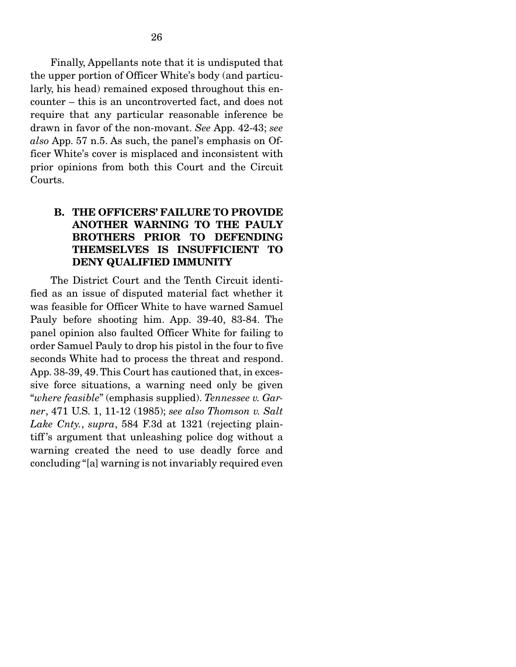Finally, Appellants note that it is undisputed that the upper portion of Officer White's body (and particularly, his head) remained exposed throughout this encounter – this is an uncontroverted fact, and does not require that any particular reasonable inference be drawn in favor of the non-movant. *See* App. 42-43; *see also* App. 57 n.5. As such, the panel's emphasis on Officer White's cover is misplaced and inconsistent with prior opinions from both this Court and the Circuit Courts.

# B. THE OFFICERS' FAILURE TO PROVIDE ANOTHER WARNING TO THE PAULY BROTHERS PRIOR TO DEFENDING THEMSELVES IS INSUFFICIENT TO DENY QUALIFIED IMMUNITY

 The District Court and the Tenth Circuit identified as an issue of disputed material fact whether it was feasible for Officer White to have warned Samuel Pauly before shooting him. App. 39-40, 83-84. The panel opinion also faulted Officer White for failing to order Samuel Pauly to drop his pistol in the four to five seconds White had to process the threat and respond. App. 38-39, 49. This Court has cautioned that, in excessive force situations, a warning need only be given "*where feasible*" (emphasis supplied). *Tennessee v. Garner*, 471 U.S. 1, 11-12 (1985); *see also Thomson v. Salt Lake Cnty.*, *supra*, 584 F.3d at 1321 (rejecting plaintiff 's argument that unleashing police dog without a warning created the need to use deadly force and concluding "[a] warning is not invariably required even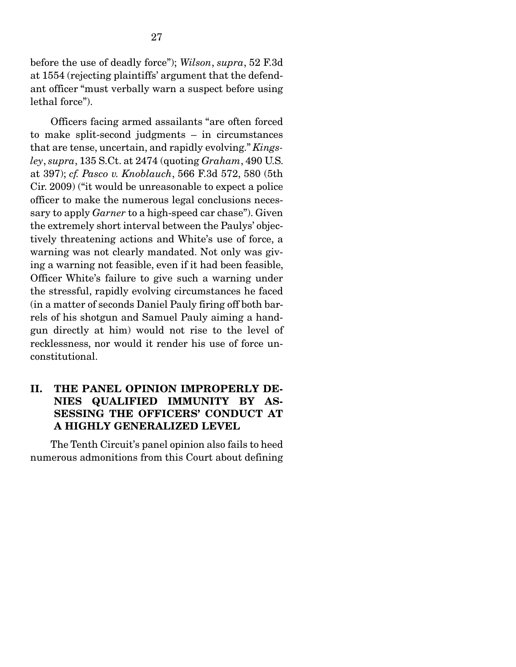before the use of deadly force"); *Wilson*, *supra*, 52 F.3d at 1554 (rejecting plaintiffs' argument that the defendant officer "must verbally warn a suspect before using lethal force").

 Officers facing armed assailants "are often forced to make split-second judgments – in circumstances that are tense, uncertain, and rapidly evolving." *Kingsley*, *supra*, 135 S.Ct. at 2474 (quoting *Graham*, 490 U.S. at 397); *cf. Pasco v. Knoblauch*, 566 F.3d 572, 580 (5th Cir. 2009) ("it would be unreasonable to expect a police officer to make the numerous legal conclusions necessary to apply *Garner* to a high-speed car chase"). Given the extremely short interval between the Paulys' objectively threatening actions and White's use of force, a warning was not clearly mandated. Not only was giving a warning not feasible, even if it had been feasible, Officer White's failure to give such a warning under the stressful, rapidly evolving circumstances he faced (in a matter of seconds Daniel Pauly firing off both barrels of his shotgun and Samuel Pauly aiming a handgun directly at him) would not rise to the level of recklessness, nor would it render his use of force unconstitutional.

# II. THE PANEL OPINION IMPROPERLY DE-NIES QUALIFIED IMMUNITY BY AS-SESSING THE OFFICERS' CONDUCT AT A HIGHLY GENERALIZED LEVEL

 The Tenth Circuit's panel opinion also fails to heed numerous admonitions from this Court about defining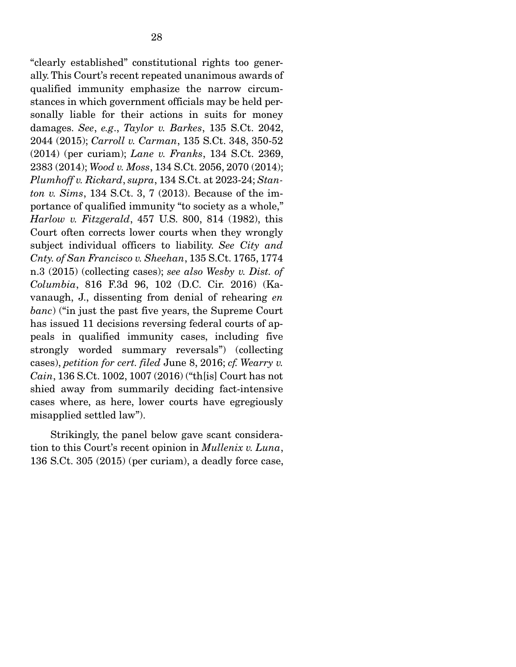"clearly established" constitutional rights too generally. This Court's recent repeated unanimous awards of qualified immunity emphasize the narrow circumstances in which government officials may be held personally liable for their actions in suits for money damages. *See*, *e.g*., *Taylor v. Barkes*, 135 S.Ct. 2042, 2044 (2015); *Carroll v. Carman*, 135 S.Ct. 348, 350-52 (2014) (per curiam); *Lane v. Franks*, 134 S.Ct. 2369, 2383 (2014); *Wood v. Moss*, 134 S.Ct. 2056, 2070 (2014); *Plumhoff v. Rickard*, *supra*, 134 S.Ct. at 2023-24; *Stanton v. Sims*, 134 S.Ct. 3, 7 (2013). Because of the importance of qualified immunity "to society as a whole," *Harlow v. Fitzgerald*, 457 U.S. 800, 814 (1982), this Court often corrects lower courts when they wrongly subject individual officers to liability. *See City and Cnty. of San Francisco v. Sheehan*, 135 S.Ct. 1765, 1774 n.3 (2015) (collecting cases); *see also Wesby v. Dist. of Columbia*, 816 F.3d 96, 102 (D.C. Cir. 2016) (Kavanaugh, J., dissenting from denial of rehearing *en banc*) ("in just the past five years, the Supreme Court has issued 11 decisions reversing federal courts of appeals in qualified immunity cases, including five strongly worded summary reversals") (collecting cases), *petition for cert. filed* June 8, 2016; *cf. Wearry v. Cain*, 136 S.Ct. 1002, 1007 (2016) ("th[is] Court has not shied away from summarily deciding fact-intensive cases where, as here, lower courts have egregiously misapplied settled law").

 Strikingly, the panel below gave scant consideration to this Court's recent opinion in *Mullenix v. Luna*, 136 S.Ct. 305 (2015) (per curiam), a deadly force case,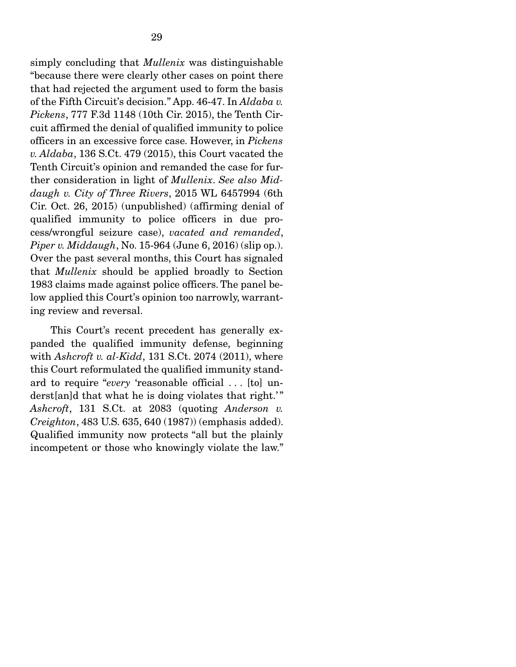simply concluding that *Mullenix* was distinguishable "because there were clearly other cases on point there that had rejected the argument used to form the basis of the Fifth Circuit's decision." App. 46-47. In *Aldaba v. Pickens*, 777 F.3d 1148 (10th Cir. 2015), the Tenth Circuit affirmed the denial of qualified immunity to police officers in an excessive force case. However, in *Pickens v. Aldaba*, 136 S.Ct. 479 (2015), this Court vacated the Tenth Circuit's opinion and remanded the case for further consideration in light of *Mullenix*. *See also Middaugh v. City of Three Rivers*, 2015 WL 6457994 (6th Cir. Oct. 26, 2015) (unpublished) (affirming denial of qualified immunity to police officers in due process/wrongful seizure case), *vacated and remanded*, *Piper v. Middaugh*, No. 15-964 (June 6, 2016) (slip op.). Over the past several months, this Court has signaled that *Mullenix* should be applied broadly to Section 1983 claims made against police officers. The panel below applied this Court's opinion too narrowly, warranting review and reversal.

 This Court's recent precedent has generally expanded the qualified immunity defense, beginning with *Ashcroft v. al-Kidd*, 131 S.Ct. 2074 (2011), where this Court reformulated the qualified immunity standard to require "*every* 'reasonable official . . . [to] underst[an]d that what he is doing violates that right.'" *Ashcroft*, 131 S.Ct. at 2083 (quoting *Anderson v. Creighton*, 483 U.S. 635, 640 (1987)) (emphasis added). Qualified immunity now protects "all but the plainly incompetent or those who knowingly violate the law."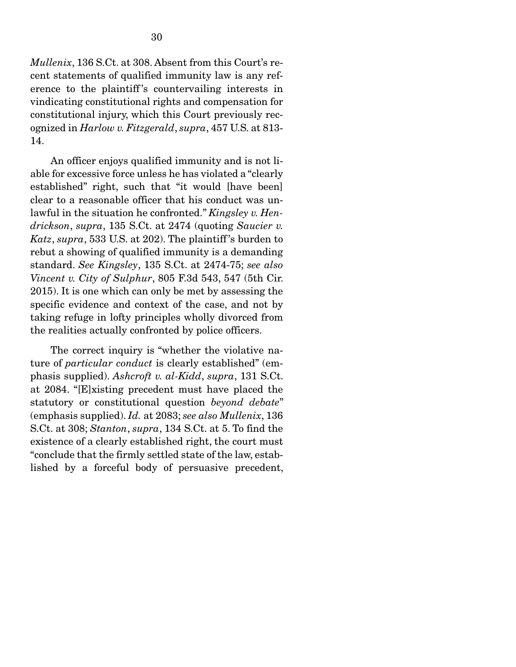*Mullenix*, 136 S.Ct. at 308. Absent from this Court's recent statements of qualified immunity law is any reference to the plaintiff's countervailing interests in vindicating constitutional rights and compensation for constitutional injury, which this Court previously recognized in *Harlow v. Fitzgerald*, *supra*, 457 U.S. at 813- 14.

 An officer enjoys qualified immunity and is not liable for excessive force unless he has violated a "clearly established" right, such that "it would [have been] clear to a reasonable officer that his conduct was unlawful in the situation he confronted." *Kingsley v. Hendrickson*, *supra*, 135 S.Ct. at 2474 (quoting *Saucier v. Katz*, *supra*, 533 U.S. at 202). The plaintiff 's burden to rebut a showing of qualified immunity is a demanding standard. *See Kingsley*, 135 S.Ct. at 2474-75; *see also Vincent v. City of Sulphur*, 805 F.3d 543, 547 (5th Cir. 2015). It is one which can only be met by assessing the specific evidence and context of the case, and not by taking refuge in lofty principles wholly divorced from the realities actually confronted by police officers.

 The correct inquiry is "whether the violative nature of *particular conduct* is clearly established" (emphasis supplied). *Ashcroft v. al-Kidd*, *supra*, 131 S.Ct. at 2084. "[E]xisting precedent must have placed the statutory or constitutional question *beyond debate*" (emphasis supplied). *Id.* at 2083; *see also Mullenix*, 136 S.Ct. at 308; *Stanton*, *supra*, 134 S.Ct. at 5. To find the existence of a clearly established right, the court must "conclude that the firmly settled state of the law, established by a forceful body of persuasive precedent,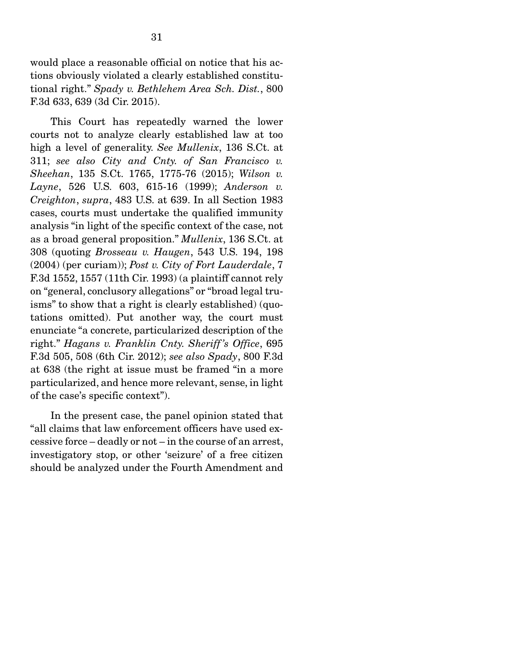would place a reasonable official on notice that his actions obviously violated a clearly established constitutional right." *Spady v. Bethlehem Area Sch. Dist.*, 800 F.3d 633, 639 (3d Cir. 2015).

 This Court has repeatedly warned the lower courts not to analyze clearly established law at too high a level of generality. *See Mullenix*, 136 S.Ct. at 311; *see also City and Cnty. of San Francisco v. Sheehan*, 135 S.Ct. 1765, 1775-76 (2015); *Wilson v. Layne*, 526 U.S. 603, 615-16 (1999); *Anderson v. Creighton*, *supra*, 483 U.S. at 639. In all Section 1983 cases, courts must undertake the qualified immunity analysis "in light of the specific context of the case, not as a broad general proposition." *Mullenix*, 136 S.Ct. at 308 (quoting *Brosseau v. Haugen*, 543 U.S. 194, 198 (2004) (per curiam)); *Post v. City of Fort Lauderdale*, 7 F.3d 1552, 1557 (11th Cir. 1993) (a plaintiff cannot rely on "general, conclusory allegations" or "broad legal truisms" to show that a right is clearly established) (quotations omitted). Put another way, the court must enunciate "a concrete, particularized description of the right." *Hagans v. Franklin Cnty. Sheriff 's Office*, 695 F.3d 505, 508 (6th Cir. 2012); *see also Spady*, 800 F.3d at 638 (the right at issue must be framed "in a more particularized, and hence more relevant, sense, in light of the case's specific context").

 In the present case, the panel opinion stated that "all claims that law enforcement officers have used excessive force – deadly or not – in the course of an arrest, investigatory stop, or other 'seizure' of a free citizen should be analyzed under the Fourth Amendment and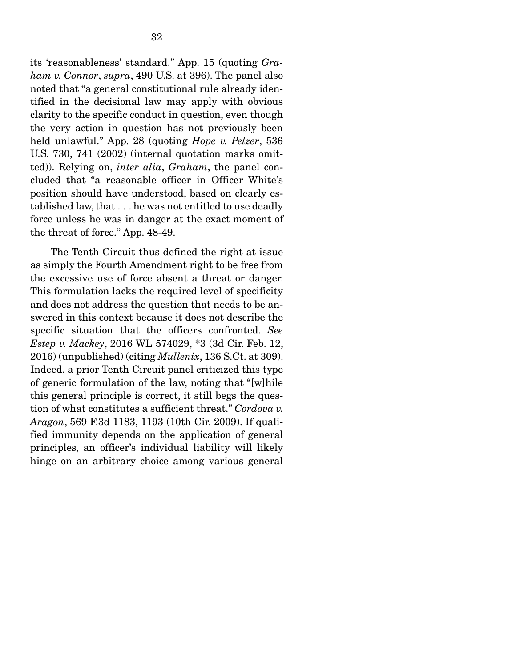its 'reasonableness' standard." App. 15 (quoting *Graham v. Connor*, *supra*, 490 U.S. at 396). The panel also noted that "a general constitutional rule already identified in the decisional law may apply with obvious clarity to the specific conduct in question, even though the very action in question has not previously been held unlawful." App. 28 (quoting *Hope v. Pelzer*, 536 U.S. 730, 741 (2002) (internal quotation marks omitted)). Relying on, *inter alia*, *Graham*, the panel concluded that "a reasonable officer in Officer White's position should have understood, based on clearly established law, that . . . he was not entitled to use deadly force unless he was in danger at the exact moment of the threat of force." App. 48-49.

 The Tenth Circuit thus defined the right at issue as simply the Fourth Amendment right to be free from the excessive use of force absent a threat or danger. This formulation lacks the required level of specificity and does not address the question that needs to be answered in this context because it does not describe the specific situation that the officers confronted. *See Estep v. Mackey*, 2016 WL 574029, \*3 (3d Cir. Feb. 12, 2016) (unpublished) (citing *Mullenix*, 136 S.Ct. at 309). Indeed, a prior Tenth Circuit panel criticized this type of generic formulation of the law, noting that "[w]hile this general principle is correct, it still begs the question of what constitutes a sufficient threat." *Cordova v. Aragon*, 569 F.3d 1183, 1193 (10th Cir. 2009). If qualified immunity depends on the application of general principles, an officer's individual liability will likely hinge on an arbitrary choice among various general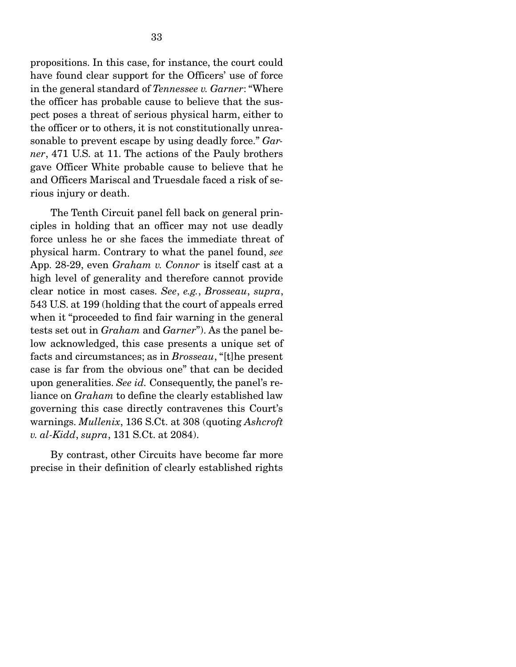propositions. In this case, for instance, the court could have found clear support for the Officers' use of force in the general standard of *Tennessee v. Garner*: "Where the officer has probable cause to believe that the suspect poses a threat of serious physical harm, either to the officer or to others, it is not constitutionally unreasonable to prevent escape by using deadly force." *Garner*, 471 U.S. at 11. The actions of the Pauly brothers gave Officer White probable cause to believe that he and Officers Mariscal and Truesdale faced a risk of serious injury or death.

 The Tenth Circuit panel fell back on general principles in holding that an officer may not use deadly force unless he or she faces the immediate threat of physical harm. Contrary to what the panel found, *see*  App. 28-29, even *Graham v. Connor* is itself cast at a high level of generality and therefore cannot provide clear notice in most cases. *See*, *e.g.*, *Brosseau*, *supra*, 543 U.S. at 199 (holding that the court of appeals erred when it "proceeded to find fair warning in the general tests set out in *Graham* and *Garner*"). As the panel below acknowledged, this case presents a unique set of facts and circumstances; as in *Brosseau*, "[t]he present case is far from the obvious one" that can be decided upon generalities. *See id.* Consequently, the panel's reliance on *Graham* to define the clearly established law governing this case directly contravenes this Court's warnings. *Mullenix*, 136 S.Ct. at 308 (quoting *Ashcroft v. al-Kidd*, *supra*, 131 S.Ct. at 2084).

 By contrast, other Circuits have become far more precise in their definition of clearly established rights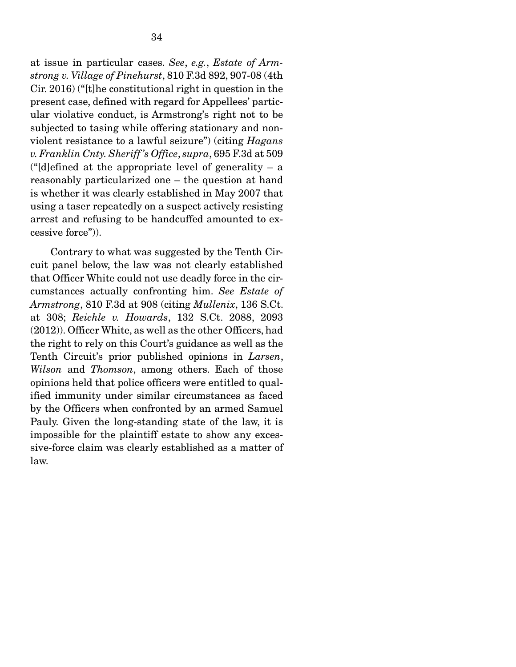at issue in particular cases. *See*, *e.g.*, *Estate of Armstrong v. Village of Pinehurst*, 810 F.3d 892, 907-08 (4th Cir. 2016) ("[t]he constitutional right in question in the present case, defined with regard for Appellees' particular violative conduct, is Armstrong's right not to be subjected to tasing while offering stationary and nonviolent resistance to a lawful seizure") (citing *Hagans v. Franklin Cnty. Sheriff 's Office*, *supra*, 695 F.3d at 509 (" $d$ ]efined at the appropriate level of generality – a reasonably particularized one – the question at hand is whether it was clearly established in May 2007 that using a taser repeatedly on a suspect actively resisting arrest and refusing to be handcuffed amounted to excessive force")).

 Contrary to what was suggested by the Tenth Circuit panel below, the law was not clearly established that Officer White could not use deadly force in the circumstances actually confronting him. *See Estate of Armstrong*, 810 F.3d at 908 (citing *Mullenix*, 136 S.Ct. at 308; *Reichle v. Howards*, 132 S.Ct. 2088, 2093 (2012)). Officer White, as well as the other Officers, had the right to rely on this Court's guidance as well as the Tenth Circuit's prior published opinions in *Larsen*, *Wilson* and *Thomson*, among others. Each of those opinions held that police officers were entitled to qualified immunity under similar circumstances as faced by the Officers when confronted by an armed Samuel Pauly. Given the long-standing state of the law, it is impossible for the plaintiff estate to show any excessive-force claim was clearly established as a matter of law.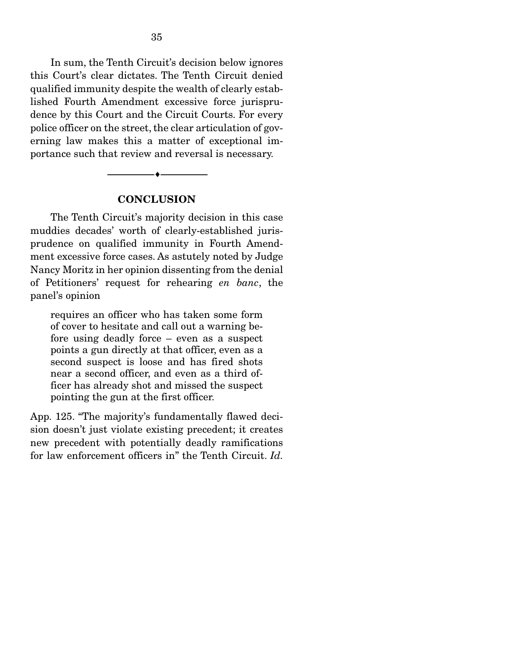In sum, the Tenth Circuit's decision below ignores this Court's clear dictates. The Tenth Circuit denied qualified immunity despite the wealth of clearly established Fourth Amendment excessive force jurisprudence by this Court and the Circuit Courts. For every police officer on the street, the clear articulation of governing law makes this a matter of exceptional importance such that review and reversal is necessary.

#### **CONCLUSION**

--------------------------------- ---------------------------------

 The Tenth Circuit's majority decision in this case muddies decades' worth of clearly-established jurisprudence on qualified immunity in Fourth Amendment excessive force cases. As astutely noted by Judge Nancy Moritz in her opinion dissenting from the denial of Petitioners' request for rehearing *en banc*, the panel's opinion

requires an officer who has taken some form of cover to hesitate and call out a warning before using deadly force – even as a suspect points a gun directly at that officer, even as a second suspect is loose and has fired shots near a second officer, and even as a third officer has already shot and missed the suspect pointing the gun at the first officer.

App. 125. "The majority's fundamentally flawed decision doesn't just violate existing precedent; it creates new precedent with potentially deadly ramifications for law enforcement officers in" the Tenth Circuit. *Id.*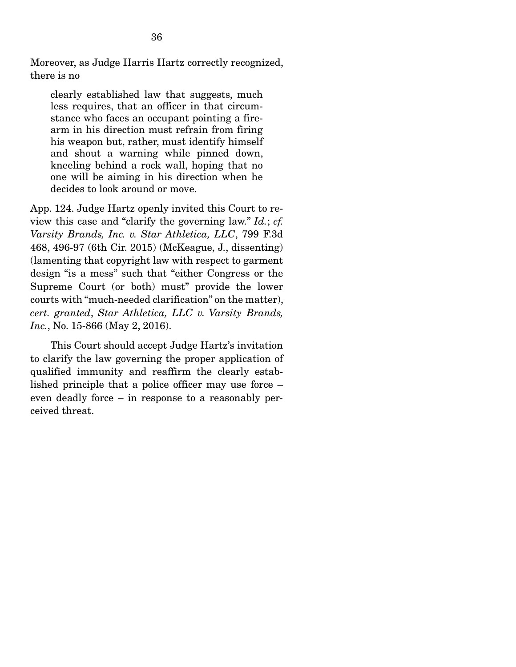Moreover, as Judge Harris Hartz correctly recognized, there is no

clearly established law that suggests, much less requires, that an officer in that circumstance who faces an occupant pointing a firearm in his direction must refrain from firing his weapon but, rather, must identify himself and shout a warning while pinned down, kneeling behind a rock wall, hoping that no one will be aiming in his direction when he decides to look around or move.

App. 124. Judge Hartz openly invited this Court to review this case and "clarify the governing law." *Id.*; *cf. Varsity Brands, Inc. v. Star Athletica, LLC*, 799 F.3d 468, 496-97 (6th Cir. 2015) (McKeague, J., dissenting) (lamenting that copyright law with respect to garment design "is a mess" such that "either Congress or the Supreme Court (or both) must" provide the lower courts with "much-needed clarification" on the matter), *cert. granted*, *Star Athletica, LLC v. Varsity Brands, Inc.*, No. 15-866 (May 2, 2016).

 This Court should accept Judge Hartz's invitation to clarify the law governing the proper application of qualified immunity and reaffirm the clearly established principle that a police officer may use force – even deadly force – in response to a reasonably perceived threat.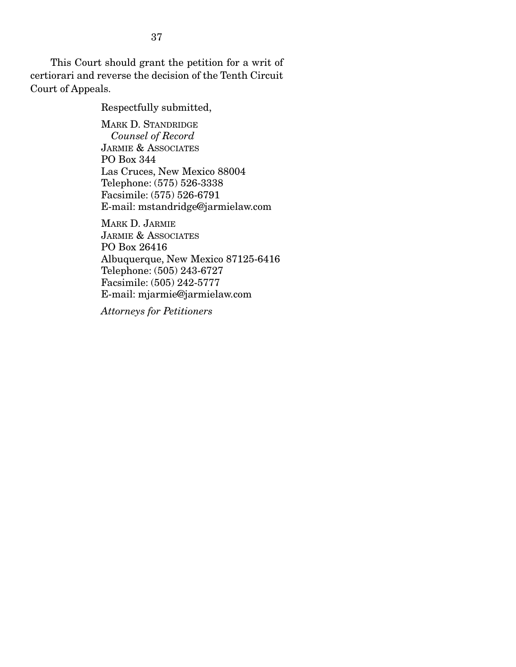This Court should grant the petition for a writ of certiorari and reverse the decision of the Tenth Circuit Court of Appeals.

Respectfully submitted,

MARK D. STANDRIDGE  *Counsel of Record*  JARMIE & ASSOCIATES PO Box 344 Las Cruces, New Mexico 88004 Telephone: (575) 526-3338 Facsimile: (575) 526-6791 E-mail: mstandridge@jarmielaw.com

MARK D. JARMIE JARMIE & ASSOCIATES PO Box 26416 Albuquerque, New Mexico 87125-6416 Telephone: (505) 243-6727 Facsimile: (505) 242-5777 E-mail: mjarmie@jarmielaw.com

*Attorneys for Petitioners*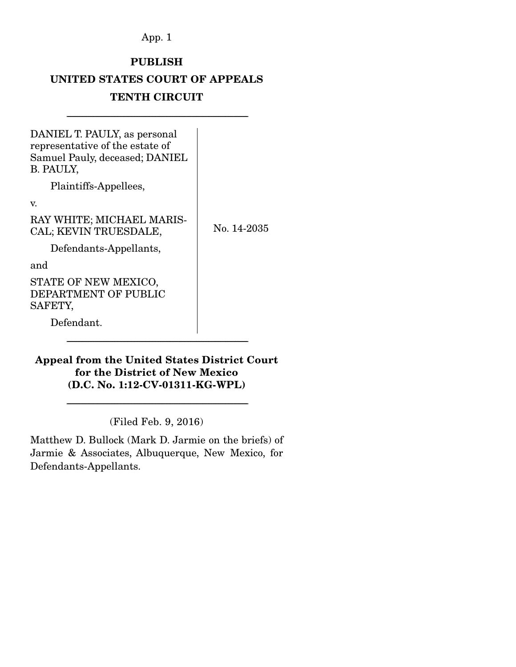App. 1

# PUBLISH

# UNITED STATES COURT OF APPEALS

# TENTH CIRCUIT

---------------------------------------------------------------------------------------------------------------------------------

No. 14-2035

DANIEL T. PAULY, as personal representative of the estate of Samuel Pauly, deceased; DANIEL B. PAULY,

Plaintiffs-Appellees,

v.

RAY WHITE; MICHAEL MARIS-CAL; KEVIN TRUESDALE,

Defendants-Appellants,

and

STATE OF NEW MEXICO, DEPARTMENT OF PUBLIC SAFETY,

Defendant.

# Appeal from the United States District Court for the District of New Mexico (D.C. No. 1:12-CV-01311-KG-WPL)

---------------------------------------------------------------------------------------------------------------------------------

(Filed Feb. 9, 2016)

---------------------------------------------------------------------------------------------------------------------------------

Matthew D. Bullock (Mark D. Jarmie on the briefs) of Jarmie & Associates, Albuquerque, New Mexico, for Defendants-Appellants.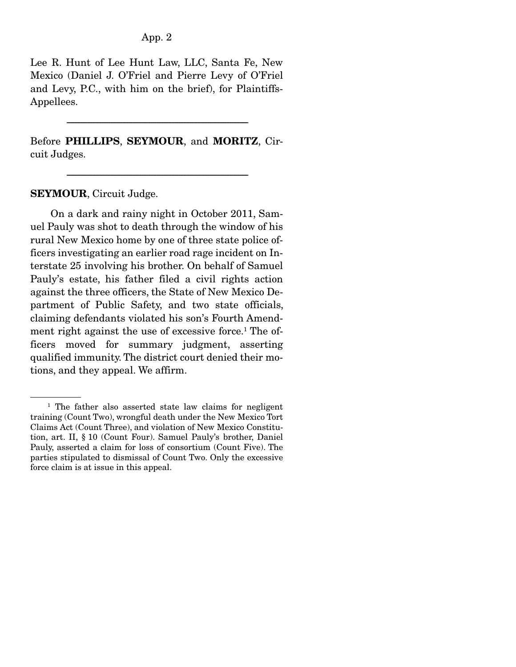## App. 2

Lee R. Hunt of Lee Hunt Law, LLC, Santa Fe, New Mexico (Daniel J. O'Friel and Pierre Levy of O'Friel and Levy, P.C., with him on the brief), for Plaintiffs-Appellees.

Before PHILLIPS, SEYMOUR, and MORITZ, Circuit Judges.

---------------------------------------------------------------------------------------------------------------------------------

---------------------------------------------------------------------------------------------------------------------------------

SEYMOUR, Circuit Judge.

 On a dark and rainy night in October 2011, Samuel Pauly was shot to death through the window of his rural New Mexico home by one of three state police officers investigating an earlier road rage incident on Interstate 25 involving his brother. On behalf of Samuel Pauly's estate, his father filed a civil rights action against the three officers, the State of New Mexico Department of Public Safety, and two state officials, claiming defendants violated his son's Fourth Amendment right against the use of excessive force.<sup>1</sup> The officers moved for summary judgment, asserting qualified immunity. The district court denied their motions, and they appeal. We affirm.

<sup>&</sup>lt;sup>1</sup> The father also asserted state law claims for negligent training (Count Two), wrongful death under the New Mexico Tort Claims Act (Count Three), and violation of New Mexico Constitution, art. II, § 10 (Count Four). Samuel Pauly's brother, Daniel Pauly, asserted a claim for loss of consortium (Count Five). The parties stipulated to dismissal of Count Two. Only the excessive force claim is at issue in this appeal.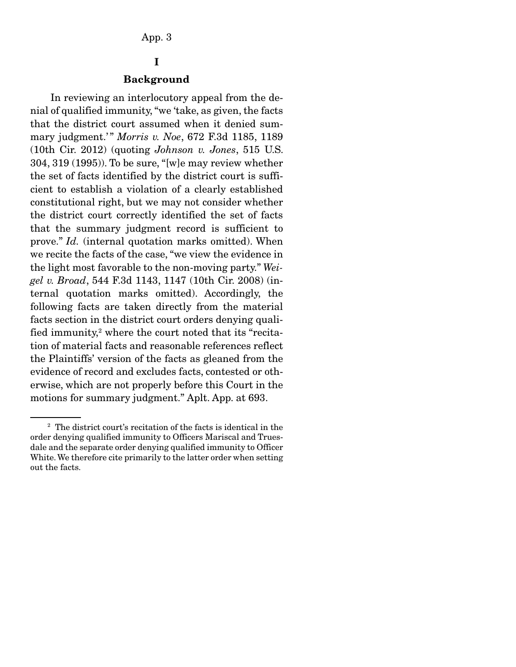# I

#### Background

 In reviewing an interlocutory appeal from the denial of qualified immunity, "we 'take, as given, the facts that the district court assumed when it denied summary judgment.'" Morris v. Noe, 672 F.3d 1185, 1189 (10th Cir. 2012) (quoting *Johnson v. Jones*, 515 U.S. 304, 319 (1995)). To be sure, "[w]e may review whether the set of facts identified by the district court is sufficient to establish a violation of a clearly established constitutional right, but we may not consider whether the district court correctly identified the set of facts that the summary judgment record is sufficient to prove." *Id.* (internal quotation marks omitted). When we recite the facts of the case, "we view the evidence in the light most favorable to the non-moving party." *Weigel v. Broad*, 544 F.3d 1143, 1147 (10th Cir. 2008) (internal quotation marks omitted). Accordingly, the following facts are taken directly from the material facts section in the district court orders denying qualified immunity,<sup>2</sup> where the court noted that its "recitation of material facts and reasonable references reflect the Plaintiffs' version of the facts as gleaned from the evidence of record and excludes facts, contested or otherwise, which are not properly before this Court in the motions for summary judgment." Aplt. App. at 693.

<sup>2</sup> The district court's recitation of the facts is identical in the order denying qualified immunity to Officers Mariscal and Truesdale and the separate order denying qualified immunity to Officer White. We therefore cite primarily to the latter order when setting out the facts.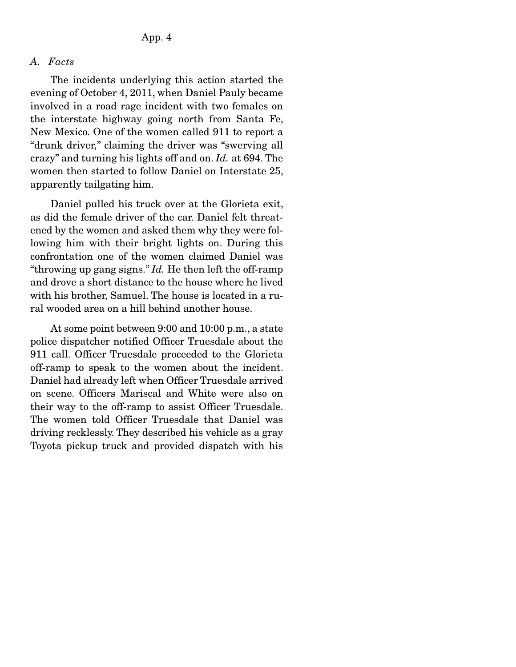## *A. Facts*

 The incidents underlying this action started the evening of October 4, 2011, when Daniel Pauly became involved in a road rage incident with two females on the interstate highway going north from Santa Fe, New Mexico. One of the women called 911 to report a "drunk driver," claiming the driver was "swerving all crazy" and turning his lights off and on. *Id.* at 694. The women then started to follow Daniel on Interstate 25, apparently tailgating him.

 Daniel pulled his truck over at the Glorieta exit, as did the female driver of the car. Daniel felt threatened by the women and asked them why they were following him with their bright lights on. During this confrontation one of the women claimed Daniel was "throwing up gang signs." *Id.* He then left the off-ramp and drove a short distance to the house where he lived with his brother, Samuel. The house is located in a rural wooded area on a hill behind another house.

 At some point between 9:00 and 10:00 p.m., a state police dispatcher notified Officer Truesdale about the 911 call. Officer Truesdale proceeded to the Glorieta off-ramp to speak to the women about the incident. Daniel had already left when Officer Truesdale arrived on scene. Officers Mariscal and White were also on their way to the off-ramp to assist Officer Truesdale. The women told Officer Truesdale that Daniel was driving recklessly. They described his vehicle as a gray Toyota pickup truck and provided dispatch with his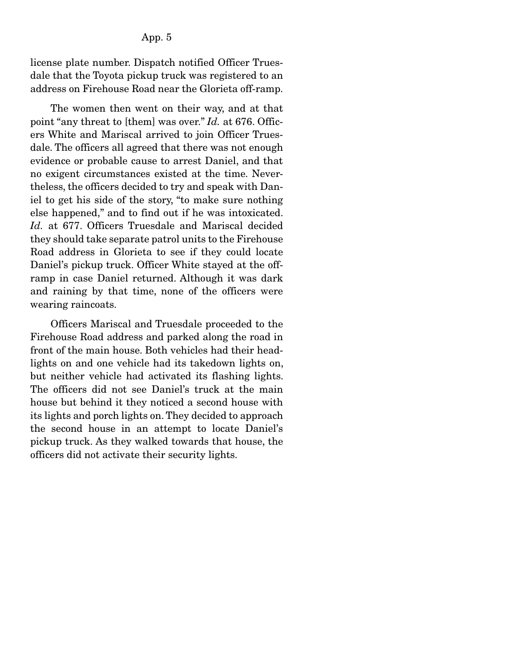license plate number. Dispatch notified Officer Truesdale that the Toyota pickup truck was registered to an address on Firehouse Road near the Glorieta off-ramp.

 The women then went on their way, and at that point "any threat to [them] was over." *Id.* at 676. Officers White and Mariscal arrived to join Officer Truesdale. The officers all agreed that there was not enough evidence or probable cause to arrest Daniel, and that no exigent circumstances existed at the time. Nevertheless, the officers decided to try and speak with Daniel to get his side of the story, "to make sure nothing else happened," and to find out if he was intoxicated. Id. at 677. Officers Truesdale and Mariscal decided they should take separate patrol units to the Firehouse Road address in Glorieta to see if they could locate Daniel's pickup truck. Officer White stayed at the offramp in case Daniel returned. Although it was dark and raining by that time, none of the officers were wearing raincoats.

 Officers Mariscal and Truesdale proceeded to the Firehouse Road address and parked along the road in front of the main house. Both vehicles had their headlights on and one vehicle had its takedown lights on, but neither vehicle had activated its flashing lights. The officers did not see Daniel's truck at the main house but behind it they noticed a second house with its lights and porch lights on. They decided to approach the second house in an attempt to locate Daniel's pickup truck. As they walked towards that house, the officers did not activate their security lights.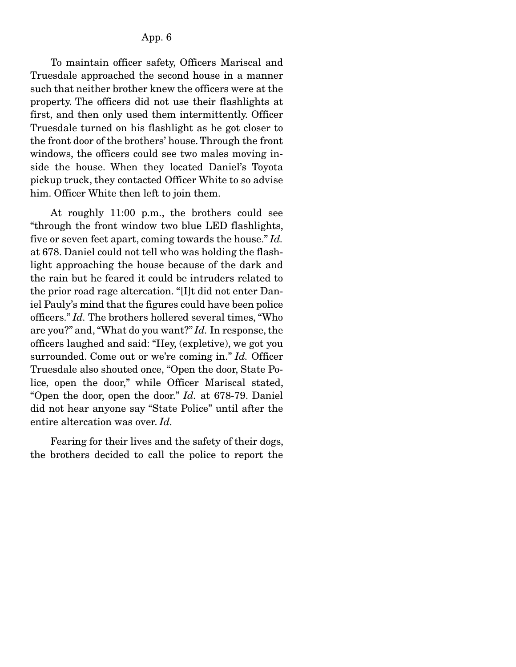To maintain officer safety, Officers Mariscal and Truesdale approached the second house in a manner such that neither brother knew the officers were at the property. The officers did not use their flashlights at first, and then only used them intermittently. Officer Truesdale turned on his flashlight as he got closer to the front door of the brothers' house. Through the front windows, the officers could see two males moving inside the house. When they located Daniel's Toyota pickup truck, they contacted Officer White to so advise him. Officer White then left to join them.

 At roughly 11:00 p.m., the brothers could see "through the front window two blue LED flashlights, five or seven feet apart, coming towards the house." *Id.* at 678. Daniel could not tell who was holding the flashlight approaching the house because of the dark and the rain but he feared it could be intruders related to the prior road rage altercation. "[I]t did not enter Daniel Pauly's mind that the figures could have been police officers." *Id.* The brothers hollered several times, "Who are you?" and, "What do you want?" *Id.* In response, the officers laughed and said: "Hey, (expletive), we got you surrounded. Come out or we're coming in." *Id.* Officer Truesdale also shouted once, "Open the door, State Police, open the door," while Officer Mariscal stated, "Open the door, open the door." *Id.* at 678-79. Daniel did not hear anyone say "State Police" until after the entire altercation was over. *Id.*

 Fearing for their lives and the safety of their dogs, the brothers decided to call the police to report the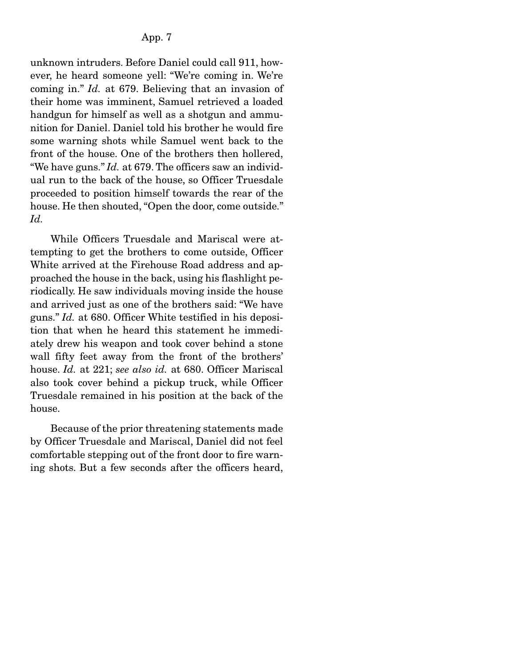unknown intruders. Before Daniel could call 911, however, he heard someone yell: "We're coming in. We're coming in." *Id.* at 679. Believing that an invasion of their home was imminent, Samuel retrieved a loaded handgun for himself as well as a shotgun and ammunition for Daniel. Daniel told his brother he would fire some warning shots while Samuel went back to the front of the house. One of the brothers then hollered, "We have guns." *Id.* at 679. The officers saw an individual run to the back of the house, so Officer Truesdale proceeded to position himself towards the rear of the house. He then shouted, "Open the door, come outside." *Id.*

 While Officers Truesdale and Mariscal were attempting to get the brothers to come outside, Officer White arrived at the Firehouse Road address and approached the house in the back, using his flashlight periodically. He saw individuals moving inside the house and arrived just as one of the brothers said: "We have guns." *Id.* at 680. Officer White testified in his deposition that when he heard this statement he immediately drew his weapon and took cover behind a stone wall fifty feet away from the front of the brothers' house. *Id.* at 221; *see also id.* at 680. Officer Mariscal also took cover behind a pickup truck, while Officer Truesdale remained in his position at the back of the house.

 Because of the prior threatening statements made by Officer Truesdale and Mariscal, Daniel did not feel comfortable stepping out of the front door to fire warning shots. But a few seconds after the officers heard,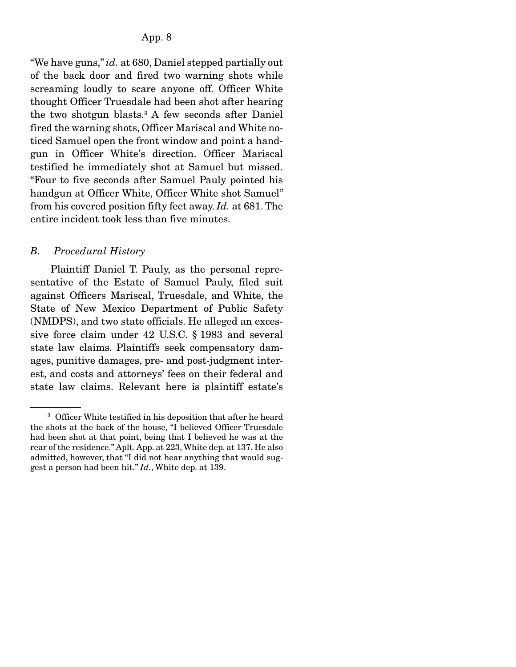"We have guns," *id.* at 680, Daniel stepped partially out of the back door and fired two warning shots while screaming loudly to scare anyone off. Officer White thought Officer Truesdale had been shot after hearing the two shotgun blasts.3 A few seconds after Daniel fired the warning shots, Officer Mariscal and White noticed Samuel open the front window and point a handgun in Officer White's direction. Officer Mariscal testified he immediately shot at Samuel but missed. "Four to five seconds after Samuel Pauly pointed his handgun at Officer White, Officer White shot Samuel" from his covered position fifty feet away. *Id.* at 681. The entire incident took less than five minutes.

### *B. Procedural History*

 Plaintiff Daniel T. Pauly, as the personal representative of the Estate of Samuel Pauly, filed suit against Officers Mariscal, Truesdale, and White, the State of New Mexico Department of Public Safety (NMDPS), and two state officials. He alleged an excessive force claim under 42 U.S.C. § 1983 and several state law claims. Plaintiffs seek compensatory damages, punitive damages, pre- and post-judgment interest, and costs and attorneys' fees on their federal and state law claims. Relevant here is plaintiff estate's

<sup>&</sup>lt;sup>3</sup> Officer White testified in his deposition that after he heard the shots at the back of the house, "I believed Officer Truesdale had been shot at that point, being that I believed he was at the rear of the residence." Aplt. App. at 223, White dep. at 137. He also admitted, however, that "I did not hear anything that would suggest a person had been hit." *Id.*, White dep. at 139.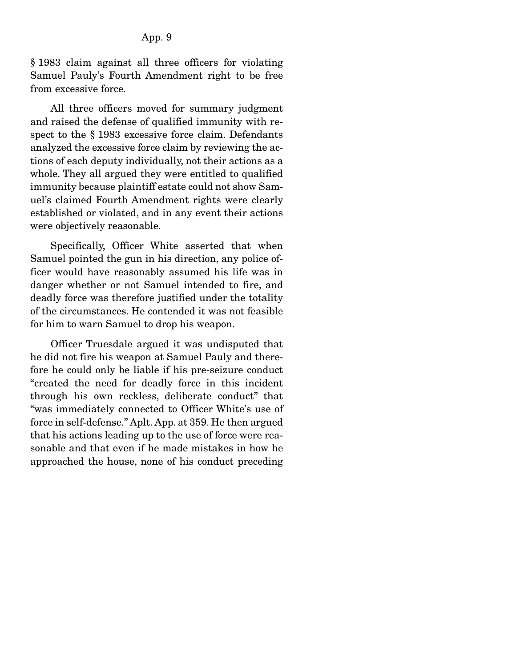§ 1983 claim against all three officers for violating Samuel Pauly's Fourth Amendment right to be free from excessive force.

 All three officers moved for summary judgment and raised the defense of qualified immunity with respect to the § 1983 excessive force claim. Defendants analyzed the excessive force claim by reviewing the actions of each deputy individually, not their actions as a whole. They all argued they were entitled to qualified immunity because plaintiff estate could not show Samuel's claimed Fourth Amendment rights were clearly established or violated, and in any event their actions were objectively reasonable.

 Specifically, Officer White asserted that when Samuel pointed the gun in his direction, any police officer would have reasonably assumed his life was in danger whether or not Samuel intended to fire, and deadly force was therefore justified under the totality of the circumstances. He contended it was not feasible for him to warn Samuel to drop his weapon.

 Officer Truesdale argued it was undisputed that he did not fire his weapon at Samuel Pauly and therefore he could only be liable if his pre-seizure conduct "created the need for deadly force in this incident through his own reckless, deliberate conduct" that "was immediately connected to Officer White's use of force in self-defense." Aplt. App. at 359. He then argued that his actions leading up to the use of force were reasonable and that even if he made mistakes in how he approached the house, none of his conduct preceding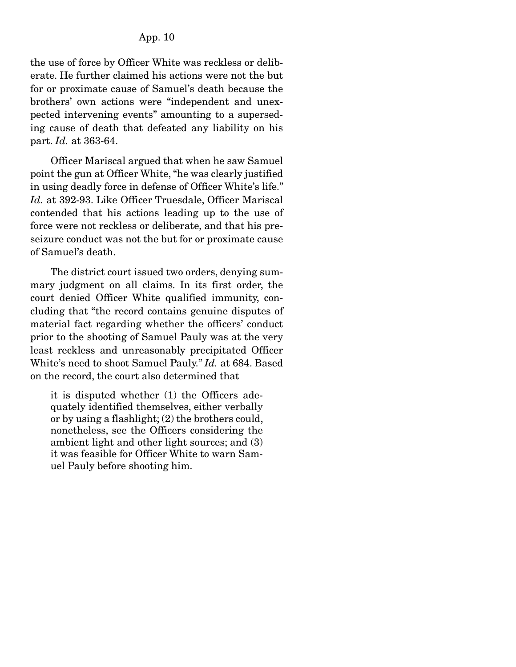the use of force by Officer White was reckless or deliberate. He further claimed his actions were not the but for or proximate cause of Samuel's death because the brothers' own actions were "independent and unexpected intervening events" amounting to a superseding cause of death that defeated any liability on his part. *Id.* at 363-64.

 Officer Mariscal argued that when he saw Samuel point the gun at Officer White, "he was clearly justified in using deadly force in defense of Officer White's life." *Id.* at 392-93. Like Officer Truesdale, Officer Mariscal contended that his actions leading up to the use of force were not reckless or deliberate, and that his preseizure conduct was not the but for or proximate cause of Samuel's death.

 The district court issued two orders, denying summary judgment on all claims. In its first order, the court denied Officer White qualified immunity, concluding that "the record contains genuine disputes of material fact regarding whether the officers' conduct prior to the shooting of Samuel Pauly was at the very least reckless and unreasonably precipitated Officer White's need to shoot Samuel Pauly." *Id.* at 684. Based on the record, the court also determined that

it is disputed whether (1) the Officers adequately identified themselves, either verbally or by using a flashlight; (2) the brothers could, nonetheless, see the Officers considering the ambient light and other light sources; and (3) it was feasible for Officer White to warn Samuel Pauly before shooting him.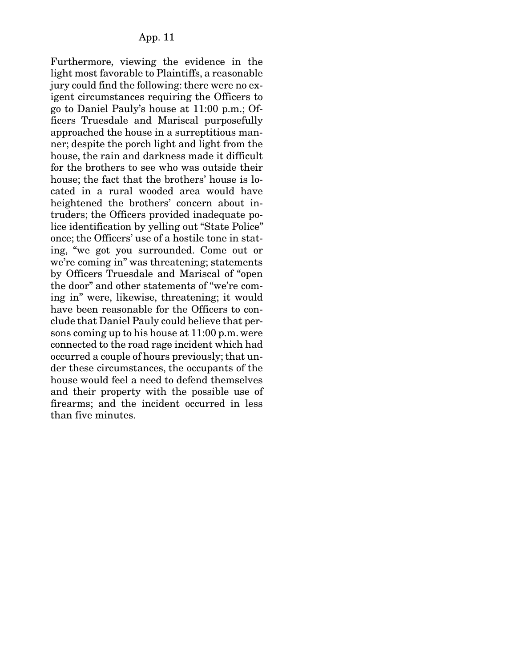Furthermore, viewing the evidence in the light most favorable to Plaintiffs, a reasonable jury could find the following: there were no exigent circumstances requiring the Officers to go to Daniel Pauly's house at 11:00 p.m.; Officers Truesdale and Mariscal purposefully approached the house in a surreptitious manner; despite the porch light and light from the house, the rain and darkness made it difficult for the brothers to see who was outside their house; the fact that the brothers' house is located in a rural wooded area would have heightened the brothers' concern about intruders; the Officers provided inadequate police identification by yelling out "State Police" once; the Officers' use of a hostile tone in stating, "we got you surrounded. Come out or we're coming in" was threatening; statements by Officers Truesdale and Mariscal of "open the door" and other statements of "we're coming in" were, likewise, threatening; it would have been reasonable for the Officers to conclude that Daniel Pauly could believe that persons coming up to his house at 11:00 p.m. were connected to the road rage incident which had occurred a couple of hours previously; that under these circumstances, the occupants of the house would feel a need to defend themselves and their property with the possible use of firearms; and the incident occurred in less than five minutes.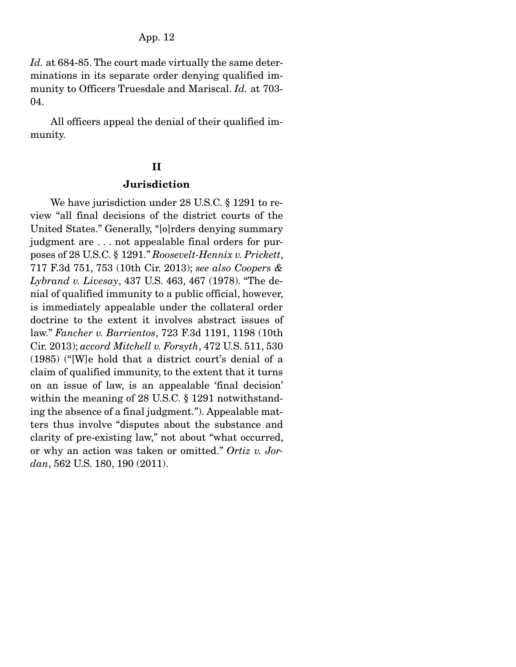*Id.* at 684-85. The court made virtually the same determinations in its separate order denying qualified immunity to Officers Truesdale and Mariscal. *Id.* at 703- 04.

 All officers appeal the denial of their qualified immunity.

## II

## Jurisdiction

 We have jurisdiction under 28 U.S.C. § 1291 to review "all final decisions of the district courts of the United States." Generally, "[o]rders denying summary judgment are . . . not appealable final orders for purposes of 28 U.S.C. § 1291." *Roosevelt-Hennix v. Prickett*, 717 F.3d 751, 753 (10th Cir. 2013); *see also Coopers & Lybrand v. Livesay*, 437 U.S. 463, 467 (1978). "The denial of qualified immunity to a public official, however, is immediately appealable under the collateral order doctrine to the extent it involves abstract issues of law." *Fancher v. Barrientos*, 723 F.3d 1191, 1198 (10th Cir. 2013); *accord Mitchell v. Forsyth*, 472 U.S. 511, 530 (1985) ("[W]e hold that a district court's denial of a claim of qualified immunity, to the extent that it turns on an issue of law, is an appealable 'final decision' within the meaning of 28 U.S.C. § 1291 notwithstanding the absence of a final judgment."). Appealable matters thus involve "disputes about the substance and clarity of pre-existing law," not about "what occurred, or why an action was taken or omitted." *Ortiz v. Jordan*, 562 U.S. 180, 190 (2011).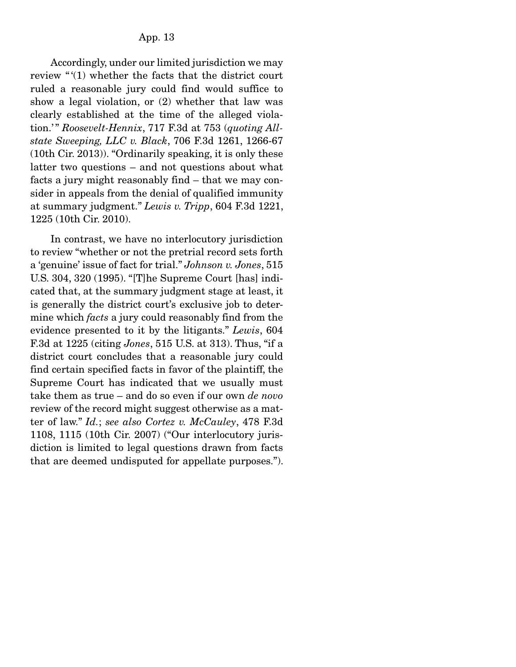Accordingly, under our limited jurisdiction we may review "(1) whether the facts that the district court ruled a reasonable jury could find would suffice to show a legal violation, or (2) whether that law was clearly established at the time of the alleged violation.'" Roosevelt-Hennix, 717 F.3d at 753 (quoting All*state Sweeping, LLC v. Black*, 706 F.3d 1261, 1266-67 (10th Cir. 2013)). "Ordinarily speaking, it is only these latter two questions – and not questions about what facts a jury might reasonably find – that we may consider in appeals from the denial of qualified immunity at summary judgment." *Lewis v. Tripp*, 604 F.3d 1221, 1225 (10th Cir. 2010).

 In contrast, we have no interlocutory jurisdiction to review "whether or not the pretrial record sets forth a 'genuine' issue of fact for trial." *Johnson v. Jones*, 515 U.S. 304, 320 (1995). "[T]he Supreme Court [has] indicated that, at the summary judgment stage at least, it is generally the district court's exclusive job to determine which *facts* a jury could reasonably find from the evidence presented to it by the litigants." *Lewis*, 604 F.3d at 1225 (citing *Jones*, 515 U.S. at 313). Thus, "if a district court concludes that a reasonable jury could find certain specified facts in favor of the plaintiff, the Supreme Court has indicated that we usually must take them as true – and do so even if our own *de novo* review of the record might suggest otherwise as a matter of law." *Id.*; *see also Cortez v. McCauley*, 478 F.3d 1108, 1115 (10th Cir. 2007) ("Our interlocutory jurisdiction is limited to legal questions drawn from facts that are deemed undisputed for appellate purposes.").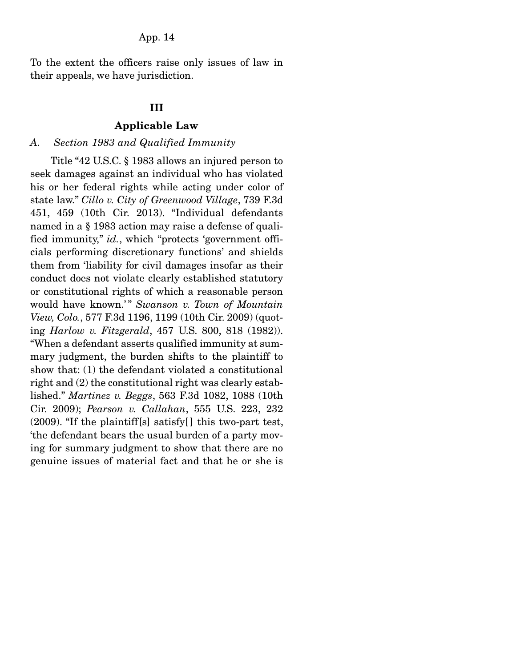To the extent the officers raise only issues of law in their appeals, we have jurisdiction.

## III

## Applicable Law

### *A. Section 1983 and Qualified Immunity*

 Title "42 U.S.C. § 1983 allows an injured person to seek damages against an individual who has violated his or her federal rights while acting under color of state law." *Cillo v. City of Greenwood Village*, 739 F.3d 451, 459 (10th Cir. 2013). "Individual defendants named in a § 1983 action may raise a defense of qualified immunity," *id.*, which "protects 'government officials performing discretionary functions' and shields them from 'liability for civil damages insofar as their conduct does not violate clearly established statutory or constitutional rights of which a reasonable person would have known.'" Swanson v. Town of Mountain *View, Colo.*, 577 F.3d 1196, 1199 (10th Cir. 2009) (quoting *Harlow v. Fitzgerald*, 457 U.S. 800, 818 (1982)). "When a defendant asserts qualified immunity at summary judgment, the burden shifts to the plaintiff to show that: (1) the defendant violated a constitutional right and (2) the constitutional right was clearly established." *Martinez v. Beggs*, 563 F.3d 1082, 1088 (10th Cir. 2009); *Pearson v. Callahan*, 555 U.S. 223, 232  $(2009)$ . "If the plaintiff[s] satisfy[] this two-part test, 'the defendant bears the usual burden of a party moving for summary judgment to show that there are no genuine issues of material fact and that he or she is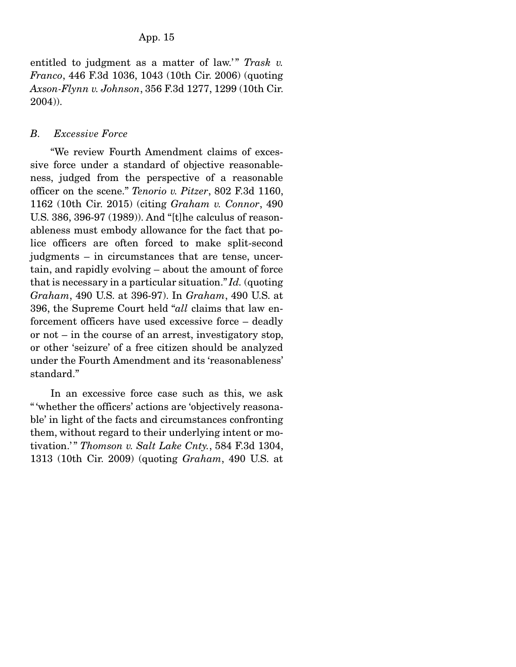entitled to judgment as a matter of law.'" Trask v. *Franco*, 446 F.3d 1036, 1043 (10th Cir. 2006) (quoting *Axson-Flynn v. Johnson*, 356 F.3d 1277, 1299 (10th Cir. 2004)).

# *B. Excessive Force*

 "We review Fourth Amendment claims of excessive force under a standard of objective reasonableness, judged from the perspective of a reasonable officer on the scene." *Tenorio v. Pitzer*, 802 F.3d 1160, 1162 (10th Cir. 2015) (citing *Graham v. Connor*, 490 U.S. 386, 396-97 (1989)). And "[t]he calculus of reasonableness must embody allowance for the fact that police officers are often forced to make split-second judgments – in circumstances that are tense, uncertain, and rapidly evolving – about the amount of force that is necessary in a particular situation." *Id.* (quoting *Graham*, 490 U.S. at 396-97). In *Graham*, 490 U.S. at 396, the Supreme Court held "*all* claims that law enforcement officers have used excessive force – deadly or not – in the course of an arrest, investigatory stop, or other 'seizure' of a free citizen should be analyzed under the Fourth Amendment and its 'reasonableness' standard."

 In an excessive force case such as this, we ask " 'whether the officers' actions are 'objectively reasonable' in light of the facts and circumstances confronting them, without regard to their underlying intent or motivation.'" *Thomson v. Salt Lake Cnty.*, 584 F.3d 1304, 1313 (10th Cir. 2009) (quoting *Graham*, 490 U.S. at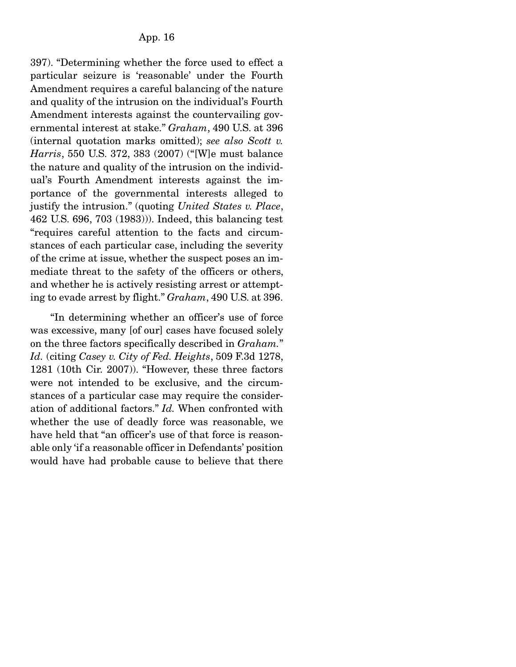397). "Determining whether the force used to effect a particular seizure is 'reasonable' under the Fourth Amendment requires a careful balancing of the nature and quality of the intrusion on the individual's Fourth Amendment interests against the countervailing governmental interest at stake." *Graham*, 490 U.S. at 396 (internal quotation marks omitted); *see also Scott v. Harris*, 550 U.S. 372, 383 (2007) ("[W]e must balance the nature and quality of the intrusion on the individual's Fourth Amendment interests against the importance of the governmental interests alleged to justify the intrusion." (quoting *United States v. Place*, 462 U.S. 696, 703 (1983))). Indeed, this balancing test "requires careful attention to the facts and circumstances of each particular case, including the severity of the crime at issue, whether the suspect poses an immediate threat to the safety of the officers or others, and whether he is actively resisting arrest or attempting to evade arrest by flight." *Graham*, 490 U.S. at 396.

 "In determining whether an officer's use of force was excessive, many [of our] cases have focused solely on the three factors specifically described in *Graham.*" *Id.* (citing *Casey v. City of Fed. Heights*, 509 F.3d 1278, 1281 (10th Cir. 2007)). "However, these three factors were not intended to be exclusive, and the circumstances of a particular case may require the consideration of additional factors." *Id.* When confronted with whether the use of deadly force was reasonable, we have held that "an officer's use of that force is reasonable only 'if a reasonable officer in Defendants' position would have had probable cause to believe that there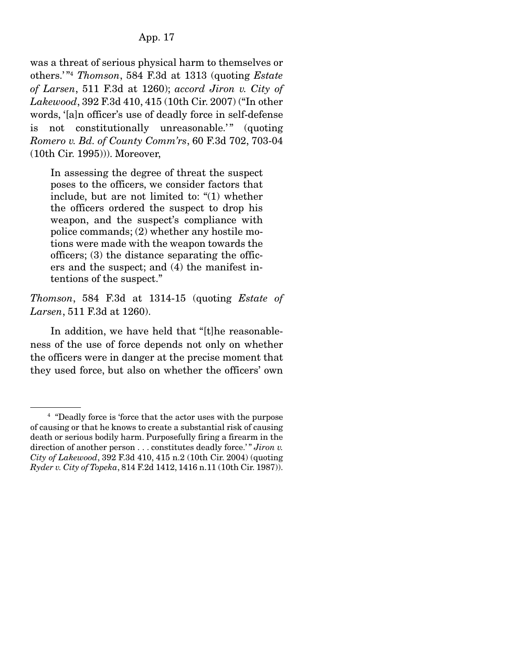## App. 17

was a threat of serious physical harm to themselves or others.' "4 *Thomson*, 584 F.3d at 1313 (quoting *Estate of Larsen*, 511 F.3d at 1260); *accord Jiron v. City of Lakewood*, 392 F.3d 410, 415 (10th Cir. 2007) ("In other words, '[a]n officer's use of deadly force in self-defense is not constitutionally unreasonable." (quoting *Romero v. Bd. of County Comm'rs*, 60 F.3d 702, 703-04 (10th Cir. 1995))). Moreover,

In assessing the degree of threat the suspect poses to the officers, we consider factors that include, but are not limited to: "(1) whether the officers ordered the suspect to drop his weapon, and the suspect's compliance with police commands; (2) whether any hostile motions were made with the weapon towards the officers; (3) the distance separating the officers and the suspect; and (4) the manifest intentions of the suspect."

*Thomson*, 584 F.3d at 1314-15 (quoting *Estate of Larsen*, 511 F.3d at 1260).

 In addition, we have held that "[t]he reasonableness of the use of force depends not only on whether the officers were in danger at the precise moment that they used force, but also on whether the officers' own

<sup>4</sup> "Deadly force is 'force that the actor uses with the purpose of causing or that he knows to create a substantial risk of causing death or serious bodily harm. Purposefully firing a firearm in the direction of another person . . . constitutes deadly force.'" *Jiron v. City of Lakewood*, 392 F.3d 410, 415 n.2 (10th Cir. 2004) (quoting *Ryder v. City of Topeka*, 814 F.2d 1412, 1416 n.11 (10th Cir. 1987)).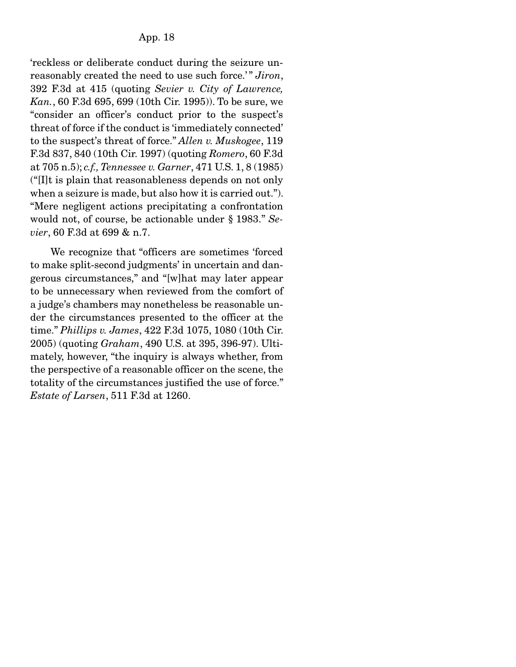'reckless or deliberate conduct during the seizure unreasonably created the need to use such force.'" Jiron, 392 F.3d at 415 (quoting *Sevier v. City of Lawrence, Kan.*, 60 F.3d 695, 699 (10th Cir. 1995)). To be sure, we "consider an officer's conduct prior to the suspect's threat of force if the conduct is 'immediately connected' to the suspect's threat of force." *Allen v. Muskogee*, 119 F.3d 837, 840 (10th Cir. 1997) (quoting *Romero*, 60 F.3d at 705 n.5); *c.f., Tennessee v. Garner*, 471 U.S. 1, 8 (1985) ("[I]t is plain that reasonableness depends on not only when a seizure is made, but also how it is carried out."). "Mere negligent actions precipitating a confrontation would not, of course, be actionable under § 1983." *Sevier*, 60 F.3d at 699 & n.7.

 We recognize that "officers are sometimes 'forced to make split-second judgments' in uncertain and dangerous circumstances," and "[w]hat may later appear to be unnecessary when reviewed from the comfort of a judge's chambers may nonetheless be reasonable under the circumstances presented to the officer at the time." *Phillips v. James*, 422 F.3d 1075, 1080 (10th Cir. 2005) (quoting *Graham*, 490 U.S. at 395, 396-97). Ultimately, however, "the inquiry is always whether, from the perspective of a reasonable officer on the scene, the totality of the circumstances justified the use of force." *Estate of Larsen*, 511 F.3d at 1260.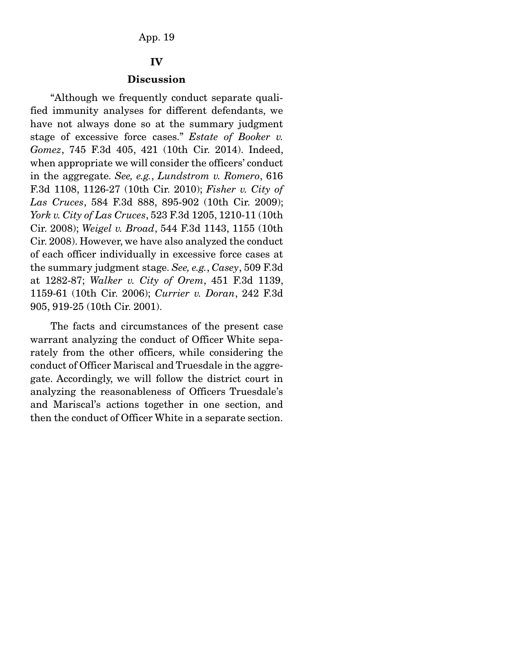#### App. 19

#### IV

#### **Discussion**

 "Although we frequently conduct separate qualified immunity analyses for different defendants, we have not always done so at the summary judgment stage of excessive force cases." *Estate of Booker v. Gomez*, 745 F.3d 405, 421 (10th Cir. 2014). Indeed, when appropriate we will consider the officers' conduct in the aggregate. *See, e.g.*, *Lundstrom v. Romero*, 616 F.3d 1108, 1126-27 (10th Cir. 2010); *Fisher v. City of Las Cruces*, 584 F.3d 888, 895-902 (10th Cir. 2009); *York v. City of Las Cruces*, 523 F.3d 1205, 1210-11 (10th Cir. 2008); *Weigel v. Broad*, 544 F.3d 1143, 1155 (10th Cir. 2008). However, we have also analyzed the conduct of each officer individually in excessive force cases at the summary judgment stage. *See, e.g.*, *Casey*, 509 F.3d at 1282-87; *Walker v. City of Orem*, 451 F.3d 1139, 1159-61 (10th Cir. 2006); *Currier v. Doran*, 242 F.3d 905, 919-25 (10th Cir. 2001).

 The facts and circumstances of the present case warrant analyzing the conduct of Officer White separately from the other officers, while considering the conduct of Officer Mariscal and Truesdale in the aggregate. Accordingly, we will follow the district court in analyzing the reasonableness of Officers Truesdale's and Mariscal's actions together in one section, and then the conduct of Officer White in a separate section.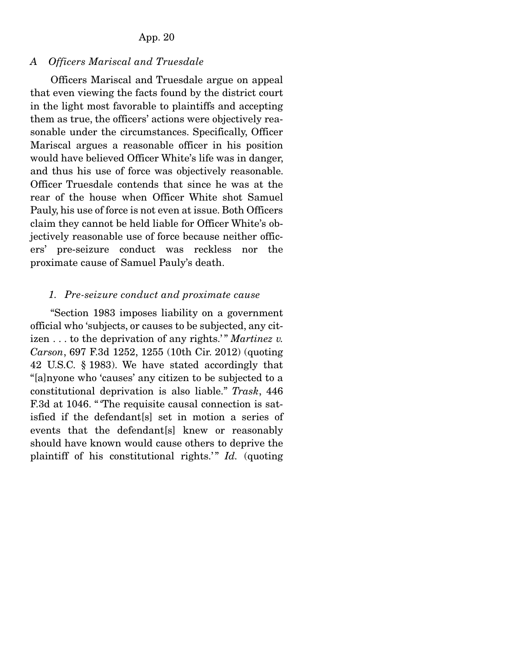#### App. 20

## *A Officers Mariscal and Truesdale*

 Officers Mariscal and Truesdale argue on appeal that even viewing the facts found by the district court in the light most favorable to plaintiffs and accepting them as true, the officers' actions were objectively reasonable under the circumstances. Specifically, Officer Mariscal argues a reasonable officer in his position would have believed Officer White's life was in danger, and thus his use of force was objectively reasonable. Officer Truesdale contends that since he was at the rear of the house when Officer White shot Samuel Pauly, his use of force is not even at issue. Both Officers claim they cannot be held liable for Officer White's objectively reasonable use of force because neither officers' pre-seizure conduct was reckless nor the proximate cause of Samuel Pauly's death.

#### *1. Pre-seizure conduct and proximate cause*

 "Section 1983 imposes liability on a government official who 'subjects, or causes to be subjected, any citizen . . . to the deprivation of any rights.' " *Martinez v. Carson*, 697 F.3d 1252, 1255 (10th Cir. 2012) (quoting 42 U.S.C. § 1983). We have stated accordingly that "[a]nyone who 'causes' any citizen to be subjected to a constitutional deprivation is also liable." *Trask*, 446 F.3d at 1046. "The requisite causal connection is satisfied if the defendant[s] set in motion a series of events that the defendant[s] knew or reasonably should have known would cause others to deprive the plaintiff of his constitutional rights.'" *Id.* (quoting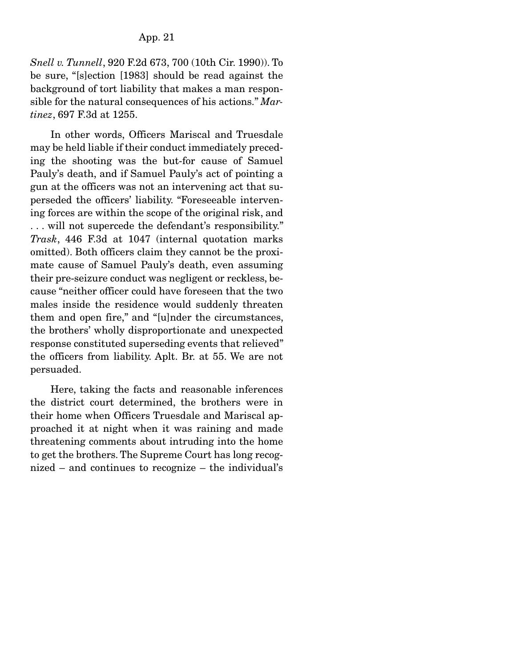*Snell v. Tunnell*, 920 F.2d 673, 700 (10th Cir. 1990)). To be sure, "[s]ection [1983] should be read against the background of tort liability that makes a man responsible for the natural consequences of his actions." *Martinez*, 697 F.3d at 1255.

 In other words, Officers Mariscal and Truesdale may be held liable if their conduct immediately preceding the shooting was the but-for cause of Samuel Pauly's death, and if Samuel Pauly's act of pointing a gun at the officers was not an intervening act that superseded the officers' liability. "Foreseeable intervening forces are within the scope of the original risk, and . . . will not supercede the defendant's responsibility." *Trask*, 446 F.3d at 1047 (internal quotation marks omitted). Both officers claim they cannot be the proximate cause of Samuel Pauly's death, even assuming their pre-seizure conduct was negligent or reckless, because "neither officer could have foreseen that the two males inside the residence would suddenly threaten them and open fire," and "[u]nder the circumstances, the brothers' wholly disproportionate and unexpected response constituted superseding events that relieved" the officers from liability. Aplt. Br. at 55. We are not persuaded.

 Here, taking the facts and reasonable inferences the district court determined, the brothers were in their home when Officers Truesdale and Mariscal approached it at night when it was raining and made threatening comments about intruding into the home to get the brothers. The Supreme Court has long recognized – and continues to recognize – the individual's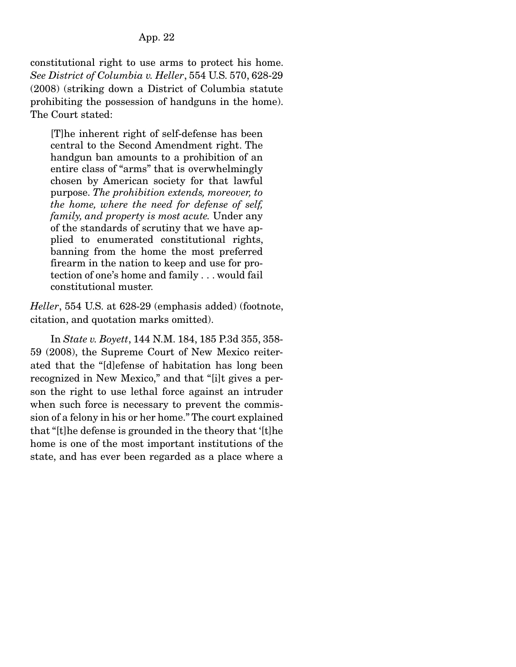## App. 22

constitutional right to use arms to protect his home. *See District of Columbia v. Heller*, 554 U.S. 570, 628-29 (2008) (striking down a District of Columbia statute prohibiting the possession of handguns in the home). The Court stated:

[T]he inherent right of self-defense has been central to the Second Amendment right. The handgun ban amounts to a prohibition of an entire class of "arms" that is overwhelmingly chosen by American society for that lawful purpose. *The prohibition extends, moreover, to the home, where the need for defense of self, family, and property is most acute.* Under any of the standards of scrutiny that we have applied to enumerated constitutional rights, banning from the home the most preferred firearm in the nation to keep and use for protection of one's home and family . . . would fail constitutional muster.

*Heller*, 554 U.S. at 628-29 (emphasis added) (footnote, citation, and quotation marks omitted).

 In *State v. Boyett*, 144 N.M. 184, 185 P.3d 355, 358- 59 (2008), the Supreme Court of New Mexico reiterated that the "[d]efense of habitation has long been recognized in New Mexico," and that "[i]t gives a person the right to use lethal force against an intruder when such force is necessary to prevent the commission of a felony in his or her home." The court explained that "[t]he defense is grounded in the theory that '[t]he home is one of the most important institutions of the state, and has ever been regarded as a place where a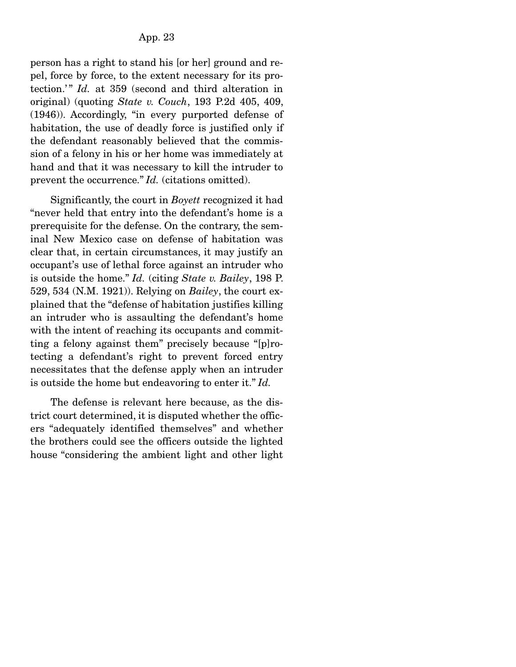person has a right to stand his [or her] ground and repel, force by force, to the extent necessary for its protection.'" *Id.* at 359 (second and third alteration in original) (quoting *State v. Couch*, 193 P.2d 405, 409, (1946)). Accordingly, "in every purported defense of habitation, the use of deadly force is justified only if the defendant reasonably believed that the commission of a felony in his or her home was immediately at hand and that it was necessary to kill the intruder to prevent the occurrence." *Id.* (citations omitted).

 Significantly, the court in *Boyett* recognized it had "never held that entry into the defendant's home is a prerequisite for the defense. On the contrary, the seminal New Mexico case on defense of habitation was clear that, in certain circumstances, it may justify an occupant's use of lethal force against an intruder who is outside the home." *Id.* (citing *State v. Bailey*, 198 P. 529, 534 (N.M. 1921)). Relying on *Bailey*, the court explained that the "defense of habitation justifies killing an intruder who is assaulting the defendant's home with the intent of reaching its occupants and committing a felony against them" precisely because "[p]rotecting a defendant's right to prevent forced entry necessitates that the defense apply when an intruder is outside the home but endeavoring to enter it." *Id.*

 The defense is relevant here because, as the district court determined, it is disputed whether the officers "adequately identified themselves" and whether the brothers could see the officers outside the lighted house "considering the ambient light and other light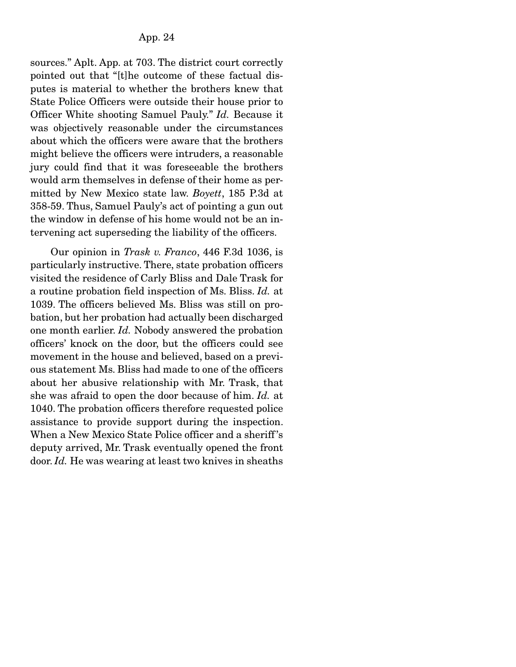sources." Aplt. App. at 703. The district court correctly pointed out that "[t]he outcome of these factual disputes is material to whether the brothers knew that State Police Officers were outside their house prior to Officer White shooting Samuel Pauly." *Id.* Because it was objectively reasonable under the circumstances about which the officers were aware that the brothers might believe the officers were intruders, a reasonable jury could find that it was foreseeable the brothers would arm themselves in defense of their home as permitted by New Mexico state law. *Boyett*, 185 P.3d at 358-59. Thus, Samuel Pauly's act of pointing a gun out the window in defense of his home would not be an intervening act superseding the liability of the officers.

 Our opinion in *Trask v. Franco*, 446 F.3d 1036, is particularly instructive. There, state probation officers visited the residence of Carly Bliss and Dale Trask for a routine probation field inspection of Ms. Bliss. *Id.* at 1039. The officers believed Ms. Bliss was still on probation, but her probation had actually been discharged one month earlier. *Id.* Nobody answered the probation officers' knock on the door, but the officers could see movement in the house and believed, based on a previous statement Ms. Bliss had made to one of the officers about her abusive relationship with Mr. Trask, that she was afraid to open the door because of him. *Id.* at 1040. The probation officers therefore requested police assistance to provide support during the inspection. When a New Mexico State Police officer and a sheriff 's deputy arrived, Mr. Trask eventually opened the front door. *Id.* He was wearing at least two knives in sheaths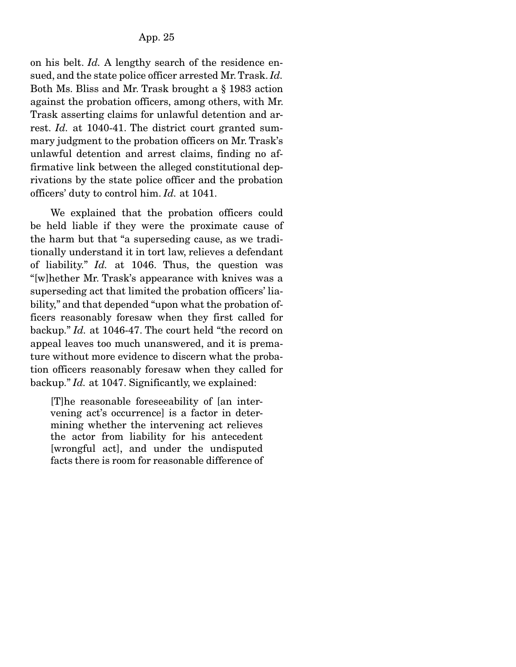on his belt. *Id.* A lengthy search of the residence ensued, and the state police officer arrested Mr. Trask. *Id.* Both Ms. Bliss and Mr. Trask brought a § 1983 action against the probation officers, among others, with Mr. Trask asserting claims for unlawful detention and arrest. *Id.* at 1040-41. The district court granted summary judgment to the probation officers on Mr. Trask's unlawful detention and arrest claims, finding no affirmative link between the alleged constitutional deprivations by the state police officer and the probation officers' duty to control him. *Id.* at 1041.

 We explained that the probation officers could be held liable if they were the proximate cause of the harm but that "a superseding cause, as we traditionally understand it in tort law, relieves a defendant of liability." *Id.* at 1046. Thus, the question was "[w]hether Mr. Trask's appearance with knives was a superseding act that limited the probation officers' liability," and that depended "upon what the probation officers reasonably foresaw when they first called for backup." *Id.* at 1046-47. The court held "the record on appeal leaves too much unanswered, and it is premature without more evidence to discern what the probation officers reasonably foresaw when they called for backup." *Id.* at 1047. Significantly, we explained:

[T]he reasonable foreseeability of [an intervening act's occurrence] is a factor in determining whether the intervening act relieves the actor from liability for his antecedent [wrongful act], and under the undisputed facts there is room for reasonable difference of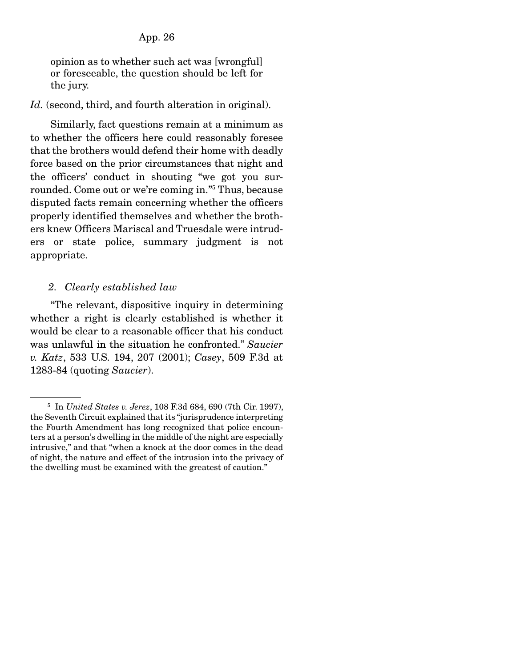opinion as to whether such act was [wrongful] or foreseeable, the question should be left for the jury.

### Id. (second, third, and fourth alteration in original).

 Similarly, fact questions remain at a minimum as to whether the officers here could reasonably foresee that the brothers would defend their home with deadly force based on the prior circumstances that night and the officers' conduct in shouting "we got you surrounded. Come out or we're coming in."5 Thus, because disputed facts remain concerning whether the officers properly identified themselves and whether the brothers knew Officers Mariscal and Truesdale were intruders or state police, summary judgment is not appropriate.

## *2. Clearly established law*

 "The relevant, dispositive inquiry in determining whether a right is clearly established is whether it would be clear to a reasonable officer that his conduct was unlawful in the situation he confronted." *Saucier v. Katz*, 533 U.S. 194, 207 (2001); *Casey*, 509 F.3d at 1283-84 (quoting *Saucier*).

<sup>5</sup> In *United States v. Jerez*, 108 F.3d 684, 690 (7th Cir. 1997), the Seventh Circuit explained that its "jurisprudence interpreting the Fourth Amendment has long recognized that police encounters at a person's dwelling in the middle of the night are especially intrusive," and that "when a knock at the door comes in the dead of night, the nature and effect of the intrusion into the privacy of the dwelling must be examined with the greatest of caution."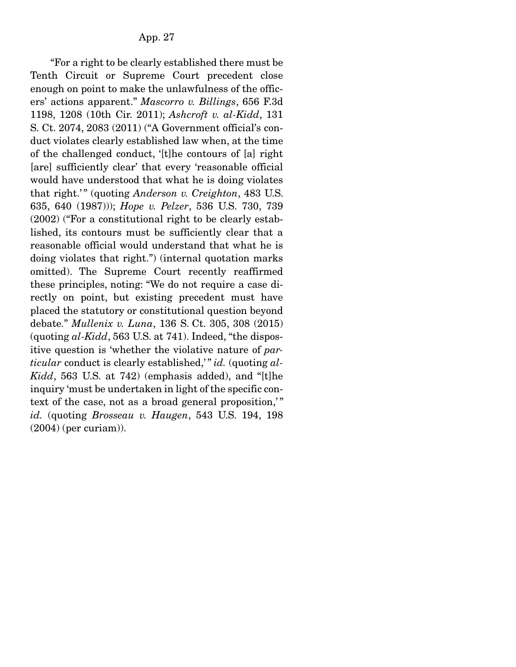"For a right to be clearly established there must be Tenth Circuit or Supreme Court precedent close enough on point to make the unlawfulness of the officers' actions apparent." *Mascorro v. Billings*, 656 F.3d 1198, 1208 (10th Cir. 2011); *Ashcroft v. al-Kidd*, 131 S. Ct. 2074, 2083 (2011) ("A Government official's conduct violates clearly established law when, at the time of the challenged conduct, '[t]he contours of [a] right [are] sufficiently clear' that every 'reasonable official would have understood that what he is doing violates that right.'" (quoting *Anderson v. Creighton*, 483 U.S. 635, 640 (1987))); *Hope v. Pelzer*, 536 U.S. 730, 739 (2002) ("For a constitutional right to be clearly established, its contours must be sufficiently clear that a reasonable official would understand that what he is doing violates that right.") (internal quotation marks omitted). The Supreme Court recently reaffirmed these principles, noting: "We do not require a case directly on point, but existing precedent must have placed the statutory or constitutional question beyond debate." *Mullenix v. Luna*, 136 S. Ct. 305, 308 (2015) (quoting *al-Kidd*, 563 U.S. at 741). Indeed, "the dispositive question is 'whether the violative nature of *particular* conduct is clearly established," *id.* (quoting al-*Kidd*, 563 U.S. at 742) (emphasis added), and "[t]he inquiry 'must be undertaken in light of the specific context of the case, not as a broad general proposition," *id.* (quoting *Brosseau v. Haugen*, 543 U.S. 194, 198 (2004) (per curiam)).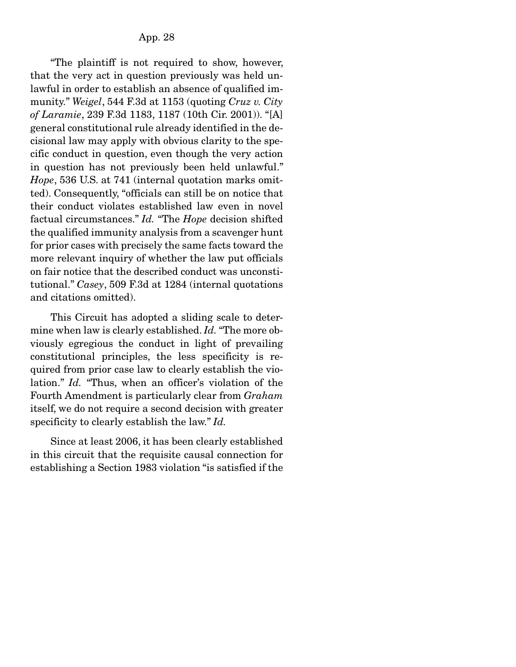"The plaintiff is not required to show, however, that the very act in question previously was held unlawful in order to establish an absence of qualified immunity." *Weigel*, 544 F.3d at 1153 (quoting *Cruz v. City of Laramie*, 239 F.3d 1183, 1187 (10th Cir. 2001)). "[A] general constitutional rule already identified in the decisional law may apply with obvious clarity to the specific conduct in question, even though the very action in question has not previously been held unlawful." *Hope*, 536 U.S. at 741 (internal quotation marks omitted). Consequently, "officials can still be on notice that their conduct violates established law even in novel factual circumstances." *Id.* "The *Hope* decision shifted the qualified immunity analysis from a scavenger hunt for prior cases with precisely the same facts toward the more relevant inquiry of whether the law put officials on fair notice that the described conduct was unconstitutional." *Casey*, 509 F.3d at 1284 (internal quotations and citations omitted).

 This Circuit has adopted a sliding scale to determine when law is clearly established. *Id.* "The more obviously egregious the conduct in light of prevailing constitutional principles, the less specificity is required from prior case law to clearly establish the violation." *Id.* "Thus, when an officer's violation of the Fourth Amendment is particularly clear from *Graham* itself, we do not require a second decision with greater specificity to clearly establish the law." *Id.*

 Since at least 2006, it has been clearly established in this circuit that the requisite causal connection for establishing a Section 1983 violation "is satisfied if the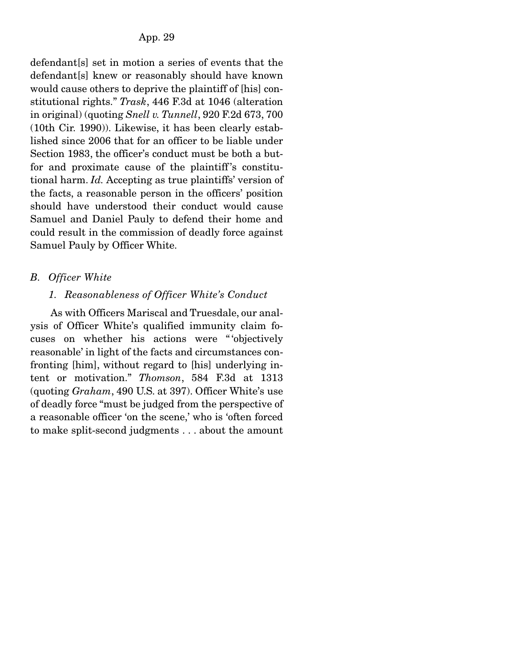defendant[s] set in motion a series of events that the defendant[s] knew or reasonably should have known would cause others to deprive the plaintiff of [his] constitutional rights." *Trask*, 446 F.3d at 1046 (alteration in original) (quoting *Snell v. Tunnell*, 920 F.2d 673, 700 (10th Cir. 1990)). Likewise, it has been clearly established since 2006 that for an officer to be liable under Section 1983, the officer's conduct must be both a butfor and proximate cause of the plaintiff's constitutional harm. *Id.* Accepting as true plaintiffs' version of the facts, a reasonable person in the officers' position should have understood their conduct would cause Samuel and Daniel Pauly to defend their home and could result in the commission of deadly force against Samuel Pauly by Officer White.

# *B. Officer White*

# *1. Reasonableness of Officer White's Conduct*

 As with Officers Mariscal and Truesdale, our analysis of Officer White's qualified immunity claim focuses on whether his actions were " 'objectively reasonable' in light of the facts and circumstances confronting [him], without regard to [his] underlying intent or motivation." *Thomson*, 584 F.3d at 1313 (quoting *Graham*, 490 U.S. at 397). Officer White's use of deadly force "must be judged from the perspective of a reasonable officer 'on the scene,' who is 'often forced to make split-second judgments . . . about the amount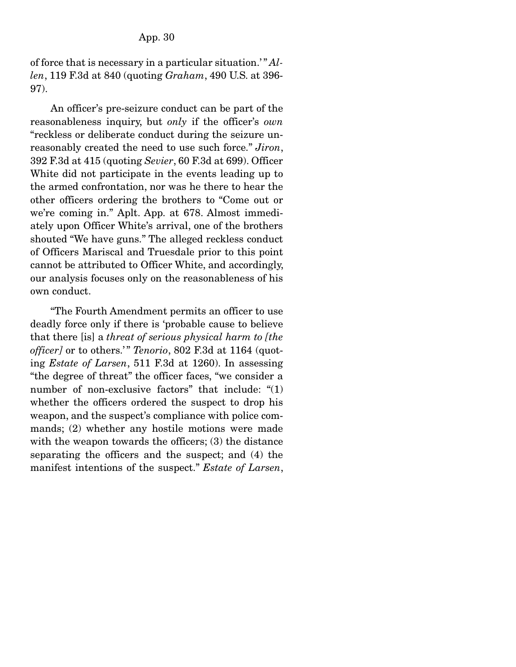of force that is necessary in a particular situation.' " *Allen*, 119 F.3d at 840 (quoting *Graham*, 490 U.S. at 396- 97).

 An officer's pre-seizure conduct can be part of the reasonableness inquiry, but *only* if the officer's *own* "reckless or deliberate conduct during the seizure unreasonably created the need to use such force." *Jiron*, 392 F.3d at 415 (quoting *Sevier*, 60 F.3d at 699). Officer White did not participate in the events leading up to the armed confrontation, nor was he there to hear the other officers ordering the brothers to "Come out or we're coming in." Aplt. App. at 678. Almost immediately upon Officer White's arrival, one of the brothers shouted "We have guns." The alleged reckless conduct of Officers Mariscal and Truesdale prior to this point cannot be attributed to Officer White, and accordingly, our analysis focuses only on the reasonableness of his own conduct.

 "The Fourth Amendment permits an officer to use deadly force only if there is 'probable cause to believe that there [is] a *threat of serious physical harm to [the officer]* or to others." *Tenorio*, 802 F.3d at 1164 (quoting *Estate of Larsen*, 511 F.3d at 1260). In assessing "the degree of threat" the officer faces, "we consider a number of non-exclusive factors" that include: "(1) whether the officers ordered the suspect to drop his weapon, and the suspect's compliance with police commands; (2) whether any hostile motions were made with the weapon towards the officers; (3) the distance separating the officers and the suspect; and (4) the manifest intentions of the suspect." *Estate of Larsen*,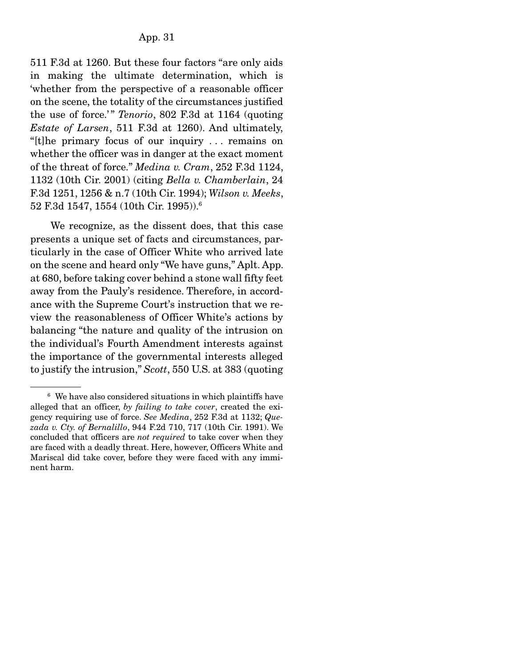511 F.3d at 1260. But these four factors "are only aids in making the ultimate determination, which is 'whether from the perspective of a reasonable officer on the scene, the totality of the circumstances justified the use of force.'" *Tenorio*, 802 F.3d at 1164 (quoting *Estate of Larsen*, 511 F.3d at 1260). And ultimately, "[t]he primary focus of our inquiry . . . remains on whether the officer was in danger at the exact moment of the threat of force." *Medina v. Cram*, 252 F.3d 1124, 1132 (10th Cir. 2001) (citing *Bella v. Chamberlain*, 24 F.3d 1251, 1256 & n.7 (10th Cir. 1994); *Wilson v. Meeks*, 52 F.3d 1547, 1554 (10th Cir. 1995)).6

 We recognize, as the dissent does, that this case presents a unique set of facts and circumstances, particularly in the case of Officer White who arrived late on the scene and heard only "We have guns," Aplt. App. at 680, before taking cover behind a stone wall fifty feet away from the Pauly's residence. Therefore, in accordance with the Supreme Court's instruction that we review the reasonableness of Officer White's actions by balancing "the nature and quality of the intrusion on the individual's Fourth Amendment interests against the importance of the governmental interests alleged to justify the intrusion," *Scott*, 550 U.S. at 383 (quoting

<sup>&</sup>lt;sup>6</sup> We have also considered situations in which plaintiffs have alleged that an officer, *by failing to take cover*, created the exigency requiring use of force. *See Medina*, 252 F.3d at 1132; *Quezada v. Cty. of Bernalillo*, 944 F.2d 710, 717 (10th Cir. 1991). We concluded that officers are *not required* to take cover when they are faced with a deadly threat. Here, however, Officers White and Mariscal did take cover, before they were faced with any imminent harm.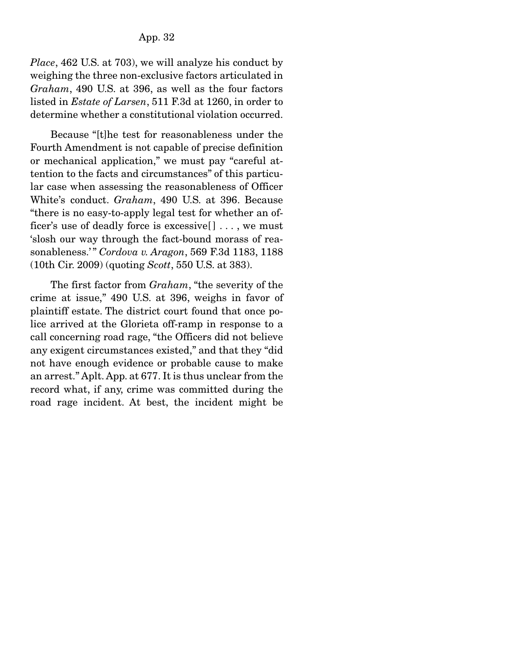*Place*, 462 U.S. at 703), we will analyze his conduct by weighing the three non-exclusive factors articulated in *Graham*, 490 U.S. at 396, as well as the four factors listed in *Estate of Larsen*, 511 F.3d at 1260, in order to determine whether a constitutional violation occurred.

 Because "[t]he test for reasonableness under the Fourth Amendment is not capable of precise definition or mechanical application," we must pay "careful attention to the facts and circumstances" of this particular case when assessing the reasonableness of Officer White's conduct. *Graham*, 490 U.S. at 396. Because "there is no easy-to-apply legal test for whether an officer's use of deadly force is excessive[ ] . . . , we must 'slosh our way through the fact-bound morass of reasonableness.'" *Cordova v. Aragon*, 569 F.3d 1183, 1188 (10th Cir. 2009) (quoting *Scott*, 550 U.S. at 383).

 The first factor from *Graham*, "the severity of the crime at issue," 490 U.S. at 396, weighs in favor of plaintiff estate. The district court found that once police arrived at the Glorieta off-ramp in response to a call concerning road rage, "the Officers did not believe any exigent circumstances existed," and that they "did not have enough evidence or probable cause to make an arrest." Aplt. App. at 677. It is thus unclear from the record what, if any, crime was committed during the road rage incident. At best, the incident might be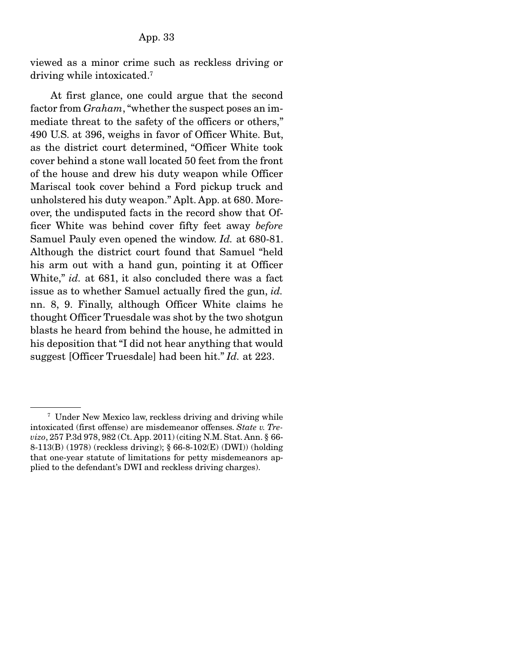viewed as a minor crime such as reckless driving or driving while intoxicated.7

 At first glance, one could argue that the second factor from *Graham*, "whether the suspect poses an immediate threat to the safety of the officers or others," 490 U.S. at 396, weighs in favor of Officer White. But, as the district court determined, "Officer White took cover behind a stone wall located 50 feet from the front of the house and drew his duty weapon while Officer Mariscal took cover behind a Ford pickup truck and unholstered his duty weapon." Aplt. App. at 680. Moreover, the undisputed facts in the record show that Officer White was behind cover fifty feet away *before* Samuel Pauly even opened the window. *Id.* at 680-81. Although the district court found that Samuel "held his arm out with a hand gun, pointing it at Officer White," *id.* at 681, it also concluded there was a fact issue as to whether Samuel actually fired the gun, *id.* nn. 8, 9. Finally, although Officer White claims he thought Officer Truesdale was shot by the two shotgun blasts he heard from behind the house, he admitted in his deposition that "I did not hear anything that would suggest [Officer Truesdale] had been hit." *Id.* at 223.

<sup>7</sup> Under New Mexico law, reckless driving and driving while intoxicated (first offense) are misdemeanor offenses. *State v. Trevizo*, 257 P.3d 978, 982 (Ct. App. 2011) (citing N.M. Stat. Ann. § 66- 8-113(B) (1978) (reckless driving); § 66-8-102(E) (DWI)) (holding that one-year statute of limitations for petty misdemeanors applied to the defendant's DWI and reckless driving charges).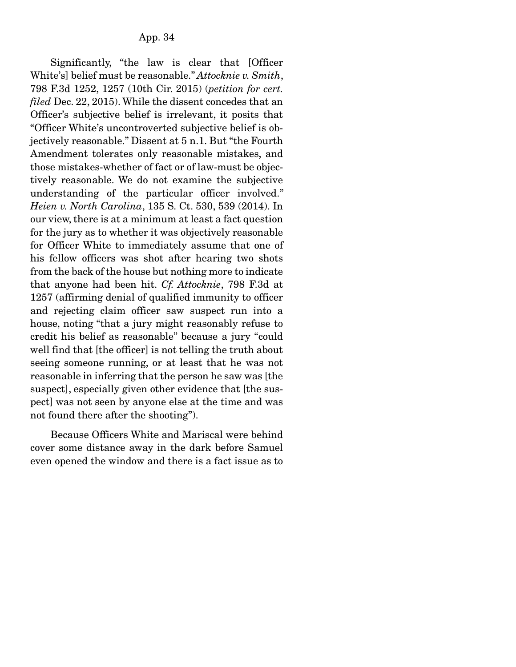Significantly, "the law is clear that [Officer White's] belief must be reasonable." *Attocknie v. Smith*, 798 F.3d 1252, 1257 (10th Cir. 2015) (*petition for cert. filed* Dec. 22, 2015). While the dissent concedes that an Officer's subjective belief is irrelevant, it posits that "Officer White's uncontroverted subjective belief is objectively reasonable." Dissent at 5 n.1. But "the Fourth Amendment tolerates only reasonable mistakes, and those mistakes-whether of fact or of law-must be objectively reasonable. We do not examine the subjective understanding of the particular officer involved." *Heien v. North Carolina*, 135 S. Ct. 530, 539 (2014). In our view, there is at a minimum at least a fact question for the jury as to whether it was objectively reasonable for Officer White to immediately assume that one of his fellow officers was shot after hearing two shots from the back of the house but nothing more to indicate that anyone had been hit. *Cf. Attocknie*, 798 F.3d at 1257 (affirming denial of qualified immunity to officer and rejecting claim officer saw suspect run into a house, noting "that a jury might reasonably refuse to credit his belief as reasonable" because a jury "could well find that [the officer] is not telling the truth about seeing someone running, or at least that he was not reasonable in inferring that the person he saw was [the suspect], especially given other evidence that [the suspect] was not seen by anyone else at the time and was not found there after the shooting").

 Because Officers White and Mariscal were behind cover some distance away in the dark before Samuel even opened the window and there is a fact issue as to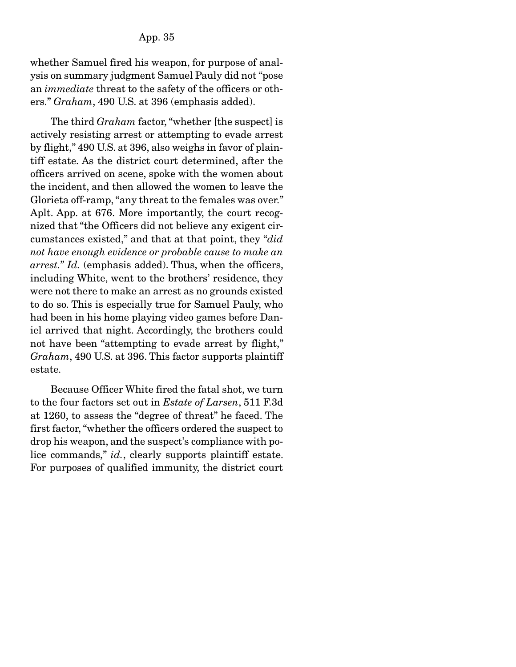whether Samuel fired his weapon, for purpose of analysis on summary judgment Samuel Pauly did not "pose an *immediate* threat to the safety of the officers or others." *Graham*, 490 U.S. at 396 (emphasis added).

 The third *Graham* factor, "whether [the suspect] is actively resisting arrest or attempting to evade arrest by flight," 490 U.S. at 396, also weighs in favor of plaintiff estate. As the district court determined, after the officers arrived on scene, spoke with the women about the incident, and then allowed the women to leave the Glorieta off-ramp, "any threat to the females was over." Aplt. App. at 676. More importantly, the court recognized that "the Officers did not believe any exigent circumstances existed," and that at that point, they "*did not have enough evidence or probable cause to make an arrest.*" *Id.* (emphasis added). Thus, when the officers, including White, went to the brothers' residence, they were not there to make an arrest as no grounds existed to do so. This is especially true for Samuel Pauly, who had been in his home playing video games before Daniel arrived that night. Accordingly, the brothers could not have been "attempting to evade arrest by flight," *Graham*, 490 U.S. at 396. This factor supports plaintiff estate.

 Because Officer White fired the fatal shot, we turn to the four factors set out in *Estate of Larsen*, 511 F.3d at 1260, to assess the "degree of threat" he faced. The first factor, "whether the officers ordered the suspect to drop his weapon, and the suspect's compliance with police commands," *id.*, clearly supports plaintiff estate. For purposes of qualified immunity, the district court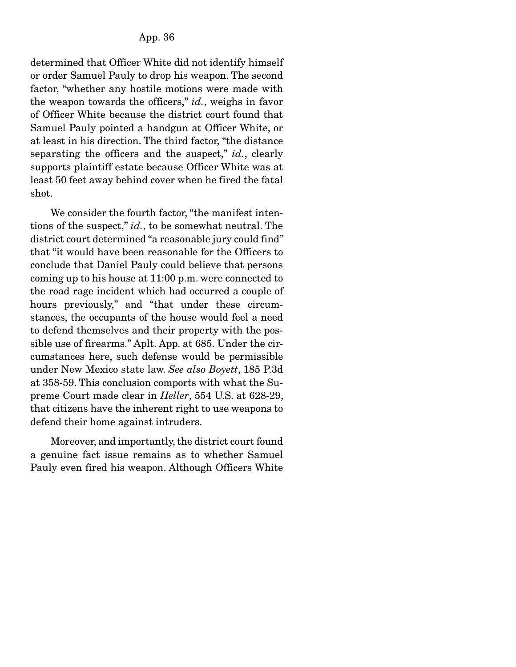determined that Officer White did not identify himself or order Samuel Pauly to drop his weapon. The second factor, "whether any hostile motions were made with the weapon towards the officers," *id.*, weighs in favor of Officer White because the district court found that Samuel Pauly pointed a handgun at Officer White, or at least in his direction. The third factor, "the distance separating the officers and the suspect," *id.*, clearly supports plaintiff estate because Officer White was at least 50 feet away behind cover when he fired the fatal shot.

 We consider the fourth factor, "the manifest intentions of the suspect," *id.*, to be somewhat neutral. The district court determined "a reasonable jury could find" that "it would have been reasonable for the Officers to conclude that Daniel Pauly could believe that persons coming up to his house at 11:00 p.m. were connected to the road rage incident which had occurred a couple of hours previously," and "that under these circumstances, the occupants of the house would feel a need to defend themselves and their property with the possible use of firearms." Aplt. App. at 685. Under the circumstances here, such defense would be permissible under New Mexico state law. *See also Boyett*, 185 P.3d at 358-59. This conclusion comports with what the Supreme Court made clear in *Heller*, 554 U.S. at 628-29, that citizens have the inherent right to use weapons to defend their home against intruders.

 Moreover, and importantly, the district court found a genuine fact issue remains as to whether Samuel Pauly even fired his weapon. Although Officers White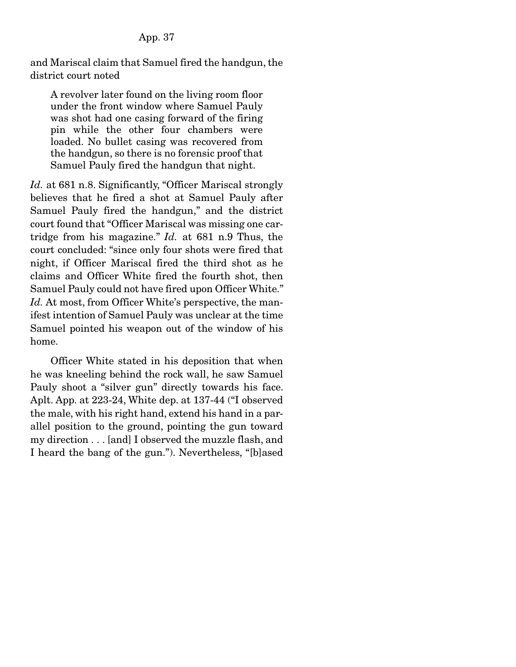and Mariscal claim that Samuel fired the handgun, the district court noted

A revolver later found on the living room floor under the front window where Samuel Pauly was shot had one casing forward of the firing pin while the other four chambers were loaded. No bullet casing was recovered from the handgun, so there is no forensic proof that Samuel Pauly fired the handgun that night.

Id. at 681 n.8. Significantly, "Officer Mariscal strongly believes that he fired a shot at Samuel Pauly after Samuel Pauly fired the handgun," and the district court found that "Officer Mariscal was missing one cartridge from his magazine." *Id.* at 681 n.9 Thus, the court concluded: "since only four shots were fired that night, if Officer Mariscal fired the third shot as he claims and Officer White fired the fourth shot, then Samuel Pauly could not have fired upon Officer White." Id. At most, from Officer White's perspective, the manifest intention of Samuel Pauly was unclear at the time Samuel pointed his weapon out of the window of his home.

 Officer White stated in his deposition that when he was kneeling behind the rock wall, he saw Samuel Pauly shoot a "silver gun" directly towards his face. Aplt. App. at 223-24, White dep. at 137-44 ("I observed the male, with his right hand, extend his hand in a parallel position to the ground, pointing the gun toward my direction . . . [and] I observed the muzzle flash, and I heard the bang of the gun."). Nevertheless, "[b]ased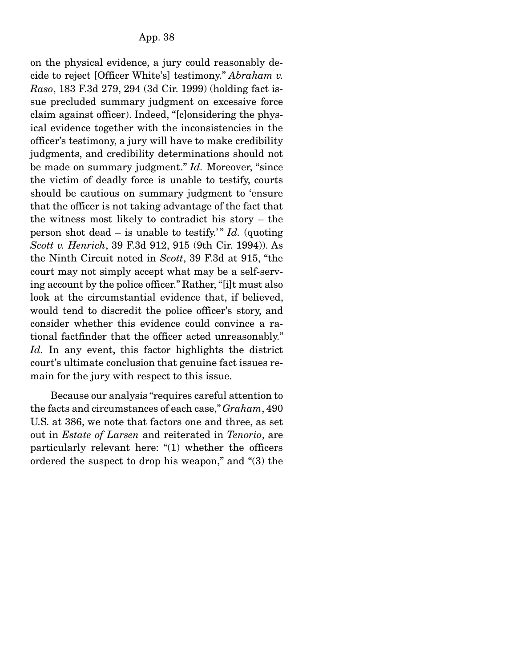on the physical evidence, a jury could reasonably decide to reject [Officer White's] testimony." *Abraham v. Raso*, 183 F.3d 279, 294 (3d Cir. 1999) (holding fact issue precluded summary judgment on excessive force claim against officer). Indeed, "[c]onsidering the physical evidence together with the inconsistencies in the officer's testimony, a jury will have to make credibility judgments, and credibility determinations should not be made on summary judgment." *Id.* Moreover, "since the victim of deadly force is unable to testify, courts should be cautious on summary judgment to 'ensure that the officer is not taking advantage of the fact that the witness most likely to contradict his story – the person shot dead  $-$  is unable to testify.<sup>"</sup> *Id.* (quoting *Scott v. Henrich*, 39 F.3d 912, 915 (9th Cir. 1994)). As the Ninth Circuit noted in *Scott*, 39 F.3d at 915, "the court may not simply accept what may be a self-serving account by the police officer." Rather, "[i]t must also look at the circumstantial evidence that, if believed, would tend to discredit the police officer's story, and consider whether this evidence could convince a rational factfinder that the officer acted unreasonably." *Id.* In any event, this factor highlights the district court's ultimate conclusion that genuine fact issues remain for the jury with respect to this issue.

 Because our analysis "requires careful attention to the facts and circumstances of each case," *Graham*, 490 U.S. at 386, we note that factors one and three, as set out in *Estate of Larsen* and reiterated in *Tenorio*, are particularly relevant here: "(1) whether the officers ordered the suspect to drop his weapon," and "(3) the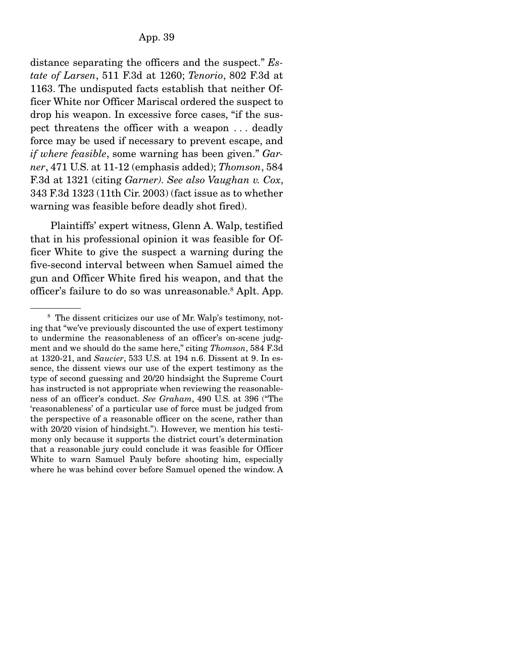distance separating the officers and the suspect." *Estate of Larsen*, 511 F.3d at 1260; *Tenorio*, 802 F.3d at 1163. The undisputed facts establish that neither Officer White nor Officer Mariscal ordered the suspect to drop his weapon. In excessive force cases, "if the suspect threatens the officer with a weapon . . . deadly force may be used if necessary to prevent escape, and *if where feasible*, some warning has been given." *Garner*, 471 U.S. at 11-12 (emphasis added); *Thomson*, 584 F.3d at 1321 (citing *Garner). See also Vaughan v. Cox*, 343 F.3d 1323 (11th Cir. 2003) (fact issue as to whether warning was feasible before deadly shot fired).

 Plaintiffs' expert witness, Glenn A. Walp, testified that in his professional opinion it was feasible for Officer White to give the suspect a warning during the five-second interval between when Samuel aimed the gun and Officer White fired his weapon, and that the officer's failure to do so was unreasonable.8 Aplt. App.

<sup>&</sup>lt;sup>8</sup> The dissent criticizes our use of Mr. Walp's testimony, noting that "we've previously discounted the use of expert testimony to undermine the reasonableness of an officer's on-scene judgment and we should do the same here," citing *Thomson*, 584 F.3d at 1320-21, and *Saucier*, 533 U.S. at 194 n.6. Dissent at 9. In essence, the dissent views our use of the expert testimony as the type of second guessing and 20/20 hindsight the Supreme Court has instructed is not appropriate when reviewing the reasonableness of an officer's conduct. *See Graham*, 490 U.S. at 396 ("The 'reasonableness' of a particular use of force must be judged from the perspective of a reasonable officer on the scene, rather than with 20/20 vision of hindsight."). However, we mention his testimony only because it supports the district court's determination that a reasonable jury could conclude it was feasible for Officer White to warn Samuel Pauly before shooting him, especially where he was behind cover before Samuel opened the window. A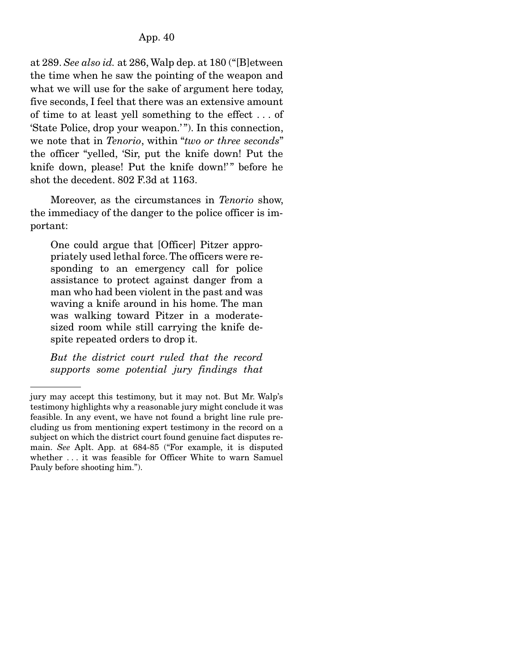at 289. *See also id.* at 286, Walp dep. at 180 ("[B]etween the time when he saw the pointing of the weapon and what we will use for the sake of argument here today, five seconds, I feel that there was an extensive amount of time to at least yell something to the effect . . . of 'State Police, drop your weapon.' "). In this connection, we note that in *Tenorio*, within "*two or three seconds*" the officer "yelled, 'Sir, put the knife down! Put the knife down, please! Put the knife down!" before he shot the decedent. 802 F.3d at 1163.

 Moreover, as the circumstances in *Tenorio* show, the immediacy of the danger to the police officer is important:

One could argue that [Officer] Pitzer appropriately used lethal force. The officers were responding to an emergency call for police assistance to protect against danger from a man who had been violent in the past and was waving a knife around in his home. The man was walking toward Pitzer in a moderatesized room while still carrying the knife despite repeated orders to drop it.

*But the district court ruled that the record supports some potential jury findings that* 

jury may accept this testimony, but it may not. But Mr. Walp's testimony highlights why a reasonable jury might conclude it was feasible. In any event, we have not found a bright line rule precluding us from mentioning expert testimony in the record on a subject on which the district court found genuine fact disputes remain. *See* Aplt. App. at 684-85 ("For example, it is disputed whether . . . it was feasible for Officer White to warn Samuel Pauly before shooting him.").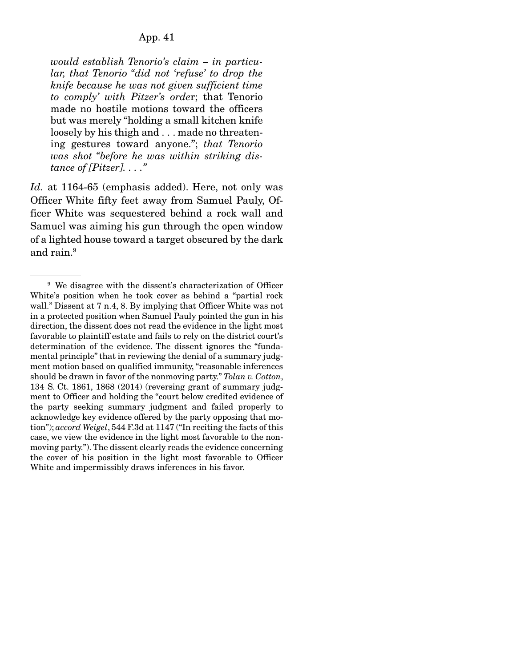*would establish Tenorio's claim – in particular, that Tenorio "did not 'refuse' to drop the knife because he was not given sufficient time to comply' with Pitzer's orde*r; that Tenorio made no hostile motions toward the officers but was merely "holding a small kitchen knife loosely by his thigh and . . . made no threatening gestures toward anyone."; *that Tenorio was shot "before he was within striking distance of [Pitzer]. . . ."*

*Id.* at 1164-65 (emphasis added). Here, not only was Officer White fifty feet away from Samuel Pauly, Officer White was sequestered behind a rock wall and Samuel was aiming his gun through the open window of a lighted house toward a target obscured by the dark and rain.9

<sup>&</sup>lt;sup>9</sup> We disagree with the dissent's characterization of Officer White's position when he took cover as behind a "partial rock wall." Dissent at 7 n.4, 8. By implying that Officer White was not in a protected position when Samuel Pauly pointed the gun in his direction, the dissent does not read the evidence in the light most favorable to plaintiff estate and fails to rely on the district court's determination of the evidence. The dissent ignores the "fundamental principle" that in reviewing the denial of a summary judgment motion based on qualified immunity, "reasonable inferences should be drawn in favor of the nonmoving party." *Tolan v. Cotton*, 134 S. Ct. 1861, 1868 (2014) (reversing grant of summary judgment to Officer and holding the "court below credited evidence of the party seeking summary judgment and failed properly to acknowledge key evidence offered by the party opposing that motion"); *accord Weigel*, 544 F.3d at 1147 ("In reciting the facts of this case, we view the evidence in the light most favorable to the nonmoving party."). The dissent clearly reads the evidence concerning the cover of his position in the light most favorable to Officer White and impermissibly draws inferences in his favor.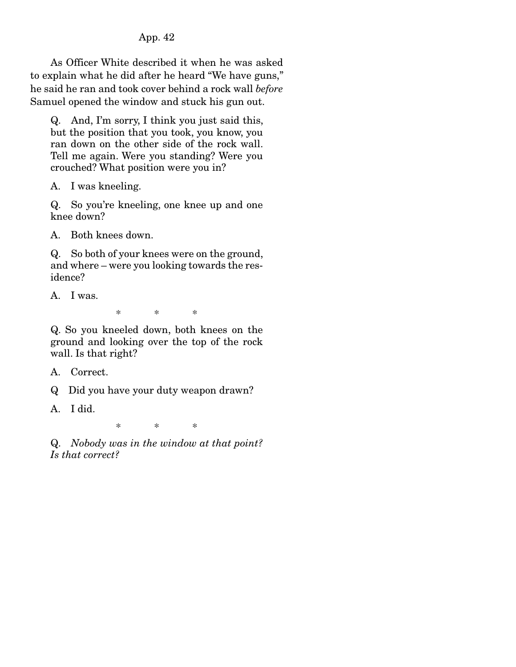As Officer White described it when he was asked to explain what he did after he heard "We have guns," he said he ran and took cover behind a rock wall *before* Samuel opened the window and stuck his gun out.

Q. And, I'm sorry, I think you just said this, but the position that you took, you know, you ran down on the other side of the rock wall. Tell me again. Were you standing? Were you crouched? What position were you in?

A. I was kneeling.

Q. So you're kneeling, one knee up and one knee down?

A. Both knees down.

Q. So both of your knees were on the ground, and where – were you looking towards the residence?

A. I was.

\* \* \*

Q. So you kneeled down, both knees on the ground and looking over the top of the rock wall. Is that right?

A. Correct.

Q Did you have your duty weapon drawn?

A. I did.

\* \* \*

Q. *Nobody was in the window at that point? Is that correct?*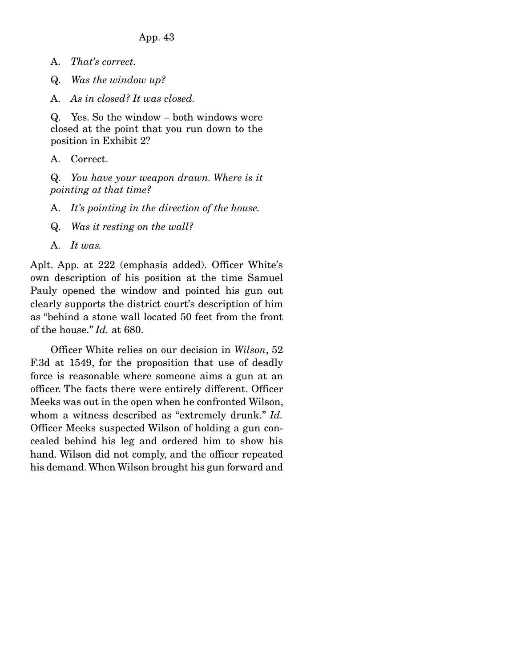- A. *That's correct.*
- Q. *Was the window up?*
- A. *As in closed? It was closed.*

Q. Yes. So the window – both windows were closed at the point that you run down to the position in Exhibit 2?

A. Correct.

Q. *You have your weapon drawn. Where is it pointing at that time?*

- A. *It's pointing in the direction of the house.*
- Q. *Was it resting on the wall?*
- A. *It was.*

Aplt. App. at 222 (emphasis added). Officer White's own description of his position at the time Samuel Pauly opened the window and pointed his gun out clearly supports the district court's description of him as "behind a stone wall located 50 feet from the front of the house." *Id.* at 680.

 Officer White relies on our decision in *Wilson*, 52 F.3d at 1549, for the proposition that use of deadly force is reasonable where someone aims a gun at an officer. The facts there were entirely different. Officer Meeks was out in the open when he confronted Wilson, whom a witness described as "extremely drunk." *Id.* Officer Meeks suspected Wilson of holding a gun concealed behind his leg and ordered him to show his hand. Wilson did not comply, and the officer repeated his demand. When Wilson brought his gun forward and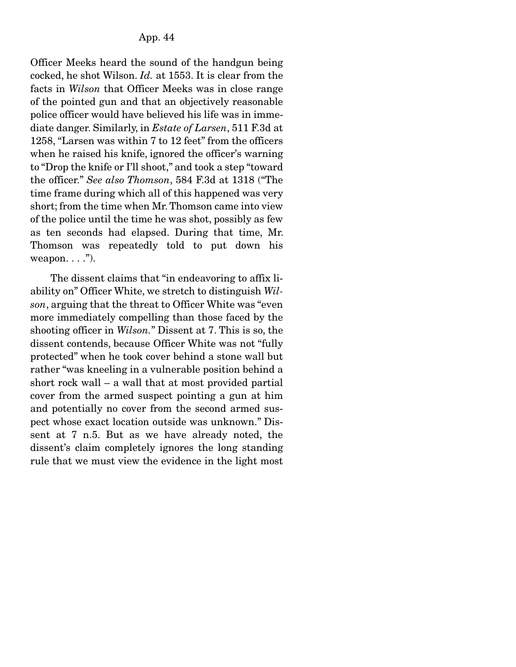Officer Meeks heard the sound of the handgun being cocked, he shot Wilson. *Id.* at 1553. It is clear from the facts in *Wilson* that Officer Meeks was in close range of the pointed gun and that an objectively reasonable police officer would have believed his life was in immediate danger. Similarly, in *Estate of Larsen*, 511 F.3d at 1258, "Larsen was within 7 to 12 feet" from the officers when he raised his knife, ignored the officer's warning to "Drop the knife or I'll shoot," and took a step "toward the officer." *See also Thomson*, 584 F.3d at 1318 ("The time frame during which all of this happened was very short; from the time when Mr. Thomson came into view of the police until the time he was shot, possibly as few as ten seconds had elapsed. During that time, Mr. Thomson was repeatedly told to put down his weapon.  $\dots$ .").

 The dissent claims that "in endeavoring to affix liability on" Officer White, we stretch to distinguish *Wilson*, arguing that the threat to Officer White was "even more immediately compelling than those faced by the shooting officer in *Wilson.*" Dissent at 7. This is so, the dissent contends, because Officer White was not "fully protected" when he took cover behind a stone wall but rather "was kneeling in a vulnerable position behind a short rock wall – a wall that at most provided partial cover from the armed suspect pointing a gun at him and potentially no cover from the second armed suspect whose exact location outside was unknown." Dissent at 7 n.5. But as we have already noted, the dissent's claim completely ignores the long standing rule that we must view the evidence in the light most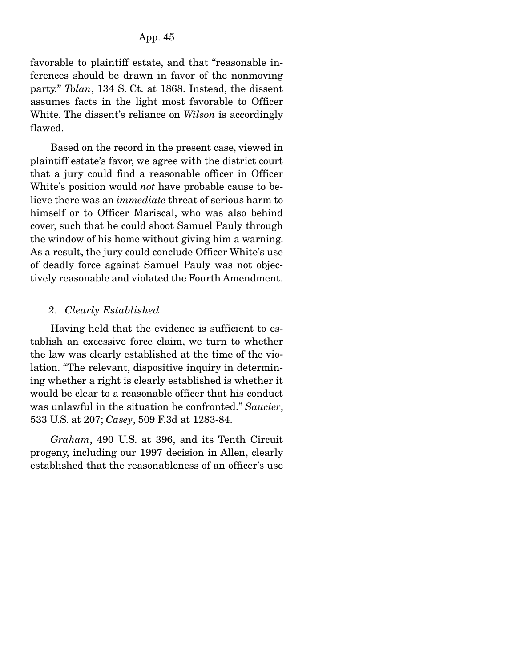favorable to plaintiff estate, and that "reasonable inferences should be drawn in favor of the nonmoving party." *Tolan*, 134 S. Ct. at 1868. Instead, the dissent assumes facts in the light most favorable to Officer White. The dissent's reliance on *Wilson* is accordingly flawed.

 Based on the record in the present case, viewed in plaintiff estate's favor, we agree with the district court that a jury could find a reasonable officer in Officer White's position would *not* have probable cause to believe there was an *immediate* threat of serious harm to himself or to Officer Mariscal, who was also behind cover, such that he could shoot Samuel Pauly through the window of his home without giving him a warning. As a result, the jury could conclude Officer White's use of deadly force against Samuel Pauly was not objectively reasonable and violated the Fourth Amendment.

## *2. Clearly Established*

 Having held that the evidence is sufficient to establish an excessive force claim, we turn to whether the law was clearly established at the time of the violation. "The relevant, dispositive inquiry in determining whether a right is clearly established is whether it would be clear to a reasonable officer that his conduct was unlawful in the situation he confronted." *Saucier*, 533 U.S. at 207; *Casey*, 509 F.3d at 1283-84.

*Graham*, 490 U.S. at 396, and its Tenth Circuit progeny, including our 1997 decision in Allen, clearly established that the reasonableness of an officer's use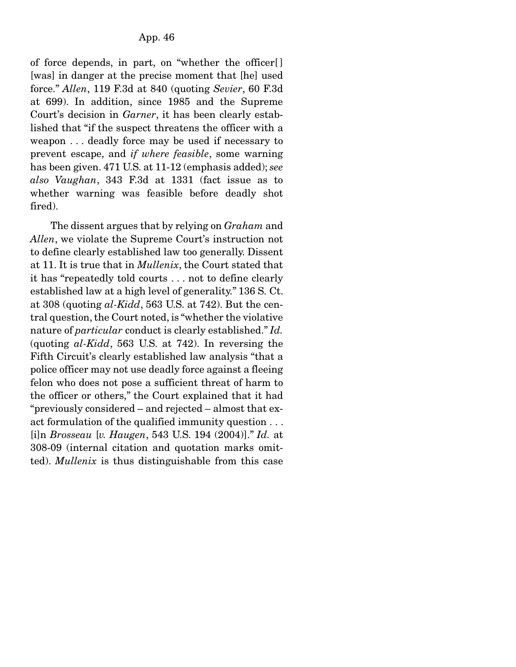of force depends, in part, on "whether the officer[ ] [was] in danger at the precise moment that [he] used force." *Allen*, 119 F.3d at 840 (quoting *Sevier*, 60 F.3d at 699). In addition, since 1985 and the Supreme Court's decision in *Garner*, it has been clearly established that "if the suspect threatens the officer with a weapon . . . deadly force may be used if necessary to prevent escape, and *if where feasible*, some warning has been given. 471 U.S. at 11-12 (emphasis added); *see also Vaughan*, 343 F.3d at 1331 (fact issue as to whether warning was feasible before deadly shot fired).

 The dissent argues that by relying on *Graham* and *Allen*, we violate the Supreme Court's instruction not to define clearly established law too generally. Dissent at 11. It is true that in *Mullenix*, the Court stated that it has "repeatedly told courts . . . not to define clearly established law at a high level of generality." 136 S. Ct. at 308 (quoting *al-Kidd*, 563 U.S. at 742). But the central question, the Court noted, is "whether the violative nature of *particular* conduct is clearly established." *Id.* (quoting *al-Kidd*, 563 U.S. at 742). In reversing the Fifth Circuit's clearly established law analysis "that a police officer may not use deadly force against a fleeing felon who does not pose a sufficient threat of harm to the officer or others," the Court explained that it had "previously considered – and rejected – almost that exact formulation of the qualified immunity question . . . [i]n *Brosseau* [*v. Haugen*, 543 U.S. 194 (2004)]." *Id.* at 308-09 (internal citation and quotation marks omitted). *Mullenix* is thus distinguishable from this case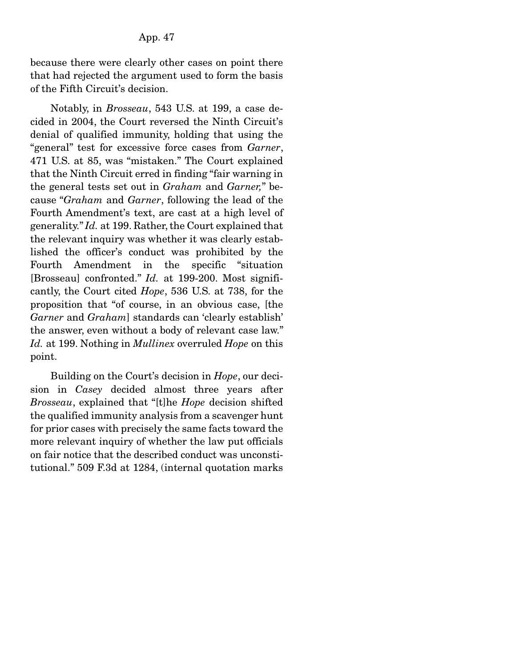because there were clearly other cases on point there that had rejected the argument used to form the basis of the Fifth Circuit's decision.

 Notably, in *Brosseau*, 543 U.S. at 199, a case decided in 2004, the Court reversed the Ninth Circuit's denial of qualified immunity, holding that using the "general" test for excessive force cases from *Garner*, 471 U.S. at 85, was "mistaken." The Court explained that the Ninth Circuit erred in finding "fair warning in the general tests set out in *Graham* and *Garner,*" because "*Graham* and *Garner*, following the lead of the Fourth Amendment's text, are cast at a high level of generality." *Id.* at 199. Rather, the Court explained that the relevant inquiry was whether it was clearly established the officer's conduct was prohibited by the Fourth Amendment in the specific "situation [Brosseau] confronted." *Id.* at 199-200. Most significantly, the Court cited *Hope*, 536 U.S. at 738, for the proposition that "of course, in an obvious case, [the *Garner* and *Graham*] standards can 'clearly establish' the answer, even without a body of relevant case law." *Id.* at 199. Nothing in *Mullinex* overruled *Hope* on this point.

 Building on the Court's decision in *Hope*, our decision in *Casey* decided almost three years after *Brosseau*, explained that "[t]he *Hope* decision shifted the qualified immunity analysis from a scavenger hunt for prior cases with precisely the same facts toward the more relevant inquiry of whether the law put officials on fair notice that the described conduct was unconstitutional." 509 F.3d at 1284, (internal quotation marks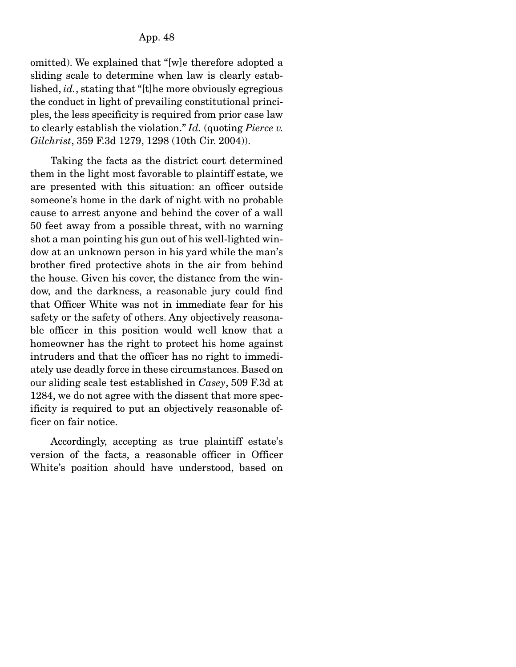omitted). We explained that "[w]e therefore adopted a sliding scale to determine when law is clearly established, *id.*, stating that "[t]he more obviously egregious the conduct in light of prevailing constitutional principles, the less specificity is required from prior case law to clearly establish the violation." *Id.* (quoting *Pierce v. Gilchrist*, 359 F.3d 1279, 1298 (10th Cir. 2004)).

 Taking the facts as the district court determined them in the light most favorable to plaintiff estate, we are presented with this situation: an officer outside someone's home in the dark of night with no probable cause to arrest anyone and behind the cover of a wall 50 feet away from a possible threat, with no warning shot a man pointing his gun out of his well-lighted window at an unknown person in his yard while the man's brother fired protective shots in the air from behind the house. Given his cover, the distance from the window, and the darkness, a reasonable jury could find that Officer White was not in immediate fear for his safety or the safety of others. Any objectively reasonable officer in this position would well know that a homeowner has the right to protect his home against intruders and that the officer has no right to immediately use deadly force in these circumstances. Based on our sliding scale test established in *Casey*, 509 F.3d at 1284, we do not agree with the dissent that more specificity is required to put an objectively reasonable officer on fair notice.

 Accordingly, accepting as true plaintiff estate's version of the facts, a reasonable officer in Officer White's position should have understood, based on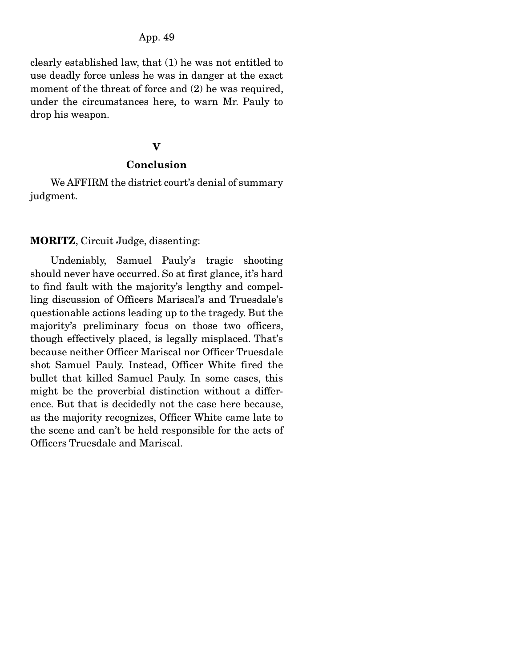clearly established law, that (1) he was not entitled to use deadly force unless he was in danger at the exact moment of the threat of force and  $(2)$  he was required, under the circumstances here, to warn Mr. Pauly to drop his weapon.

#### V

#### Conclusion

 We AFFIRM the district court's denial of summary judgment.

### MORITZ, Circuit Judge, dissenting:

 Undeniably, Samuel Pauly's tragic shooting should never have occurred. So at first glance, it's hard to find fault with the majority's lengthy and compelling discussion of Officers Mariscal's and Truesdale's questionable actions leading up to the tragedy. But the majority's preliminary focus on those two officers, though effectively placed, is legally misplaced. That's because neither Officer Mariscal nor Officer Truesdale shot Samuel Pauly. Instead, Officer White fired the bullet that killed Samuel Pauly. In some cases, this might be the proverbial distinction without a difference. But that is decidedly not the case here because, as the majority recognizes, Officer White came late to the scene and can't be held responsible for the acts of Officers Truesdale and Mariscal.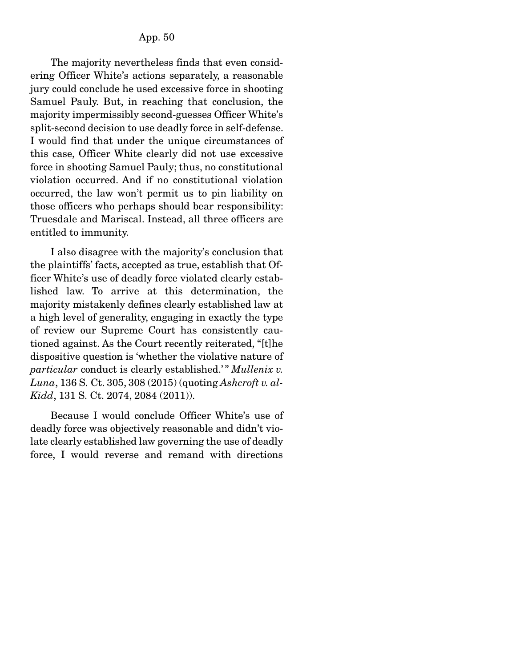The majority nevertheless finds that even considering Officer White's actions separately, a reasonable jury could conclude he used excessive force in shooting Samuel Pauly. But, in reaching that conclusion, the majority impermissibly second-guesses Officer White's split-second decision to use deadly force in self-defense. I would find that under the unique circumstances of this case, Officer White clearly did not use excessive force in shooting Samuel Pauly; thus, no constitutional violation occurred. And if no constitutional violation occurred, the law won't permit us to pin liability on those officers who perhaps should bear responsibility: Truesdale and Mariscal. Instead, all three officers are entitled to immunity.

 I also disagree with the majority's conclusion that the plaintiffs' facts, accepted as true, establish that Officer White's use of deadly force violated clearly established law. To arrive at this determination, the majority mistakenly defines clearly established law at a high level of generality, engaging in exactly the type of review our Supreme Court has consistently cautioned against. As the Court recently reiterated, "[t]he dispositive question is 'whether the violative nature of *particular* conduct is clearly established.'" *Mullenix v. Luna*, 136 S. Ct. 305, 308 (2015) (quoting *Ashcroft v. al-Kidd*, 131 S. Ct. 2074, 2084 (2011)).

 Because I would conclude Officer White's use of deadly force was objectively reasonable and didn't violate clearly established law governing the use of deadly force, I would reverse and remand with directions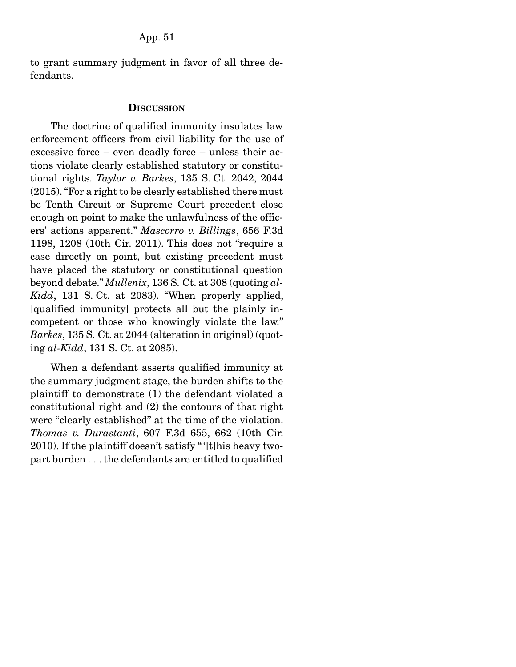to grant summary judgment in favor of all three defendants.

#### **DISCUSSION**

 The doctrine of qualified immunity insulates law enforcement officers from civil liability for the use of excessive force – even deadly force – unless their actions violate clearly established statutory or constitutional rights. *Taylor v. Barkes*, 135 S. Ct. 2042, 2044 (2015). "For a right to be clearly established there must be Tenth Circuit or Supreme Court precedent close enough on point to make the unlawfulness of the officers' actions apparent." *Mascorro v. Billings*, 656 F.3d 1198, 1208 (10th Cir. 2011). This does not "require a case directly on point, but existing precedent must have placed the statutory or constitutional question beyond debate." *Mullenix*, 136 S. Ct. at 308 (quoting *al-Kidd*, 131 S. Ct. at 2083). "When properly applied, [qualified immunity] protects all but the plainly incompetent or those who knowingly violate the law." *Barkes*, 135 S. Ct. at 2044 (alteration in original) (quoting *al-Kidd*, 131 S. Ct. at 2085).

 When a defendant asserts qualified immunity at the summary judgment stage, the burden shifts to the plaintiff to demonstrate (1) the defendant violated a constitutional right and (2) the contours of that right were "clearly established" at the time of the violation. *Thomas v. Durastanti*, 607 F.3d 655, 662 (10th Cir. 2010). If the plaintiff doesn't satisfy " '[t]his heavy twopart burden . . . the defendants are entitled to qualified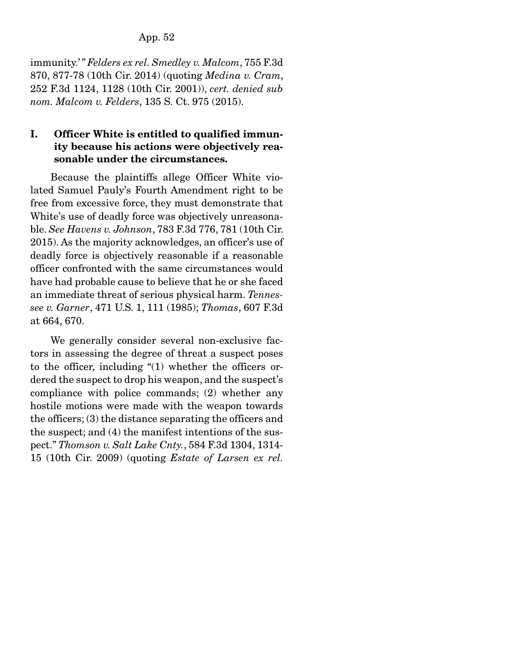immunity.' " *Felders ex rel. Smedley v. Malcom*, 755 F.3d 870, 877-78 (10th Cir. 2014) (quoting *Medina v. Cram*, 252 F.3d 1124, 1128 (10th Cir. 2001)), *cert. denied sub nom. Malcom v. Felders*, 135 S. Ct. 975 (2015).

# I. Officer White is entitled to qualified immunity because his actions were objectively reasonable under the circumstances.

 Because the plaintiffs allege Officer White violated Samuel Pauly's Fourth Amendment right to be free from excessive force, they must demonstrate that White's use of deadly force was objectively unreasonable. *See Havens v. Johnson*, 783 F.3d 776, 781 (10th Cir. 2015). As the majority acknowledges, an officer's use of deadly force is objectively reasonable if a reasonable officer confronted with the same circumstances would have had probable cause to believe that he or she faced an immediate threat of serious physical harm. *Tennessee v. Garner*, 471 U.S. 1, 111 (1985); *Thomas*, 607 F.3d at 664, 670.

 We generally consider several non-exclusive factors in assessing the degree of threat a suspect poses to the officer, including "(1) whether the officers ordered the suspect to drop his weapon, and the suspect's compliance with police commands; (2) whether any hostile motions were made with the weapon towards the officers; (3) the distance separating the officers and the suspect; and (4) the manifest intentions of the suspect." *Thomson v. Salt Lake Cnty.*, 584 F.3d 1304, 1314- 15 (10th Cir. 2009) (quoting *Estate of Larsen ex rel.*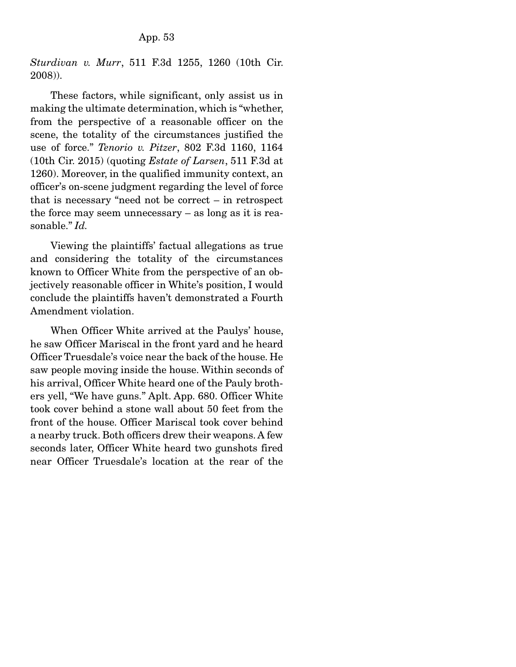*Sturdivan v. Murr*, 511 F.3d 1255, 1260 (10th Cir. 2008)).

 These factors, while significant, only assist us in making the ultimate determination, which is "whether, from the perspective of a reasonable officer on the scene, the totality of the circumstances justified the use of force." *Tenorio v. Pitzer*, 802 F.3d 1160, 1164 (10th Cir. 2015) (quoting *Estate of Larsen*, 511 F.3d at 1260). Moreover, in the qualified immunity context, an officer's on-scene judgment regarding the level of force that is necessary "need not be correct – in retrospect the force may seem unnecessary – as long as it is reasonable." *Id.*

 Viewing the plaintiffs' factual allegations as true and considering the totality of the circumstances known to Officer White from the perspective of an objectively reasonable officer in White's position, I would conclude the plaintiffs haven't demonstrated a Fourth Amendment violation.

 When Officer White arrived at the Paulys' house, he saw Officer Mariscal in the front yard and he heard Officer Truesdale's voice near the back of the house. He saw people moving inside the house. Within seconds of his arrival, Officer White heard one of the Pauly brothers yell, "We have guns." Aplt. App. 680. Officer White took cover behind a stone wall about 50 feet from the front of the house. Officer Mariscal took cover behind a nearby truck. Both officers drew their weapons. A few seconds later, Officer White heard two gunshots fired near Officer Truesdale's location at the rear of the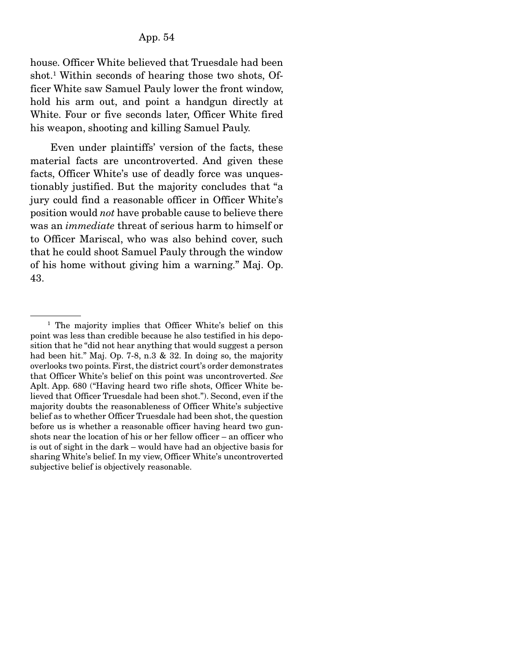house. Officer White believed that Truesdale had been shot.1 Within seconds of hearing those two shots, Officer White saw Samuel Pauly lower the front window, hold his arm out, and point a handgun directly at White. Four or five seconds later, Officer White fired his weapon, shooting and killing Samuel Pauly.

 Even under plaintiffs' version of the facts, these material facts are uncontroverted. And given these facts, Officer White's use of deadly force was unquestionably justified. But the majority concludes that "a jury could find a reasonable officer in Officer White's position would *not* have probable cause to believe there was an *immediate* threat of serious harm to himself or to Officer Mariscal, who was also behind cover, such that he could shoot Samuel Pauly through the window of his home without giving him a warning." Maj. Op. 43.

<sup>&</sup>lt;sup>1</sup> The majority implies that Officer White's belief on this point was less than credible because he also testified in his deposition that he "did not hear anything that would suggest a person had been hit." Maj. Op. 7-8, n.3 & 32. In doing so, the majority overlooks two points. First, the district court's order demonstrates that Officer White's belief on this point was uncontroverted. *See* Aplt. App. 680 ("Having heard two rifle shots, Officer White believed that Officer Truesdale had been shot."). Second, even if the majority doubts the reasonableness of Officer White's subjective belief as to whether Officer Truesdale had been shot, the question before us is whether a reasonable officer having heard two gunshots near the location of his or her fellow officer – an officer who is out of sight in the dark – would have had an objective basis for sharing White's belief. In my view, Officer White's uncontroverted subjective belief is objectively reasonable.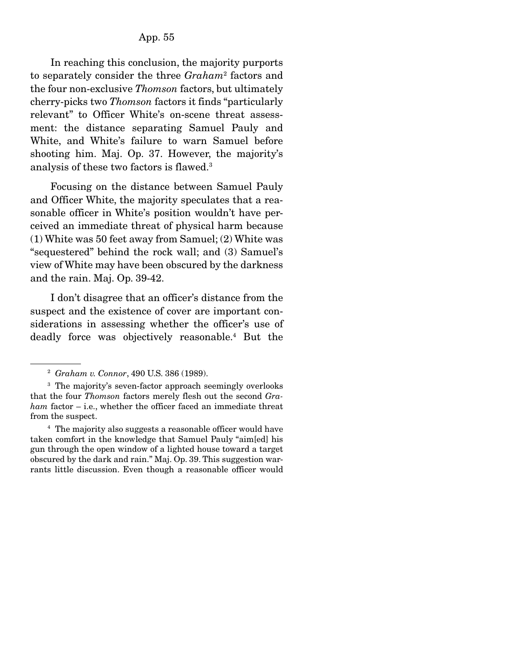In reaching this conclusion, the majority purports to separately consider the three *Graham*<sup>2</sup> factors and the four non-exclusive *Thomson* factors, but ultimately cherry-picks two *Thomson* factors it finds "particularly relevant" to Officer White's on-scene threat assessment: the distance separating Samuel Pauly and White, and White's failure to warn Samuel before shooting him. Maj. Op. 37. However, the majority's analysis of these two factors is flawed.3

 Focusing on the distance between Samuel Pauly and Officer White, the majority speculates that a reasonable officer in White's position wouldn't have perceived an immediate threat of physical harm because (1) White was 50 feet away from Samuel; (2) White was "sequestered" behind the rock wall; and (3) Samuel's view of White may have been obscured by the darkness and the rain. Maj. Op. 39-42.

 I don't disagree that an officer's distance from the suspect and the existence of cover are important considerations in assessing whether the officer's use of deadly force was objectively reasonable.4 But the

<sup>2</sup> *Graham v. Connor*, 490 U.S. 386 (1989).

<sup>&</sup>lt;sup>3</sup> The majority's seven-factor approach seemingly overlooks that the four *Thomson* factors merely flesh out the second *Graham* factor – i.e., whether the officer faced an immediate threat from the suspect.

<sup>4</sup> The majority also suggests a reasonable officer would have taken comfort in the knowledge that Samuel Pauly "aim[ed] his gun through the open window of a lighted house toward a target obscured by the dark and rain." Maj. Op. 39. This suggestion warrants little discussion. Even though a reasonable officer would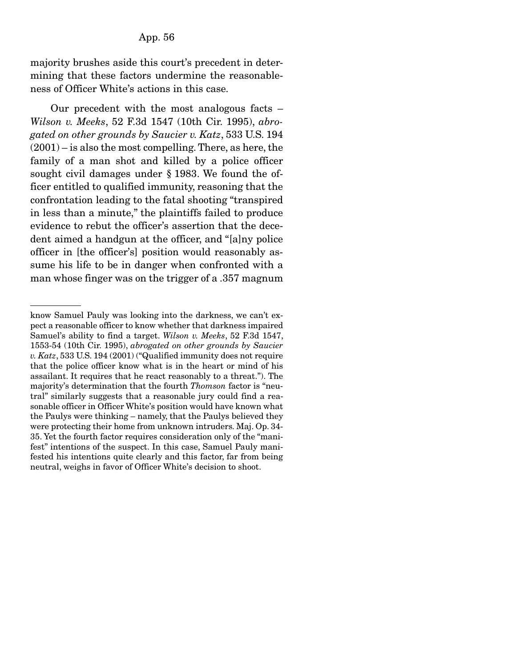majority brushes aside this court's precedent in determining that these factors undermine the reasonableness of Officer White's actions in this case.

 Our precedent with the most analogous facts – *Wilson v. Meeks*, 52 F.3d 1547 (10th Cir. 1995), *abrogated on other grounds by Saucier v. Katz*, 533 U.S. 194 (2001) – is also the most compelling. There, as here, the family of a man shot and killed by a police officer sought civil damages under § 1983. We found the officer entitled to qualified immunity, reasoning that the confrontation leading to the fatal shooting "transpired in less than a minute," the plaintiffs failed to produce evidence to rebut the officer's assertion that the decedent aimed a handgun at the officer, and "[a]ny police officer in [the officer's] position would reasonably assume his life to be in danger when confronted with a man whose finger was on the trigger of a .357 magnum

know Samuel Pauly was looking into the darkness, we can't expect a reasonable officer to know whether that darkness impaired Samuel's ability to find a target. *Wilson v. Meeks*, 52 F.3d 1547, 1553-54 (10th Cir. 1995), *abrogated on other grounds by Saucier v. Katz*, 533 U.S. 194 (2001) ("Qualified immunity does not require that the police officer know what is in the heart or mind of his assailant. It requires that he react reasonably to a threat."). The majority's determination that the fourth *Thomson* factor is "neutral" similarly suggests that a reasonable jury could find a reasonable officer in Officer White's position would have known what the Paulys were thinking – namely, that the Paulys believed they were protecting their home from unknown intruders. Maj. Op. 34- 35. Yet the fourth factor requires consideration only of the "manifest" intentions of the suspect. In this case, Samuel Pauly manifested his intentions quite clearly and this factor, far from being neutral, weighs in favor of Officer White's decision to shoot.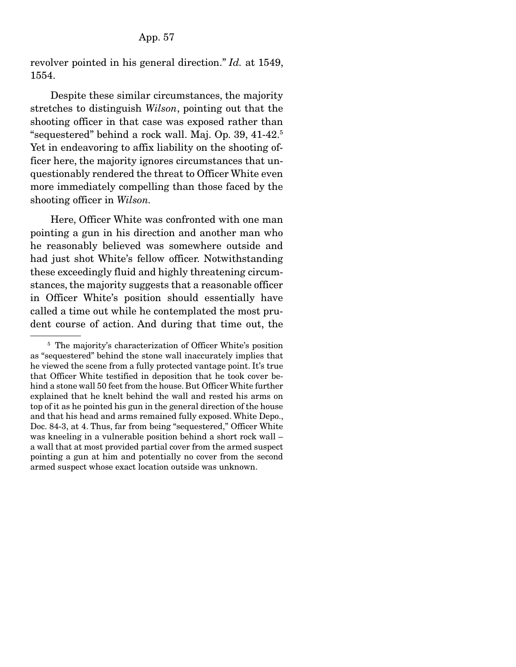revolver pointed in his general direction." *Id.* at 1549, 1554.

 Despite these similar circumstances, the majority stretches to distinguish *Wilson*, pointing out that the shooting officer in that case was exposed rather than "sequestered" behind a rock wall. Maj. Op. 39, 41-42.5 Yet in endeavoring to affix liability on the shooting officer here, the majority ignores circumstances that unquestionably rendered the threat to Officer White even more immediately compelling than those faced by the shooting officer in *Wilson.*

 Here, Officer White was confronted with one man pointing a gun in his direction and another man who he reasonably believed was somewhere outside and had just shot White's fellow officer. Notwithstanding these exceedingly fluid and highly threatening circumstances, the majority suggests that a reasonable officer in Officer White's position should essentially have called a time out while he contemplated the most prudent course of action. And during that time out, the

<sup>&</sup>lt;sup>5</sup> The majority's characterization of Officer White's position as "sequestered" behind the stone wall inaccurately implies that he viewed the scene from a fully protected vantage point. It's true that Officer White testified in deposition that he took cover behind a stone wall 50 feet from the house. But Officer White further explained that he knelt behind the wall and rested his arms on top of it as he pointed his gun in the general direction of the house and that his head and arms remained fully exposed. White Depo., Doc. 84-3, at 4. Thus, far from being "sequestered," Officer White was kneeling in a vulnerable position behind a short rock wall – a wall that at most provided partial cover from the armed suspect pointing a gun at him and potentially no cover from the second armed suspect whose exact location outside was unknown.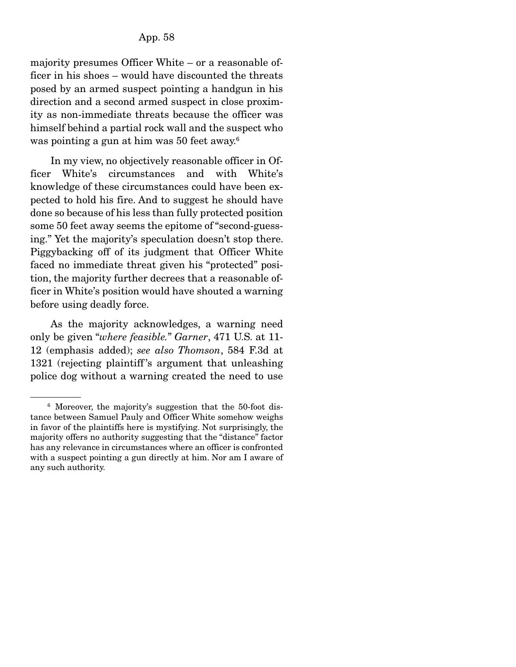majority presumes Officer White – or a reasonable officer in his shoes – would have discounted the threats posed by an armed suspect pointing a handgun in his direction and a second armed suspect in close proximity as non-immediate threats because the officer was himself behind a partial rock wall and the suspect who was pointing a gun at him was 50 feet away.6

 In my view, no objectively reasonable officer in Officer White's circumstances and with White's knowledge of these circumstances could have been expected to hold his fire. And to suggest he should have done so because of his less than fully protected position some 50 feet away seems the epitome of "second-guessing." Yet the majority's speculation doesn't stop there. Piggybacking off of its judgment that Officer White faced no immediate threat given his "protected" position, the majority further decrees that a reasonable officer in White's position would have shouted a warning before using deadly force.

 As the majority acknowledges, a warning need only be given "*where feasible.*" *Garner*, 471 U.S. at 11- 12 (emphasis added); *see also Thomson*, 584 F.3d at 1321 (rejecting plaintiff 's argument that unleashing police dog without a warning created the need to use

<sup>6</sup> Moreover, the majority's suggestion that the 50-foot distance between Samuel Pauly and Officer White somehow weighs in favor of the plaintiffs here is mystifying. Not surprisingly, the majority offers no authority suggesting that the "distance" factor has any relevance in circumstances where an officer is confronted with a suspect pointing a gun directly at him. Nor am I aware of any such authority.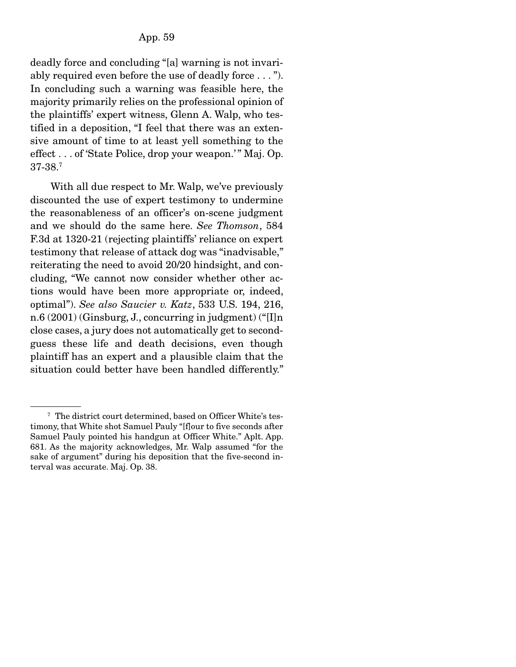deadly force and concluding "[a] warning is not invariably required even before the use of deadly force . . . "). In concluding such a warning was feasible here, the majority primarily relies on the professional opinion of the plaintiffs' expert witness, Glenn A. Walp, who testified in a deposition, "I feel that there was an extensive amount of time to at least yell something to the effect . . . of 'State Police, drop your weapon.'" Maj. Op. 37-38.7

 With all due respect to Mr. Walp, we've previously discounted the use of expert testimony to undermine the reasonableness of an officer's on-scene judgment and we should do the same here. *See Thomson*, 584 F.3d at 1320-21 (rejecting plaintiffs' reliance on expert testimony that release of attack dog was "inadvisable," reiterating the need to avoid 20/20 hindsight, and concluding, "We cannot now consider whether other actions would have been more appropriate or, indeed, optimal"). *See also Saucier v. Katz*, 533 U.S. 194, 216, n.6 (2001) (Ginsburg, J., concurring in judgment) ("[I]n close cases, a jury does not automatically get to secondguess these life and death decisions, even though plaintiff has an expert and a plausible claim that the situation could better have been handled differently."

<sup>&</sup>lt;sup>7</sup> The district court determined, based on Officer White's testimony, that White shot Samuel Pauly "[f]our to five seconds after Samuel Pauly pointed his handgun at Officer White." Aplt. App. 681. As the majority acknowledges, Mr. Walp assumed "for the sake of argument" during his deposition that the five-second interval was accurate. Maj. Op. 38.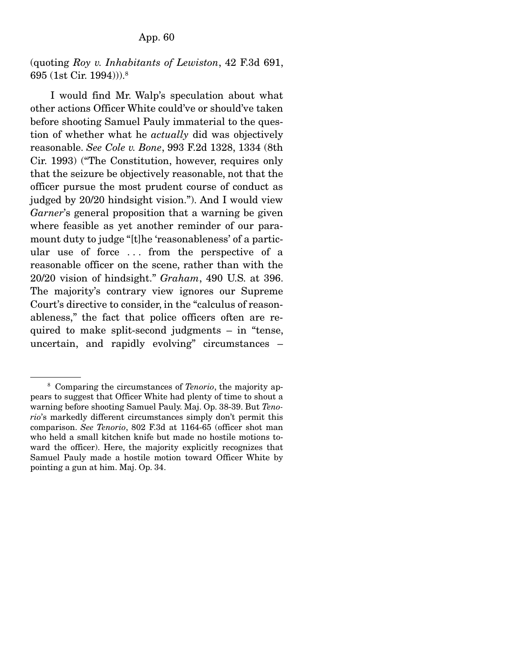(quoting *Roy v. Inhabitants of Lewiston*, 42 F.3d 691, 695 (1st Cir. 1994))).8

 I would find Mr. Walp's speculation about what other actions Officer White could've or should've taken before shooting Samuel Pauly immaterial to the question of whether what he *actually* did was objectively reasonable. *See Cole v. Bone*, 993 F.2d 1328, 1334 (8th Cir. 1993) ("The Constitution, however, requires only that the seizure be objectively reasonable, not that the officer pursue the most prudent course of conduct as judged by 20/20 hindsight vision."). And I would view *Garner*'s general proposition that a warning be given where feasible as yet another reminder of our paramount duty to judge "[t]he 'reasonableness' of a particular use of force ... from the perspective of a reasonable officer on the scene, rather than with the 20/20 vision of hindsight." *Graham*, 490 U.S. at 396. The majority's contrary view ignores our Supreme Court's directive to consider, in the "calculus of reasonableness," the fact that police officers often are required to make split-second judgments – in "tense, uncertain, and rapidly evolving" circumstances –

<sup>8</sup> Comparing the circumstances of *Tenorio*, the majority appears to suggest that Officer White had plenty of time to shout a warning before shooting Samuel Pauly. Maj. Op. 38-39. But *Tenorio*'s markedly different circumstances simply don't permit this comparison. *See Tenorio*, 802 F.3d at 1164-65 (officer shot man who held a small kitchen knife but made no hostile motions toward the officer). Here, the majority explicitly recognizes that Samuel Pauly made a hostile motion toward Officer White by pointing a gun at him. Maj. Op. 34.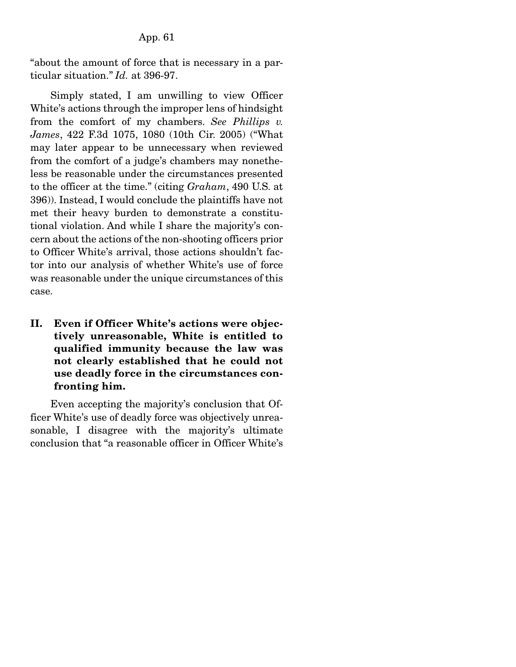"about the amount of force that is necessary in a particular situation." *Id.* at 396-97.

 Simply stated, I am unwilling to view Officer White's actions through the improper lens of hindsight from the comfort of my chambers. *See Phillips v. James*, 422 F.3d 1075, 1080 (10th Cir. 2005) ("What may later appear to be unnecessary when reviewed from the comfort of a judge's chambers may nonetheless be reasonable under the circumstances presented to the officer at the time." (citing *Graham*, 490 U.S. at 396)). Instead, I would conclude the plaintiffs have not met their heavy burden to demonstrate a constitutional violation. And while I share the majority's concern about the actions of the non-shooting officers prior to Officer White's arrival, those actions shouldn't factor into our analysis of whether White's use of force was reasonable under the unique circumstances of this case.

II. Even if Officer White's actions were objectively unreasonable, White is entitled to qualified immunity because the law was not clearly established that he could not use deadly force in the circumstances confronting him.

 Even accepting the majority's conclusion that Officer White's use of deadly force was objectively unreasonable, I disagree with the majority's ultimate conclusion that "a reasonable officer in Officer White's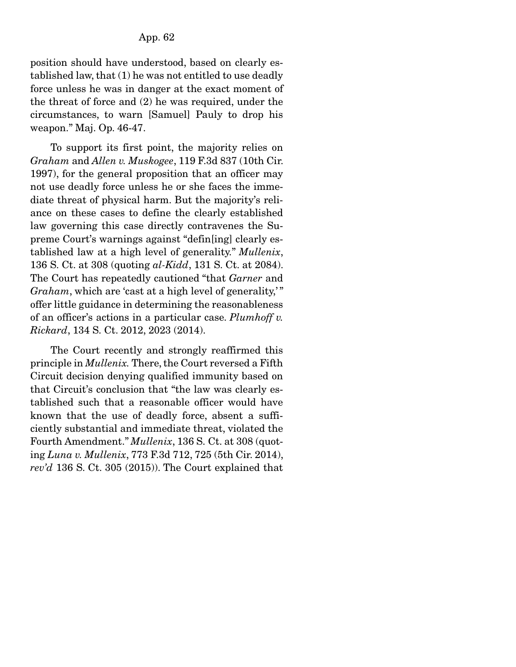position should have understood, based on clearly established law, that (1) he was not entitled to use deadly force unless he was in danger at the exact moment of the threat of force and (2) he was required, under the circumstances, to warn [Samuel] Pauly to drop his weapon." Maj. Op. 46-47.

 To support its first point, the majority relies on *Graham* and *Allen v. Muskogee*, 119 F.3d 837 (10th Cir. 1997), for the general proposition that an officer may not use deadly force unless he or she faces the immediate threat of physical harm. But the majority's reliance on these cases to define the clearly established law governing this case directly contravenes the Supreme Court's warnings against "defin[ing] clearly established law at a high level of generality." *Mullenix*, 136 S. Ct. at 308 (quoting *al-Kidd*, 131 S. Ct. at 2084). The Court has repeatedly cautioned "that *Garner* and *Graham*, which are 'cast at a high level of generality,'" offer little guidance in determining the reasonableness of an officer's actions in a particular case. *Plumhoff v. Rickard*, 134 S. Ct. 2012, 2023 (2014).

 The Court recently and strongly reaffirmed this principle in *Mullenix.* There, the Court reversed a Fifth Circuit decision denying qualified immunity based on that Circuit's conclusion that "the law was clearly established such that a reasonable officer would have known that the use of deadly force, absent a sufficiently substantial and immediate threat, violated the Fourth Amendment." *Mullenix*, 136 S. Ct. at 308 (quoting *Luna v. Mullenix*, 773 F.3d 712, 725 (5th Cir. 2014), *rev'd* 136 S. Ct. 305 (2015)). The Court explained that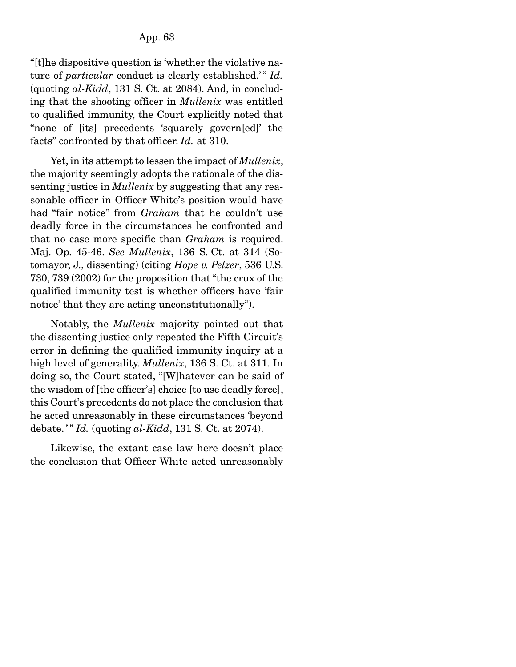"[t]he dispositive question is 'whether the violative nature of *particular* conduct is clearly established.'" *Id.* (quoting *al-Kidd*, 131 S. Ct. at 2084). And, in concluding that the shooting officer in *Mullenix* was entitled to qualified immunity, the Court explicitly noted that "none of [its] precedents 'squarely govern[ed]' the facts" confronted by that officer. *Id.* at 310.

 Yet, in its attempt to lessen the impact of *Mullenix*, the majority seemingly adopts the rationale of the dissenting justice in *Mullenix* by suggesting that any reasonable officer in Officer White's position would have had "fair notice" from *Graham* that he couldn't use deadly force in the circumstances he confronted and that no case more specific than *Graham* is required. Maj. Op. 45-46. *See Mullenix*, 136 S. Ct. at 314 (Sotomayor, J., dissenting) (citing *Hope v. Pelzer*, 536 U.S. 730, 739 (2002) for the proposition that "the crux of the qualified immunity test is whether officers have 'fair notice' that they are acting unconstitutionally").

 Notably, the *Mullenix* majority pointed out that the dissenting justice only repeated the Fifth Circuit's error in defining the qualified immunity inquiry at a high level of generality. *Mullenix*, 136 S. Ct. at 311. In doing so, the Court stated, "[W]hatever can be said of the wisdom of [the officer's] choice [to use deadly force], this Court's precedents do not place the conclusion that he acted unreasonably in these circumstances 'beyond debate.'" *Id.* (quoting *al-Kidd*, 131 S. Ct. at 2074).

 Likewise, the extant case law here doesn't place the conclusion that Officer White acted unreasonably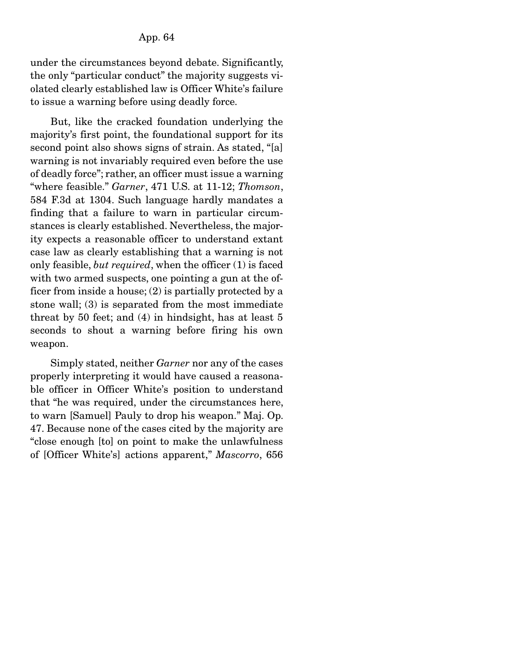under the circumstances beyond debate. Significantly, the only "particular conduct" the majority suggests violated clearly established law is Officer White's failure to issue a warning before using deadly force.

 But, like the cracked foundation underlying the majority's first point, the foundational support for its second point also shows signs of strain. As stated, "[a] warning is not invariably required even before the use of deadly force"; rather, an officer must issue a warning "where feasible." *Garner*, 471 U.S. at 11-12; *Thomson*, 584 F.3d at 1304. Such language hardly mandates a finding that a failure to warn in particular circumstances is clearly established. Nevertheless, the majority expects a reasonable officer to understand extant case law as clearly establishing that a warning is not only feasible, *but required*, when the officer (1) is faced with two armed suspects, one pointing a gun at the officer from inside a house; (2) is partially protected by a stone wall; (3) is separated from the most immediate threat by 50 feet; and (4) in hindsight, has at least 5 seconds to shout a warning before firing his own weapon.

 Simply stated, neither *Garner* nor any of the cases properly interpreting it would have caused a reasonable officer in Officer White's position to understand that "he was required, under the circumstances here, to warn [Samuel] Pauly to drop his weapon." Maj. Op. 47. Because none of the cases cited by the majority are "close enough [to] on point to make the unlawfulness of [Officer White's] actions apparent," *Mascorro*, 656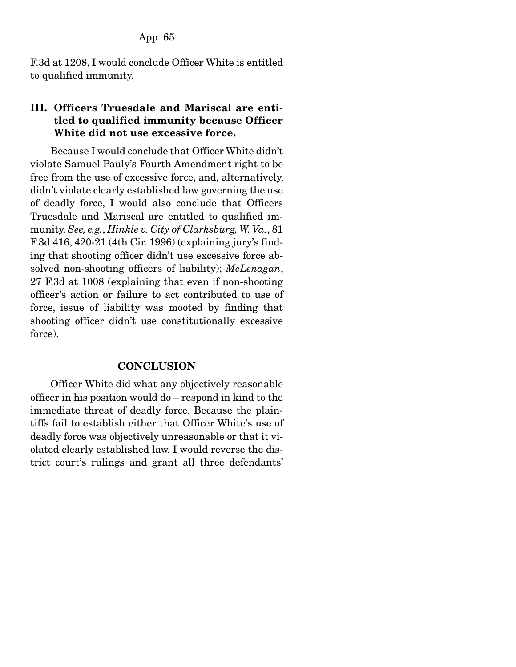F.3d at 1208, I would conclude Officer White is entitled to qualified immunity.

# III. Officers Truesdale and Mariscal are entitled to qualified immunity because Officer White did not use excessive force.

 Because I would conclude that Officer White didn't violate Samuel Pauly's Fourth Amendment right to be free from the use of excessive force, and, alternatively, didn't violate clearly established law governing the use of deadly force, I would also conclude that Officers Truesdale and Mariscal are entitled to qualified immunity. *See, e.g.*, *Hinkle v. City of Clarksburg, W. Va.*, 81 F.3d 416, 420-21 (4th Cir. 1996) (explaining jury's finding that shooting officer didn't use excessive force absolved non-shooting officers of liability); *McLenagan*, 27 F.3d at 1008 (explaining that even if non-shooting officer's action or failure to act contributed to use of force, issue of liability was mooted by finding that shooting officer didn't use constitutionally excessive force).

## **CONCLUSION**

 Officer White did what any objectively reasonable officer in his position would do – respond in kind to the immediate threat of deadly force. Because the plaintiffs fail to establish either that Officer White's use of deadly force was objectively unreasonable or that it violated clearly established law, I would reverse the district court's rulings and grant all three defendants'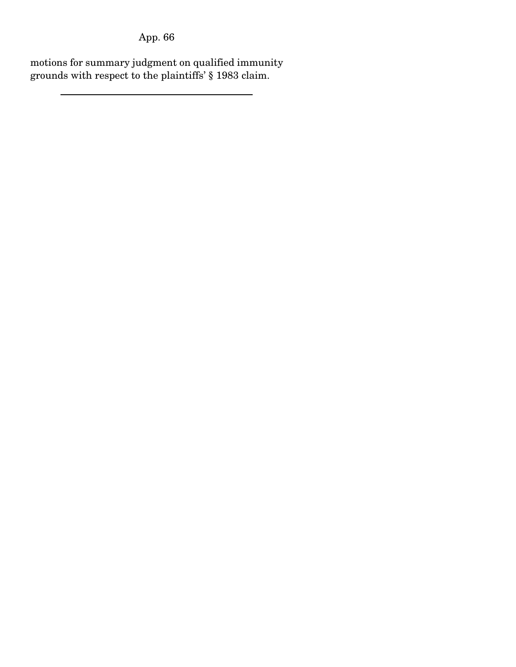motions for summary judgment on qualified immunity grounds with respect to the plaintiffs' § 1983 claim.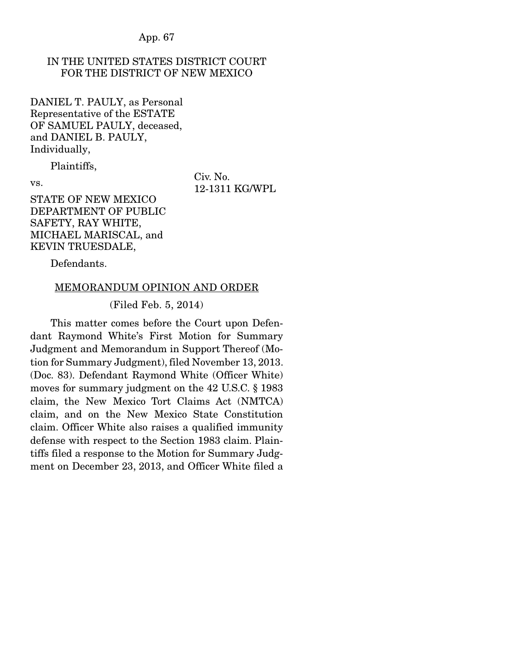## IN THE UNITED STATES DISTRICT COURT FOR THE DISTRICT OF NEW MEXICO

DANIEL T. PAULY, as Personal Representative of the ESTATE OF SAMUEL PAULY, deceased, and DANIEL B. PAULY, Individually,

Plaintiffs,

vs.

Civ. No. 12-1311 KG/WPL

STATE OF NEW MEXICO DEPARTMENT OF PUBLIC SAFETY, RAY WHITE, MICHAEL MARISCAL, and KEVIN TRUESDALE,

Defendants.

#### MEMORANDUM OPINION AND ORDER

#### (Filed Feb. 5, 2014)

 This matter comes before the Court upon Defendant Raymond White's First Motion for Summary Judgment and Memorandum in Support Thereof (Motion for Summary Judgment), filed November 13, 2013. (Doc. 83). Defendant Raymond White (Officer White) moves for summary judgment on the 42 U.S.C. § 1983 claim, the New Mexico Tort Claims Act (NMTCA) claim, and on the New Mexico State Constitution claim. Officer White also raises a qualified immunity defense with respect to the Section 1983 claim. Plaintiffs filed a response to the Motion for Summary Judgment on December 23, 2013, and Officer White filed a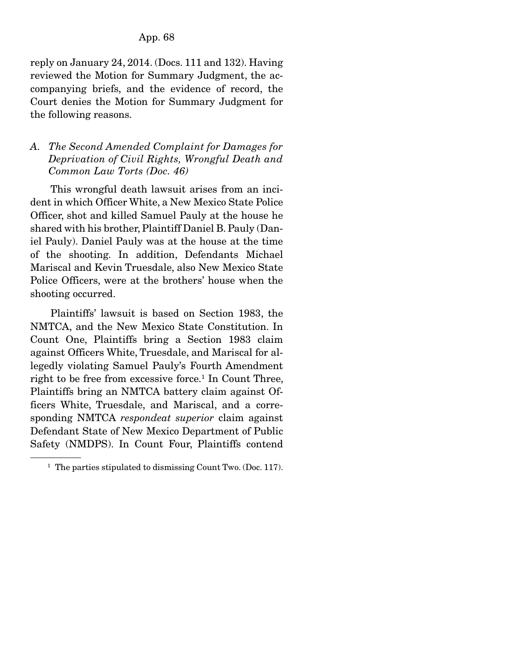reply on January 24, 2014. (Docs. 111 and 132). Having reviewed the Motion for Summary Judgment, the accompanying briefs, and the evidence of record, the Court denies the Motion for Summary Judgment for the following reasons.

## *A. The Second Amended Complaint for Damages for Deprivation of Civil Rights, Wrongful Death and Common Law Torts (Doc. 46)*

 This wrongful death lawsuit arises from an incident in which Officer White, a New Mexico State Police Officer, shot and killed Samuel Pauly at the house he shared with his brother, Plaintiff Daniel B. Pauly (Daniel Pauly). Daniel Pauly was at the house at the time of the shooting. In addition, Defendants Michael Mariscal and Kevin Truesdale, also New Mexico State Police Officers, were at the brothers' house when the shooting occurred.

 Plaintiffs' lawsuit is based on Section 1983, the NMTCA, and the New Mexico State Constitution. In Count One, Plaintiffs bring a Section 1983 claim against Officers White, Truesdale, and Mariscal for allegedly violating Samuel Pauly's Fourth Amendment right to be free from excessive force.<sup>1</sup> In Count Three, Plaintiffs bring an NMTCA battery claim against Officers White, Truesdale, and Mariscal, and a corresponding NMTCA *respondeat superior* claim against Defendant State of New Mexico Department of Public Safety (NMDPS). In Count Four, Plaintiffs contend

<sup>&</sup>lt;sup>1</sup> The parties stipulated to dismissing Count Two. (Doc. 117).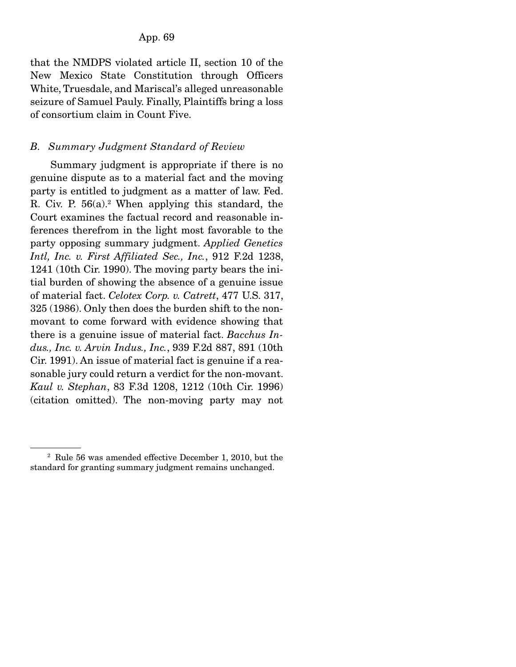that the NMDPS violated article II, section 10 of the New Mexico State Constitution through Officers White, Truesdale, and Mariscal's alleged unreasonable seizure of Samuel Pauly. Finally, Plaintiffs bring a loss of consortium claim in Count Five.

## *B. Summary Judgment Standard of Review*

 Summary judgment is appropriate if there is no genuine dispute as to a material fact and the moving party is entitled to judgment as a matter of law. Fed. R. Civ. P.  $56(a)$ .<sup>2</sup> When applying this standard, the Court examines the factual record and reasonable inferences therefrom in the light most favorable to the party opposing summary judgment. *Applied Genetics Intl, Inc. v. First Affiliated Sec., Inc.*, 912 F.2d 1238, 1241 (10th Cir. 1990). The moving party bears the initial burden of showing the absence of a genuine issue of material fact. *Celotex Corp. v. Catrett*, 477 U.S. 317, 325 (1986). Only then does the burden shift to the nonmovant to come forward with evidence showing that there is a genuine issue of material fact. *Bacchus Indus., Inc. v. Arvin Indus., Inc.*, 939 F.2d 887, 891 (10th Cir. 1991). An issue of material fact is genuine if a reasonable jury could return a verdict for the non-movant. *Kaul v. Stephan*, 83 F.3d 1208, 1212 (10th Cir. 1996) (citation omitted). The non-moving party may not

<sup>2</sup> Rule 56 was amended effective December 1, 2010, but the standard for granting summary judgment remains unchanged.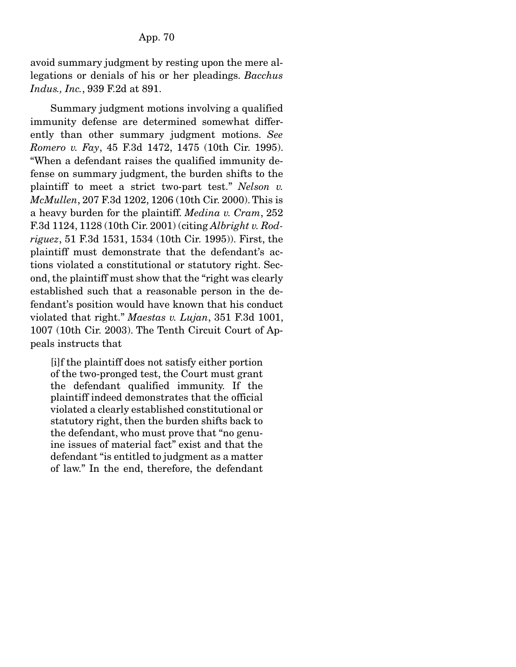avoid summary judgment by resting upon the mere allegations or denials of his or her pleadings. *Bacchus Indus., Inc.*, 939 F.2d at 891.

 Summary judgment motions involving a qualified immunity defense are determined somewhat differently than other summary judgment motions. *See Romero v. Fay*, 45 F.3d 1472, 1475 (10th Cir. 1995). "When a defendant raises the qualified immunity defense on summary judgment, the burden shifts to the plaintiff to meet a strict two-part test." *Nelson v. McMullen*, 207 F.3d 1202, 1206 (10th Cir. 2000). This is a heavy burden for the plaintiff. *Medina v. Cram*, 252 F.3d 1124, 1128 (10th Cir. 2001) (citing *Albright v. Rodriguez*, 51 F.3d 1531, 1534 (10th Cir. 1995)). First, the plaintiff must demonstrate that the defendant's actions violated a constitutional or statutory right. Second, the plaintiff must show that the "right was clearly established such that a reasonable person in the defendant's position would have known that his conduct violated that right." *Maestas v. Lujan*, 351 F.3d 1001, 1007 (10th Cir. 2003). The Tenth Circuit Court of Appeals instructs that

[i]f the plaintiff does not satisfy either portion of the two-pronged test, the Court must grant the defendant qualified immunity. If the plaintiff indeed demonstrates that the official violated a clearly established constitutional or statutory right, then the burden shifts back to the defendant, who must prove that "no genuine issues of material fact" exist and that the defendant "is entitled to judgment as a matter of law." In the end, therefore, the defendant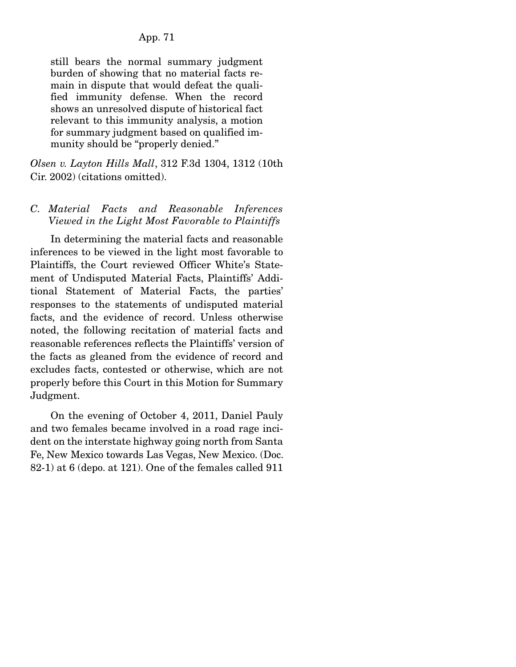still bears the normal summary judgment burden of showing that no material facts remain in dispute that would defeat the qualified immunity defense. When the record shows an unresolved dispute of historical fact relevant to this immunity analysis, a motion for summary judgment based on qualified immunity should be "properly denied."

*Olsen v. Layton Hills Mall*, 312 F.3d 1304, 1312 (10th Cir. 2002) (citations omitted).

*C. Material Facts and Reasonable Inferences Viewed in the Light Most Favorable to Plaintiffs* 

 In determining the material facts and reasonable inferences to be viewed in the light most favorable to Plaintiffs, the Court reviewed Officer White's Statement of Undisputed Material Facts, Plaintiffs' Additional Statement of Material Facts, the parties' responses to the statements of undisputed material facts, and the evidence of record. Unless otherwise noted, the following recitation of material facts and reasonable references reflects the Plaintiffs' version of the facts as gleaned from the evidence of record and excludes facts, contested or otherwise, which are not properly before this Court in this Motion for Summary Judgment.

 On the evening of October 4, 2011, Daniel Pauly and two females became involved in a road rage incident on the interstate highway going north from Santa Fe, New Mexico towards Las Vegas, New Mexico. (Doc. 82-1) at 6 (depo. at 121). One of the females called 911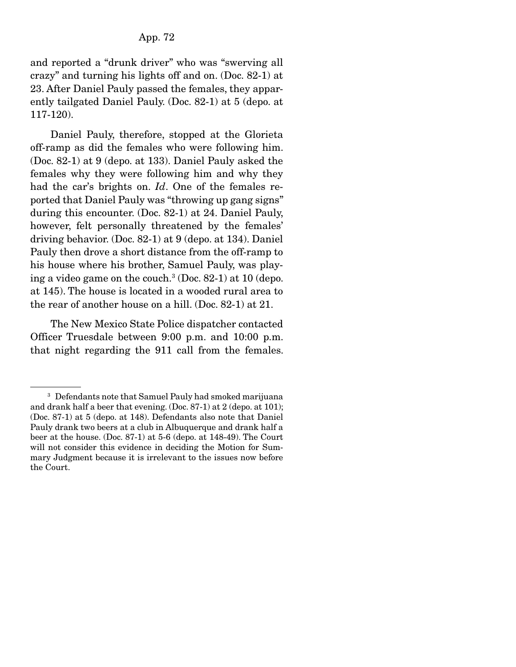and reported a "drunk driver" who was "swerving all crazy" and turning his lights off and on. (Doc. 82-1) at 23. After Daniel Pauly passed the females, they apparently tailgated Daniel Pauly. (Doc. 82-1) at 5 (depo. at 117-120).

 Daniel Pauly, therefore, stopped at the Glorieta off-ramp as did the females who were following him. (Doc. 82-1) at 9 (depo. at 133). Daniel Pauly asked the females why they were following him and why they had the car's brights on. *Id*. One of the females reported that Daniel Pauly was "throwing up gang signs" during this encounter. (Doc. 82-1) at 24. Daniel Pauly, however, felt personally threatened by the females' driving behavior. (Doc. 82-1) at 9 (depo. at 134). Daniel Pauly then drove a short distance from the off-ramp to his house where his brother, Samuel Pauly, was playing a video game on the couch.<sup>3</sup> (Doc. 82-1) at 10 (depo. at 145). The house is located in a wooded rural area to the rear of another house on a hill. (Doc. 82-1) at 21.

 The New Mexico State Police dispatcher contacted Officer Truesdale between 9:00 p.m. and 10:00 p.m. that night regarding the 911 call from the females.

<sup>3</sup> Defendants note that Samuel Pauly had smoked marijuana and drank half a beer that evening. (Doc. 87-1) at 2 (depo. at 101); (Doc. 87-1) at 5 (depo. at 148). Defendants also note that Daniel Pauly drank two beers at a club in Albuquerque and drank half a beer at the house. (Doc. 87-1) at 5-6 (depo. at 148-49). The Court will not consider this evidence in deciding the Motion for Summary Judgment because it is irrelevant to the issues now before the Court.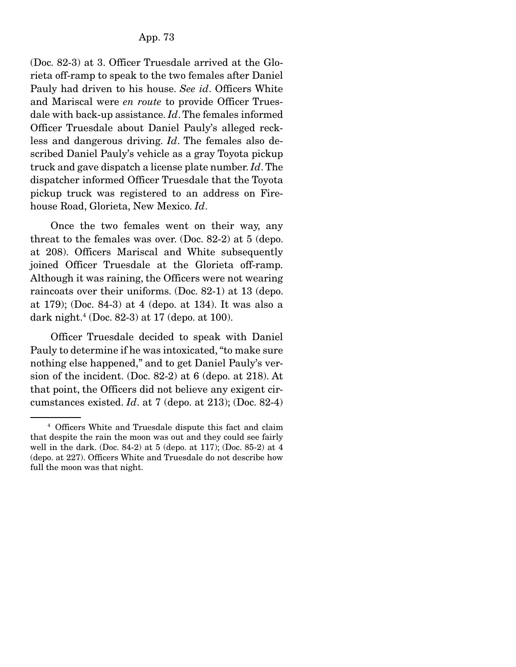(Doc. 82-3) at 3. Officer Truesdale arrived at the Glorieta off-ramp to speak to the two females after Daniel Pauly had driven to his house. *See id*. Officers White and Mariscal were *en route* to provide Officer Truesdale with back-up assistance. *Id*. The females informed Officer Truesdale about Daniel Pauly's alleged reckless and dangerous driving. *Id*. The females also described Daniel Pauly's vehicle as a gray Toyota pickup truck and gave dispatch a license plate number. *Id*. The dispatcher informed Officer Truesdale that the Toyota pickup truck was registered to an address on Firehouse Road, Glorieta, New Mexico. *Id*.

 Once the two females went on their way, any threat to the females was over. (Doc. 82-2) at 5 (depo. at 208). Officers Mariscal and White subsequently joined Officer Truesdale at the Glorieta off-ramp. Although it was raining, the Officers were not wearing raincoats over their uniforms. (Doc. 82-1) at 13 (depo. at 179); (Doc. 84-3) at 4 (depo. at 134). It was also a dark night.4 (Doc. 82-3) at 17 (depo. at 100).

 Officer Truesdale decided to speak with Daniel Pauly to determine if he was intoxicated, "to make sure nothing else happened," and to get Daniel Pauly's version of the incident. (Doc. 82-2) at 6 (depo. at 218). At that point, the Officers did not believe any exigent circumstances existed. *Id*. at 7 (depo. at 213); (Doc. 82-4)

<sup>4</sup> Officers White and Truesdale dispute this fact and claim that despite the rain the moon was out and they could see fairly well in the dark. (Doc. 84-2) at 5 (depo. at 117); (Doc. 85-2) at 4 (depo. at 227). Officers White and Truesdale do not describe how full the moon was that night.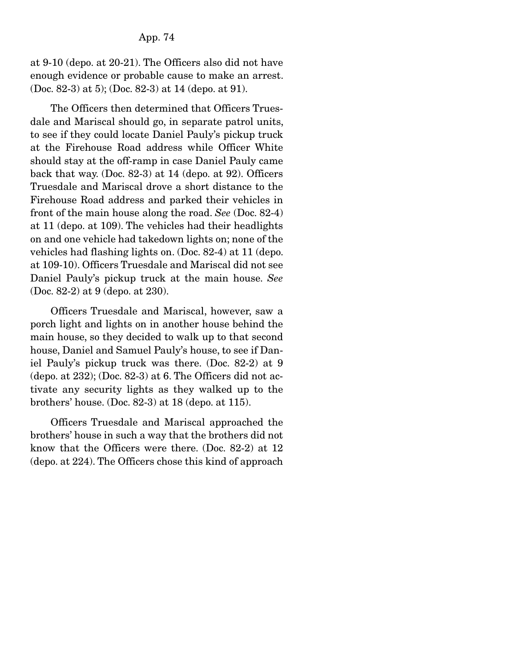at 9-10 (depo. at 20-21). The Officers also did not have enough evidence or probable cause to make an arrest. (Doc. 82-3) at 5); (Doc. 82-3) at 14 (depo. at 91).

 The Officers then determined that Officers Truesdale and Mariscal should go, in separate patrol units, to see if they could locate Daniel Pauly's pickup truck at the Firehouse Road address while Officer White should stay at the off-ramp in case Daniel Pauly came back that way. (Doc. 82-3) at 14 (depo. at 92). Officers Truesdale and Mariscal drove a short distance to the Firehouse Road address and parked their vehicles in front of the main house along the road. *See* (Doc. 82-4) at 11 (depo. at 109). The vehicles had their headlights on and one vehicle had takedown lights on; none of the vehicles had flashing lights on. (Doc. 82-4) at 11 (depo. at 109-10). Officers Truesdale and Mariscal did not see Daniel Pauly's pickup truck at the main house. *See* (Doc. 82-2) at 9 (depo. at 230).

 Officers Truesdale and Mariscal, however, saw a porch light and lights on in another house behind the main house, so they decided to walk up to that second house, Daniel and Samuel Pauly's house, to see if Daniel Pauly's pickup truck was there. (Doc. 82-2) at 9  $(\text{depo. at } 232)$ ; (Doc. 82-3) at 6. The Officers did not activate any security lights as they walked up to the brothers' house. (Doc. 82-3) at 18 (depo. at 115).

 Officers Truesdale and Mariscal approached the brothers' house in such a way that the brothers did not know that the Officers were there. (Doc. 82-2) at 12 (depo. at 224). The Officers chose this kind of approach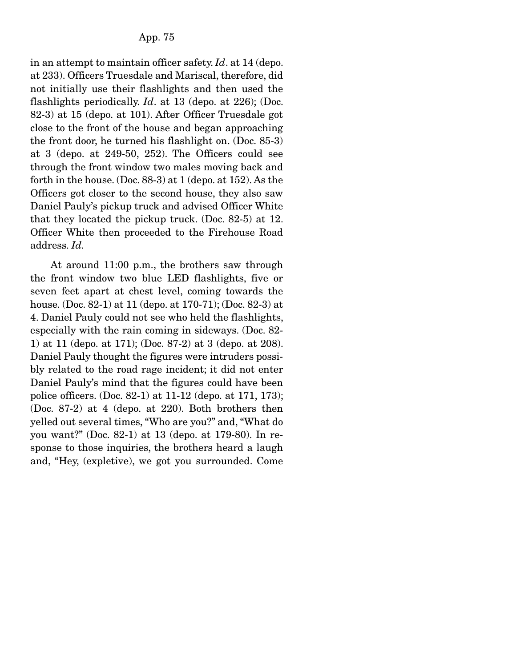in an attempt to maintain officer safety. *Id*. at 14 (depo. at 233). Officers Truesdale and Mariscal, therefore, did not initially use their flashlights and then used the flashlights periodically. *Id*. at 13 (depo. at 226); (Doc. 82-3) at 15 (depo. at 101). After Officer Truesdale got close to the front of the house and began approaching the front door, he turned his flashlight on. (Doc. 85-3) at 3 (depo. at 249-50, 252). The Officers could see through the front window two males moving back and forth in the house. (Doc. 88-3) at 1 (depo. at 152). As the Officers got closer to the second house, they also saw Daniel Pauly's pickup truck and advised Officer White that they located the pickup truck. (Doc. 82-5) at 12. Officer White then proceeded to the Firehouse Road address. *Id.*

 At around 11:00 p.m., the brothers saw through the front window two blue LED flashlights, five or seven feet apart at chest level, coming towards the house. (Doc. 82-1) at 11 (depo. at 170-71); (Doc. 82-3) at 4. Daniel Pauly could not see who held the flashlights, especially with the rain coming in sideways. (Doc. 82- 1) at 11 (depo. at 171); (Doc. 87-2) at 3 (depo. at 208). Daniel Pauly thought the figures were intruders possibly related to the road rage incident; it did not enter Daniel Pauly's mind that the figures could have been police officers. (Doc. 82-1) at 11-12 (depo. at 171, 173); (Doc. 87-2) at 4 (depo. at 220). Both brothers then yelled out several times, "Who are you?" and, "What do you want?" (Doc. 82-1) at 13 (depo. at 179-80). In response to those inquiries, the brothers heard a laugh and, "Hey, (expletive), we got you surrounded. Come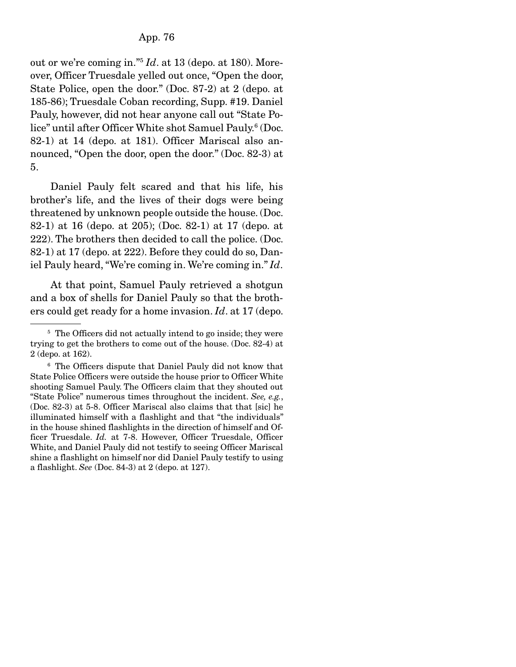out or we're coming in."5 *Id*. at 13 (depo. at 180). Moreover, Officer Truesdale yelled out once, "Open the door, State Police, open the door." (Doc. 87-2) at 2 (depo. at 185-86); Truesdale Coban recording, Supp. #19. Daniel Pauly, however, did not hear anyone call out "State Police" until after Officer White shot Samuel Pauly.<sup>6</sup> (Doc. 82-1) at 14 (depo. at 181). Officer Mariscal also announced, "Open the door, open the door." (Doc. 82-3) at 5.

 Daniel Pauly felt scared and that his life, his brother's life, and the lives of their dogs were being threatened by unknown people outside the house. (Doc. 82-1) at 16 (depo. at 205); (Doc. 82-1) at 17 (depo. at 222). The brothers then decided to call the police. (Doc. 82-1) at 17 (depo. at 222). Before they could do so, Daniel Pauly heard, "We're coming in. We're coming in." *Id*.

 At that point, Samuel Pauly retrieved a shotgun and a box of shells for Daniel Pauly so that the brothers could get ready for a home invasion. *Id*. at 17 (depo.

<sup>&</sup>lt;sup>5</sup> The Officers did not actually intend to go inside; they were trying to get the brothers to come out of the house. (Doc. 82-4) at 2 (depo. at 162).

<sup>6</sup> The Officers dispute that Daniel Pauly did not know that State Police Officers were outside the house prior to Officer White shooting Samuel Pauly. The Officers claim that they shouted out "State Police" numerous times throughout the incident. *See, e.g.*, (Doc. 82-3) at 5-8. Officer Mariscal also claims that that [sic] he illuminated himself with a flashlight and that "the individuals" in the house shined flashlights in the direction of himself and Officer Truesdale. *Id.* at 7-8. However, Officer Truesdale, Officer White, and Daniel Pauly did not testify to seeing Officer Mariscal shine a flashlight on himself nor did Daniel Pauly testify to using a flashlight. *See* (Doc. 84-3) at 2 (depo. at 127).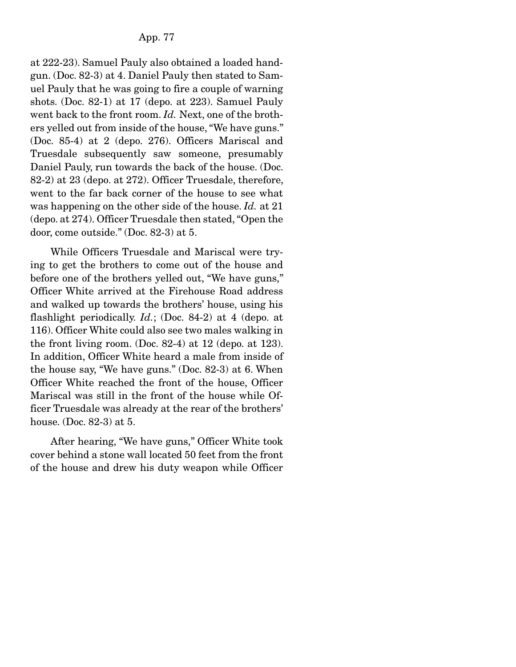at 222-23). Samuel Pauly also obtained a loaded handgun. (Doc. 82-3) at 4. Daniel Pauly then stated to Samuel Pauly that he was going to fire a couple of warning shots. (Doc. 82-1) at 17 (depo. at 223). Samuel Pauly went back to the front room. *Id.* Next, one of the brothers yelled out from inside of the house, "We have guns." (Doc. 85-4) at 2 (depo. 276). Officers Mariscal and Truesdale subsequently saw someone, presumably Daniel Pauly, run towards the back of the house. (Doc. 82-2) at 23 (depo. at 272). Officer Truesdale, therefore, went to the far back corner of the house to see what was happening on the other side of the house. *Id.* at 21 (depo. at 274). Officer Truesdale then stated, "Open the door, come outside." (Doc. 82-3) at 5.

 While Officers Truesdale and Mariscal were trying to get the brothers to come out of the house and before one of the brothers yelled out, "We have guns," Officer White arrived at the Firehouse Road address and walked up towards the brothers' house, using his flashlight periodically. *Id.*; (Doc. 84-2) at 4 (depo. at 116). Officer White could also see two males walking in the front living room. (Doc. 82-4) at 12 (depo. at 123). In addition, Officer White heard a male from inside of the house say, "We have guns." (Doc. 82-3) at 6. When Officer White reached the front of the house, Officer Mariscal was still in the front of the house while Officer Truesdale was already at the rear of the brothers' house. (Doc. 82-3) at 5.

 After hearing, "We have guns," Officer White took cover behind a stone wall located 50 feet from the front of the house and drew his duty weapon while Officer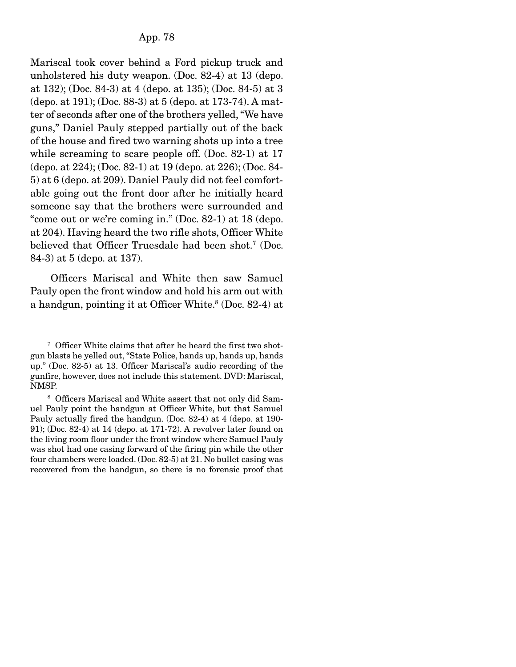Mariscal took cover behind a Ford pickup truck and unholstered his duty weapon. (Doc. 82-4) at 13 (depo. at 132); (Doc. 84-3) at 4 (depo. at 135); (Doc. 84-5) at 3 (depo. at 191); (Doc. 88-3) at 5 (depo. at 173-74). A matter of seconds after one of the brothers yelled, "We have guns," Daniel Pauly stepped partially out of the back of the house and fired two warning shots up into a tree while screaming to scare people off. (Doc. 82-1) at 17 (depo. at 224); (Doc. 82-1) at 19 (depo. at 226); (Doc. 84- 5) at 6 (depo. at 209). Daniel Pauly did not feel comfortable going out the front door after he initially heard someone say that the brothers were surrounded and "come out or we're coming in." (Doc. 82-1) at 18 (depo. at 204). Having heard the two rifle shots, Officer White believed that Officer Truesdale had been shot.<sup>7</sup> (Doc. 84-3) at 5 (depo. at 137).

 Officers Mariscal and White then saw Samuel Pauly open the front window and hold his arm out with a handgun, pointing it at Officer White.<sup>8</sup> (Doc. 82-4) at

<sup>&</sup>lt;sup>7</sup> Officer White claims that after he heard the first two shotgun blasts he yelled out, "State Police, hands up, hands up, hands up." (Doc. 82-5) at 13. Officer Mariscal's audio recording of the gunfire, however, does not include this statement. DVD: Mariscal, NMSP.

<sup>&</sup>lt;sup>8</sup> Officers Mariscal and White assert that not only did Samuel Pauly point the handgun at Officer White, but that Samuel Pauly actually fired the handgun. (Doc. 82-4) at 4 (depo. at 190- 91); (Doc. 82-4) at 14 (depo. at 171-72). A revolver later found on the living room floor under the front window where Samuel Pauly was shot had one casing forward of the firing pin while the other four chambers were loaded. (Doc. 82-5) at 21. No bullet casing was recovered from the handgun, so there is no forensic proof that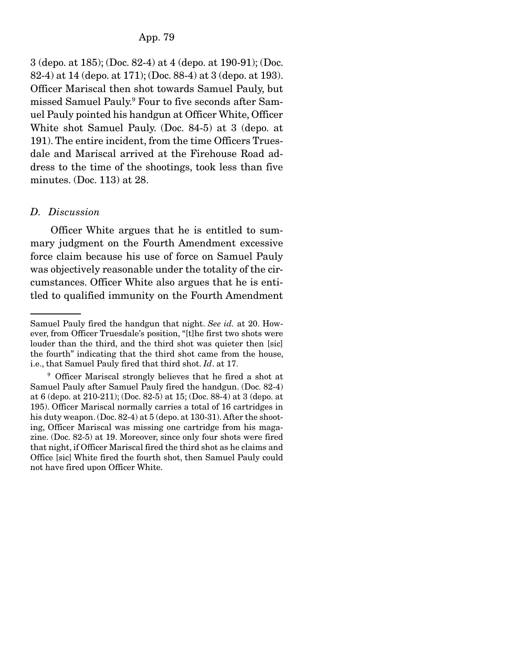3 (depo. at 185); (Doc. 82-4) at 4 (depo. at 190-91); (Doc. 82-4) at 14 (depo. at 171); (Doc. 88-4) at 3 (depo. at 193). Officer Mariscal then shot towards Samuel Pauly, but missed Samuel Pauly.9 Four to five seconds after Samuel Pauly pointed his handgun at Officer White, Officer White shot Samuel Pauly. (Doc. 84-5) at 3 (depo. at 191). The entire incident, from the time Officers Truesdale and Mariscal arrived at the Firehouse Road address to the time of the shootings, took less than five minutes. (Doc. 113) at 28.

#### *D. Discussion*

 Officer White argues that he is entitled to summary judgment on the Fourth Amendment excessive force claim because his use of force on Samuel Pauly was objectively reasonable under the totality of the circumstances. Officer White also argues that he is entitled to qualified immunity on the Fourth Amendment

Samuel Pauly fired the handgun that night. *See id.* at 20. However, from Officer Truesdale's position, "[t]he first two shots were louder than the third, and the third shot was quieter then [sic] the fourth" indicating that the third shot came from the house, i.e., that Samuel Pauly fired that third shot. *Id*. at 17.

<sup>9</sup> Officer Mariscal strongly believes that he fired a shot at Samuel Pauly after Samuel Pauly fired the handgun. (Doc. 82-4) at 6 (depo. at 210-211); (Doc. 82-5) at 15; (Doc. 88-4) at 3 (depo. at 195). Officer Mariscal normally carries a total of 16 cartridges in his duty weapon. (Doc. 82-4) at 5 (depo. at 130-31). After the shooting, Officer Mariscal was missing one cartridge from his magazine. (Doc. 82-5) at 19. Moreover, since only four shots were fired that night, if Officer Mariscal fired the third shot as he claims and Office [sic] White fired the fourth shot, then Samuel Pauly could not have fired upon Officer White.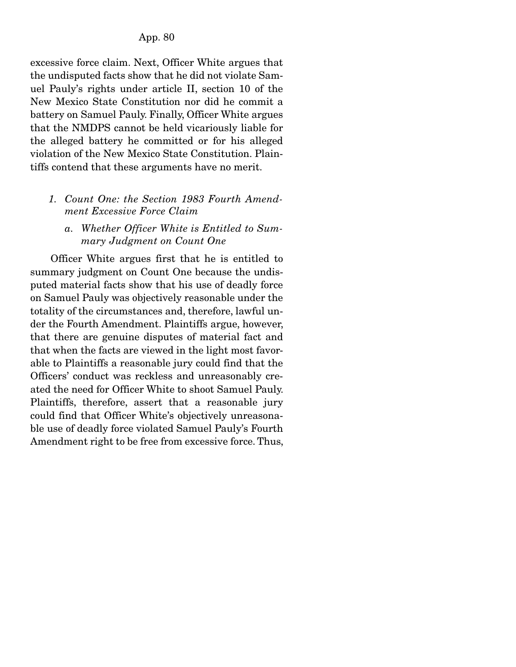excessive force claim. Next, Officer White argues that the undisputed facts show that he did not violate Samuel Pauly's rights under article II, section 10 of the New Mexico State Constitution nor did he commit a battery on Samuel Pauly. Finally, Officer White argues that the NMDPS cannot be held vicariously liable for the alleged battery he committed or for his alleged violation of the New Mexico State Constitution. Plaintiffs contend that these arguments have no merit.

## *1. Count One: the Section 1983 Fourth Amendment Excessive Force Claim*

## *a. Whether Officer White is Entitled to Summary Judgment on Count One*

 Officer White argues first that he is entitled to summary judgment on Count One because the undisputed material facts show that his use of deadly force on Samuel Pauly was objectively reasonable under the totality of the circumstances and, therefore, lawful under the Fourth Amendment. Plaintiffs argue, however, that there are genuine disputes of material fact and that when the facts are viewed in the light most favorable to Plaintiffs a reasonable jury could find that the Officers' conduct was reckless and unreasonably created the need for Officer White to shoot Samuel Pauly. Plaintiffs, therefore, assert that a reasonable jury could find that Officer White's objectively unreasonable use of deadly force violated Samuel Pauly's Fourth Amendment right to be free from excessive force. Thus,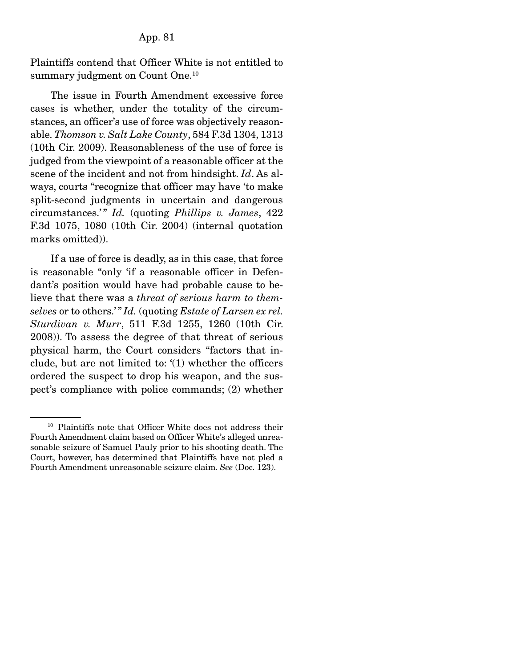Plaintiffs contend that Officer White is not entitled to summary judgment on Count One.<sup>10</sup>

 The issue in Fourth Amendment excessive force cases is whether, under the totality of the circumstances, an officer's use of force was objectively reasonable. *Thomson v. Salt Lake County*, 584 F.3d 1304, 1313 (10th Cir. 2009). Reasonableness of the use of force is judged from the viewpoint of a reasonable officer at the scene of the incident and not from hindsight. *Id*. As always, courts "recognize that officer may have 'to make split-second judgments in uncertain and dangerous circumstances.' " *Id.* (quoting *Phillips v. James*, 422 F.3d 1075, 1080 (10th Cir. 2004) (internal quotation marks omitted)).

 If a use of force is deadly, as in this case, that force is reasonable "only 'if a reasonable officer in Defendant's position would have had probable cause to believe that there was a *threat of serious harm to themselves* or to others.' " *Id.* (quoting *Estate of Larsen ex rel. Sturdivan v. Murr*, 511 F.3d 1255, 1260 (10th Cir. 2008)). To assess the degree of that threat of serious physical harm, the Court considers "factors that include, but are not limited to: '(1) whether the officers ordered the suspect to drop his weapon, and the suspect's compliance with police commands; (2) whether

<sup>&</sup>lt;sup>10</sup> Plaintiffs note that Officer White does not address their Fourth Amendment claim based on Officer White's alleged unreasonable seizure of Samuel Pauly prior to his shooting death. The Court, however, has determined that Plaintiffs have not pled a Fourth Amendment unreasonable seizure claim. *See* (Doc. 123).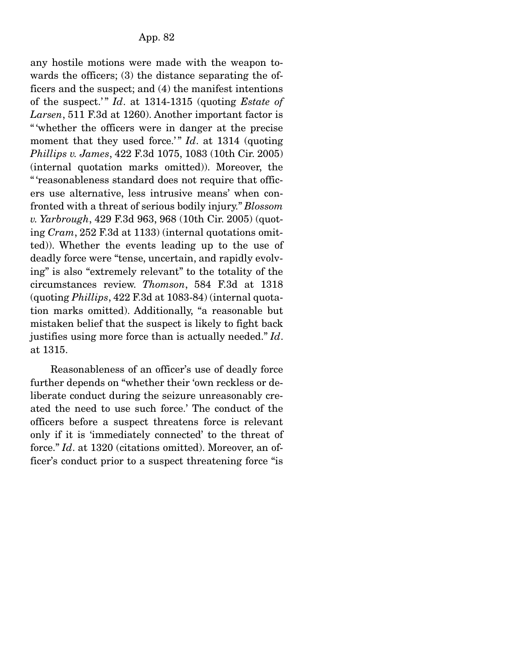any hostile motions were made with the weapon towards the officers; (3) the distance separating the officers and the suspect; and (4) the manifest intentions of the suspect.' " *Id*. at 1314-1315 (quoting *Estate of Larsen*, 511 F.3d at 1260). Another important factor is " 'whether the officers were in danger at the precise moment that they used force.'" *Id*. at 1314 (quoting *Phillips v. James*, 422 F.3d 1075, 1083 (10th Cir. 2005) (internal quotation marks omitted)). Moreover, the " 'reasonableness standard does not require that officers use alternative, less intrusive means' when confronted with a threat of serious bodily injury." *Blossom v. Yarbrough*, 429 F.3d 963, 968 (10th Cir. 2005) (quoting *Cram*, 252 F.3d at 1133) (internal quotations omitted)). Whether the events leading up to the use of deadly force were "tense, uncertain, and rapidly evolving" is also "extremely relevant" to the totality of the circumstances review. *Thomson*, 584 F.3d at 1318 (quoting *Phillips*, 422 F.3d at 1083-84) (internal quotation marks omitted). Additionally, "a reasonable but mistaken belief that the suspect is likely to fight back justifies using more force than is actually needed." *Id*. at 1315.

 Reasonableness of an officer's use of deadly force further depends on "whether their 'own reckless or deliberate conduct during the seizure unreasonably created the need to use such force.' The conduct of the officers before a suspect threatens force is relevant only if it is 'immediately connected' to the threat of force." *Id*. at 1320 (citations omitted). Moreover, an officer's conduct prior to a suspect threatening force "is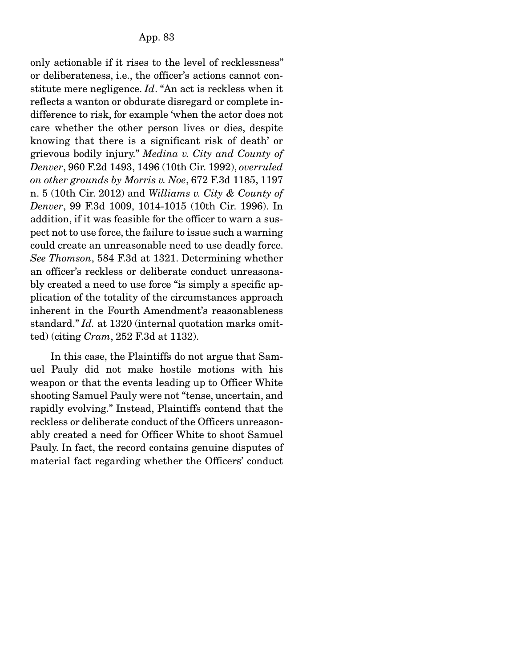only actionable if it rises to the level of recklessness" or deliberateness, i.e., the officer's actions cannot constitute mere negligence. *Id*. "An act is reckless when it reflects a wanton or obdurate disregard or complete indifference to risk, for example 'when the actor does not care whether the other person lives or dies, despite knowing that there is a significant risk of death' or grievous bodily injury." *Medina v. City and County of Denver*, 960 F.2d 1493, 1496 (10th Cir. 1992), *overruled on other grounds by Morris v. Noe*, 672 F.3d 1185, 1197 n. 5 (10th Cir. 2012) and *Williams v. City & County of Denver*, 99 F.3d 1009, 1014-1015 (10th Cir. 1996). In addition, if it was feasible for the officer to warn a suspect not to use force, the failure to issue such a warning could create an unreasonable need to use deadly force. *See Thomson*, 584 F.3d at 1321. Determining whether an officer's reckless or deliberate conduct unreasonably created a need to use force "is simply a specific application of the totality of the circumstances approach inherent in the Fourth Amendment's reasonableness standard." *Id.* at 1320 (internal quotation marks omitted) (citing *Cram*, 252 F.3d at 1132).

 In this case, the Plaintiffs do not argue that Samuel Pauly did not make hostile motions with his weapon or that the events leading up to Officer White shooting Samuel Pauly were not "tense, uncertain, and rapidly evolving." Instead, Plaintiffs contend that the reckless or deliberate conduct of the Officers unreasonably created a need for Officer White to shoot Samuel Pauly. In fact, the record contains genuine disputes of material fact regarding whether the Officers' conduct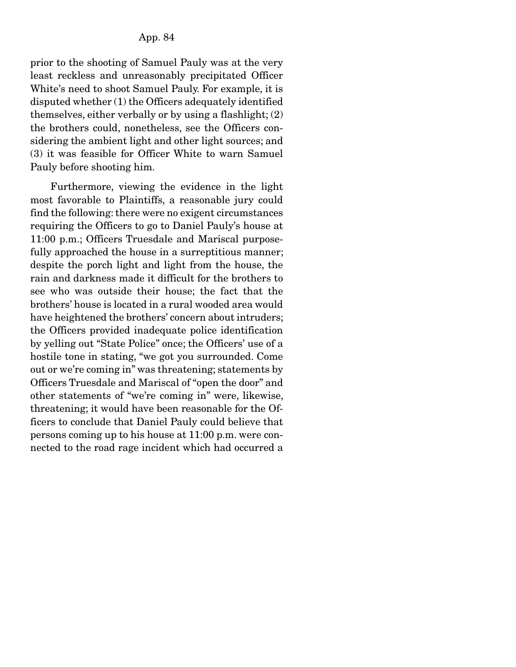prior to the shooting of Samuel Pauly was at the very least reckless and unreasonably precipitated Officer White's need to shoot Samuel Pauly. For example, it is disputed whether (1) the Officers adequately identified themselves, either verbally or by using a flashlight; (2) the brothers could, nonetheless, see the Officers considering the ambient light and other light sources; and (3) it was feasible for Officer White to warn Samuel Pauly before shooting him.

 Furthermore, viewing the evidence in the light most favorable to Plaintiffs, a reasonable jury could find the following: there were no exigent circumstances requiring the Officers to go to Daniel Pauly's house at 11:00 p.m.; Officers Truesdale and Mariscal purposefully approached the house in a surreptitious manner; despite the porch light and light from the house, the rain and darkness made it difficult for the brothers to see who was outside their house; the fact that the brothers' house is located in a rural wooded area would have heightened the brothers' concern about intruders; the Officers provided inadequate police identification by yelling out "State Police" once; the Officers' use of a hostile tone in stating, "we got you surrounded. Come out or we're coming in" was threatening; statements by Officers Truesdale and Mariscal of "open the door" and other statements of "we're coming in" were, likewise, threatening; it would have been reasonable for the Officers to conclude that Daniel Pauly could believe that persons coming up to his house at 11:00 p.m. were connected to the road rage incident which had occurred a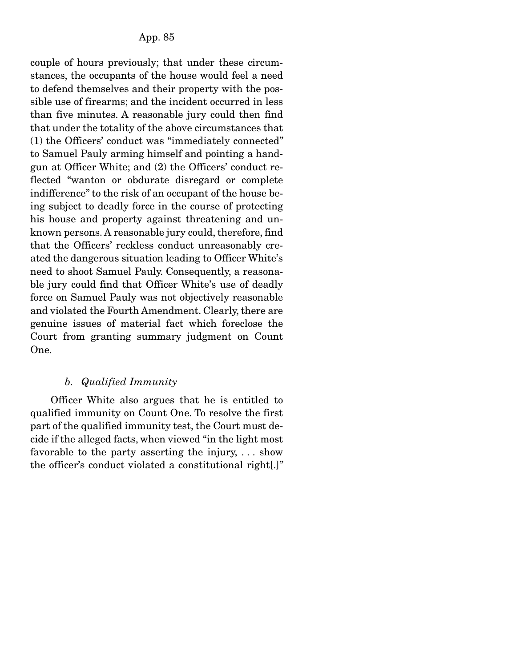couple of hours previously; that under these circumstances, the occupants of the house would feel a need to defend themselves and their property with the possible use of firearms; and the incident occurred in less than five minutes. A reasonable jury could then find that under the totality of the above circumstances that (1) the Officers' conduct was "immediately connected" to Samuel Pauly arming himself and pointing a handgun at Officer White; and (2) the Officers' conduct reflected "wanton or obdurate disregard or complete indifference" to the risk of an occupant of the house being subject to deadly force in the course of protecting his house and property against threatening and unknown persons. A reasonable jury could, therefore, find that the Officers' reckless conduct unreasonably created the dangerous situation leading to Officer White's need to shoot Samuel Pauly. Consequently, a reasonable jury could find that Officer White's use of deadly force on Samuel Pauly was not objectively reasonable and violated the Fourth Amendment. Clearly, there are genuine issues of material fact which foreclose the Court from granting summary judgment on Count One.

# *b. Qualified Immunity*

 Officer White also argues that he is entitled to qualified immunity on Count One. To resolve the first part of the qualified immunity test, the Court must decide if the alleged facts, when viewed "in the light most favorable to the party asserting the injury, . . . show the officer's conduct violated a constitutional right[.]"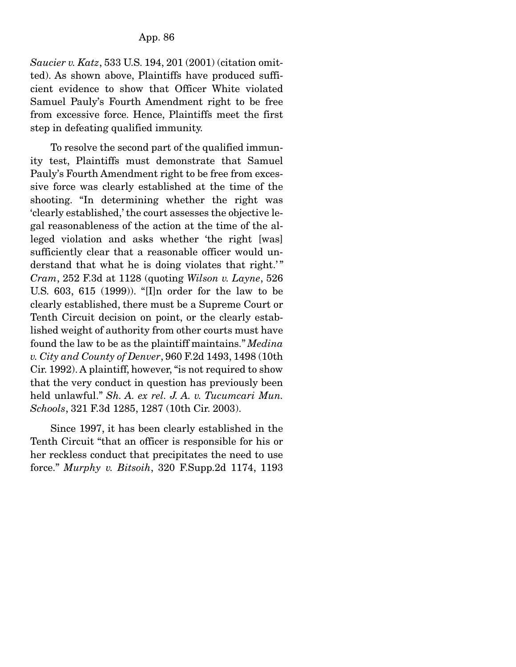*Saucier v. Katz*, 533 U.S. 194, 201 (2001) (citation omitted). As shown above, Plaintiffs have produced sufficient evidence to show that Officer White violated Samuel Pauly's Fourth Amendment right to be free from excessive force. Hence, Plaintiffs meet the first step in defeating qualified immunity.

 To resolve the second part of the qualified immunity test, Plaintiffs must demonstrate that Samuel Pauly's Fourth Amendment right to be free from excessive force was clearly established at the time of the shooting. "In determining whether the right was 'clearly established,' the court assesses the objective legal reasonableness of the action at the time of the alleged violation and asks whether 'the right [was] sufficiently clear that a reasonable officer would understand that what he is doing violates that right.'" *Cram*, 252 F.3d at 1128 (quoting *Wilson v. Layne*, 526 U.S. 603, 615 (1999)). "[I]n order for the law to be clearly established, there must be a Supreme Court or Tenth Circuit decision on point, or the clearly established weight of authority from other courts must have found the law to be as the plaintiff maintains." *Medina v. City and County of Denver*, 960 F.2d 1493, 1498 (10th Cir. 1992). A plaintiff, however, "is not required to show that the very conduct in question has previously been held unlawful." *Sh. A. ex rel. J. A. v. Tucumcari Mun. Schools*, 321 F.3d 1285, 1287 (10th Cir. 2003).

 Since 1997, it has been clearly established in the Tenth Circuit "that an officer is responsible for his or her reckless conduct that precipitates the need to use force." *Murphy v. Bitsoih*, 320 F.Supp.2d 1174, 1193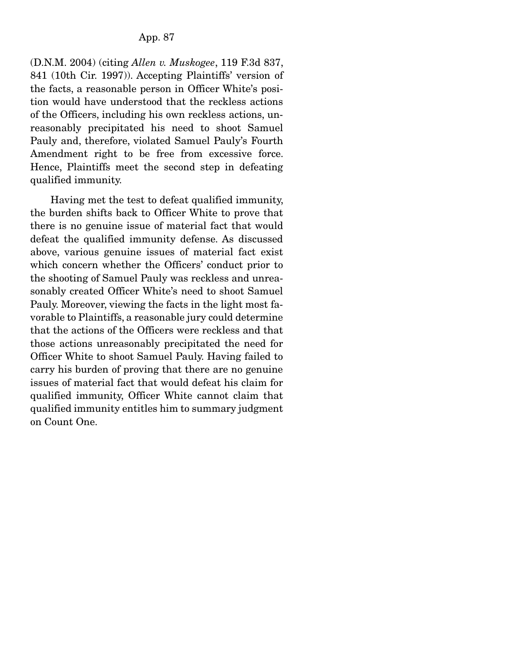(D.N.M. 2004) (citing *Allen v. Muskogee*, 119 F.3d 837, 841 (10th Cir. 1997)). Accepting Plaintiffs' version of the facts, a reasonable person in Officer White's position would have understood that the reckless actions of the Officers, including his own reckless actions, unreasonably precipitated his need to shoot Samuel Pauly and, therefore, violated Samuel Pauly's Fourth Amendment right to be free from excessive force. Hence, Plaintiffs meet the second step in defeating qualified immunity.

 Having met the test to defeat qualified immunity, the burden shifts back to Officer White to prove that there is no genuine issue of material fact that would defeat the qualified immunity defense. As discussed above, various genuine issues of material fact exist which concern whether the Officers' conduct prior to the shooting of Samuel Pauly was reckless and unreasonably created Officer White's need to shoot Samuel Pauly. Moreover, viewing the facts in the light most favorable to Plaintiffs, a reasonable jury could determine that the actions of the Officers were reckless and that those actions unreasonably precipitated the need for Officer White to shoot Samuel Pauly. Having failed to carry his burden of proving that there are no genuine issues of material fact that would defeat his claim for qualified immunity, Officer White cannot claim that qualified immunity entitles him to summary judgment on Count One.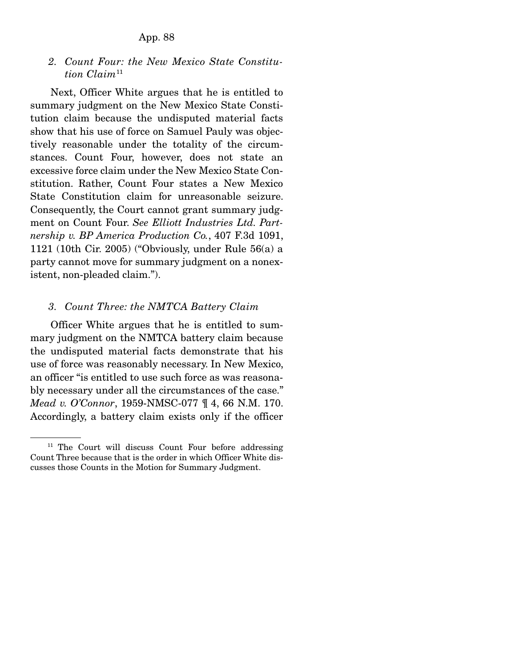*2. Count Four: the New Mexico State Constitution Claim*<sup>11</sup>

 Next, Officer White argues that he is entitled to summary judgment on the New Mexico State Constitution claim because the undisputed material facts show that his use of force on Samuel Pauly was objectively reasonable under the totality of the circumstances. Count Four, however, does not state an excessive force claim under the New Mexico State Constitution. Rather, Count Four states a New Mexico State Constitution claim for unreasonable seizure. Consequently, the Court cannot grant summary judgment on Count Four. *See Elliott Industries Ltd. Partnership v. BP America Production Co.*, 407 F.3d 1091, 1121 (10th Cir. 2005) ("Obviously, under Rule 56(a) a party cannot move for summary judgment on a nonexistent, non-pleaded claim.").

## *3. Count Three: the NMTCA Battery Claim*

 Officer White argues that he is entitled to summary judgment on the NMTCA battery claim because the undisputed material facts demonstrate that his use of force was reasonably necessary. In New Mexico, an officer "is entitled to use such force as was reasonably necessary under all the circumstances of the case." *Mead v. O'Connor*, 1959-NMSC-077 ¶ 4, 66 N.M. 170. Accordingly, a battery claim exists only if the officer

<sup>&</sup>lt;sup>11</sup> The Court will discuss Count Four before addressing Count Three because that is the order in which Officer White discusses those Counts in the Motion for Summary Judgment.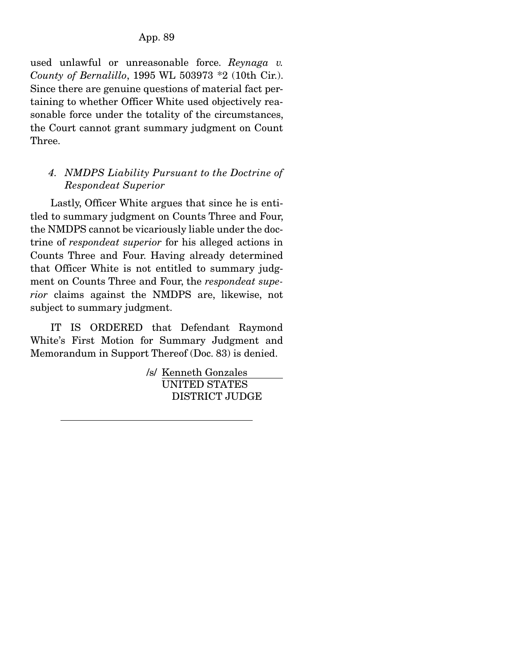used unlawful or unreasonable force. *Reynaga v. County of Bernalillo*, 1995 WL 503973 \*2 (10th Cir.). Since there are genuine questions of material fact pertaining to whether Officer White used objectively reasonable force under the totality of the circumstances, the Court cannot grant summary judgment on Count Three.

# *4. NMDPS Liability Pursuant to the Doctrine of Respondeat Superior*

 Lastly, Officer White argues that since he is entitled to summary judgment on Counts Three and Four, the NMDPS cannot be vicariously liable under the doctrine of *respondeat superior* for his alleged actions in Counts Three and Four. Having already determined that Officer White is not entitled to summary judgment on Counts Three and Four, the *respondeat superior* claims against the NMDPS are, likewise, not subject to summary judgment.

 IT IS ORDERED that Defendant Raymond White's First Motion for Summary Judgment and Memorandum in Support Thereof (Doc. 83) is denied.

> /s/ Kenneth Gonzales UNITED STATES DISTRICT JUDGE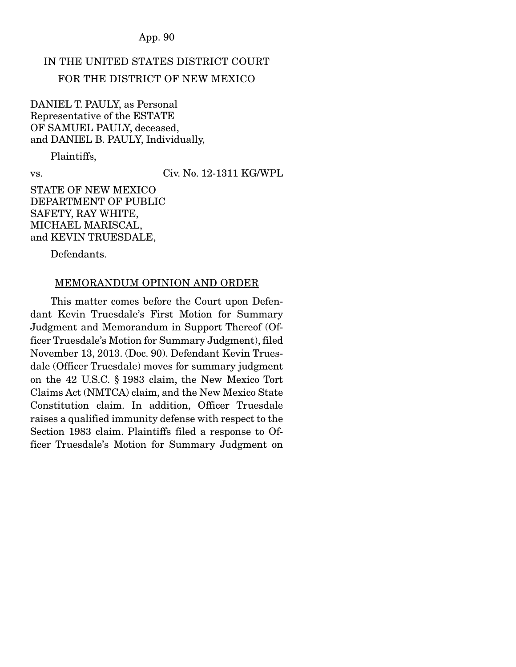# IN THE UNITED STATES DISTRICT COURT FOR THE DISTRICT OF NEW MEXICO

DANIEL T. PAULY, as Personal Representative of the ESTATE OF SAMUEL PAULY, deceased, and DANIEL B. PAULY, Individually,

Plaintiffs,

vs. Civ. No. 12-1311 KG/WPL

STATE OF NEW MEXICO DEPARTMENT OF PUBLIC SAFETY, RAY WHITE, MICHAEL MARISCAL, and KEVIN TRUESDALE,

Defendants.

#### MEMORANDUM OPINION AND ORDER

This matter comes before the Court upon Defendant Kevin Truesdale's First Motion for Summary Judgment and Memorandum in Support Thereof (Officer Truesdale's Motion for Summary Judgment), filed November 13, 2013. (Doc. 90). Defendant Kevin Truesdale (Officer Truesdale) moves for summary judgment on the 42 U.S.C. § 1983 claim, the New Mexico Tort Claims Act (NMTCA) claim, and the New Mexico State Constitution claim. In addition, Officer Truesdale raises a qualified immunity defense with respect to the Section 1983 claim. Plaintiffs filed a response to Officer Truesdale's Motion for Summary Judgment on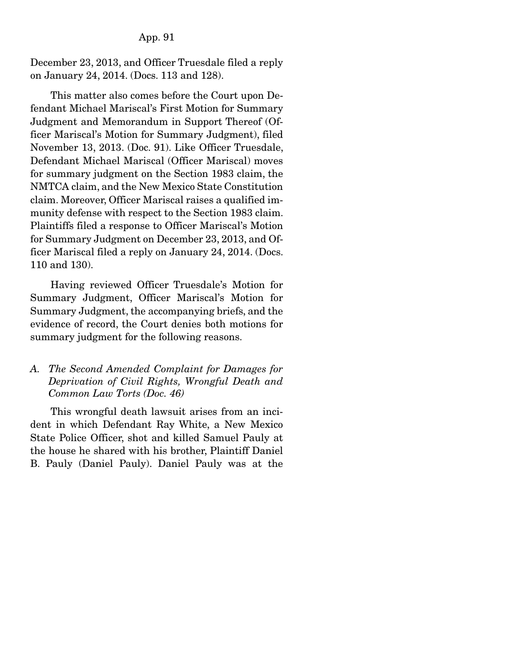December 23, 2013, and Officer Truesdale filed a reply on January 24, 2014. (Docs. 113 and 128).

 This matter also comes before the Court upon Defendant Michael Mariscal's First Motion for Summary Judgment and Memorandum in Support Thereof (Officer Mariscal's Motion for Summary Judgment), filed November 13, 2013. (Doc. 91). Like Officer Truesdale, Defendant Michael Mariscal (Officer Mariscal) moves for summary judgment on the Section 1983 claim, the NMTCA claim, and the New Mexico State Constitution claim. Moreover, Officer Mariscal raises a qualified immunity defense with respect to the Section 1983 claim. Plaintiffs filed a response to Officer Mariscal's Motion for Summary Judgment on December 23, 2013, and Officer Mariscal filed a reply on January 24, 2014. (Docs. 110 and 130).

 Having reviewed Officer Truesdale's Motion for Summary Judgment, Officer Mariscal's Motion for Summary Judgment, the accompanying briefs, and the evidence of record, the Court denies both motions for summary judgment for the following reasons.

# *A. The Second Amended Complaint for Damages for Deprivation of Civil Rights, Wrongful Death and Common Law Torts (Doc. 46)*

This wrongful death lawsuit arises from an incident in which Defendant Ray White, a New Mexico State Police Officer, shot and killed Samuel Pauly at the house he shared with his brother, Plaintiff Daniel B. Pauly (Daniel Pauly). Daniel Pauly was at the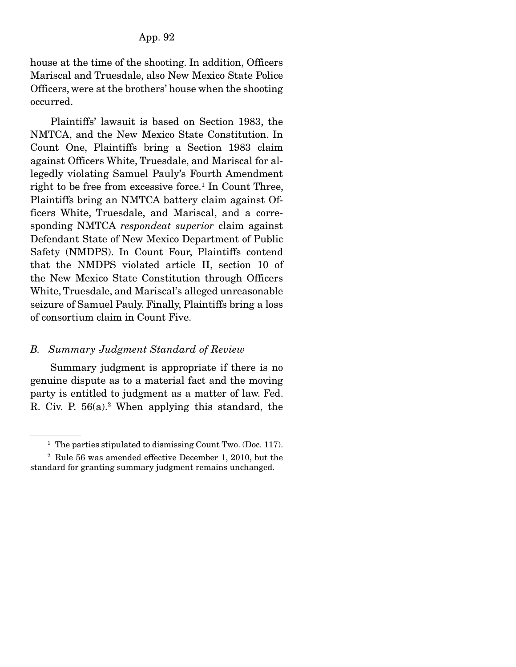house at the time of the shooting. In addition, Officers Mariscal and Truesdale, also New Mexico State Police Officers, were at the brothers' house when the shooting occurred.

 Plaintiffs' lawsuit is based on Section 1983, the NMTCA, and the New Mexico State Constitution. In Count One, Plaintiffs bring a Section 1983 claim against Officers White, Truesdale, and Mariscal for allegedly violating Samuel Pauly's Fourth Amendment right to be free from excessive force.<sup>1</sup> In Count Three, Plaintiffs bring an NMTCA battery claim against Officers White, Truesdale, and Mariscal, and a corresponding NMTCA *respondeat superior* claim against Defendant State of New Mexico Department of Public Safety (NMDPS). In Count Four, Plaintiffs contend that the NMDPS violated article II, section 10 of the New Mexico State Constitution through Officers White, Truesdale, and Mariscal's alleged unreasonable seizure of Samuel Pauly. Finally, Plaintiffs bring a loss of consortium claim in Count Five.

## *B. Summary Judgment Standard of Review*

Summary judgment is appropriate if there is no genuine dispute as to a material fact and the moving party is entitled to judgment as a matter of law. Fed. R. Civ. P. 56(a).<sup>2</sup> When applying this standard, the

<sup>&</sup>lt;sup>1</sup> The parties stipulated to dismissing Count Two. (Doc. 117).

<sup>2</sup> Rule 56 was amended effective December 1, 2010, but the standard for granting summary judgment remains unchanged.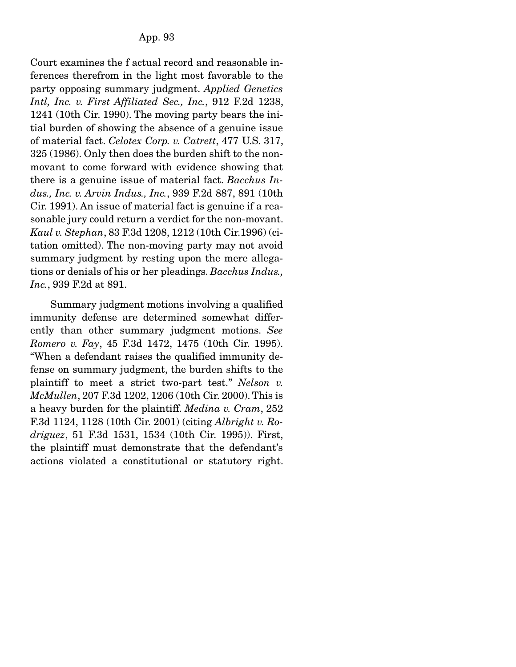Court examines the f actual record and reasonable inferences therefrom in the light most favorable to the party opposing summary judgment. *Applied Genetics Intl, Inc. v. First Affiliated Sec., Inc.*, 912 F.2d 1238, 1241 (10th Cir. 1990). The moving party bears the initial burden of showing the absence of a genuine issue of material fact. *Celotex Corp. v. Catrett*, 477 U.S. 317, 325 (1986). Only then does the burden shift to the nonmovant to come forward with evidence showing that there is a genuine issue of material fact. *Bacchus Indus., Inc. v. Arvin Indus., Inc.*, 939 F.2d 887, 891 (10th Cir. 1991). An issue of material fact is genuine if a reasonable jury could return a verdict for the non-movant. *Kaul v. Stephan*, 83 F.3d 1208, 1212 (10th Cir.1996) (citation omitted). The non-moving party may not avoid summary judgment by resting upon the mere allegations or denials of his or her pleadings. *Bacchus Indus., Inc.*, 939 F.2d at 891.

 Summary judgment motions involving a qualified immunity defense are determined somewhat differently than other summary judgment motions. *See Romero v. Fay*, 45 F.3d 1472, 1475 (10th Cir. 1995). "When a defendant raises the qualified immunity defense on summary judgment, the burden shifts to the plaintiff to meet a strict two-part test." *Nelson v. McMullen*, 207 F.3d 1202, 1206 (10th Cir. 2000). This is a heavy burden for the plaintiff. *Medina v. Cram*, 252 F.3d 1124, 1128 (10th Cir. 2001) (citing *Albright v. Rodriguez*, 51 F.3d 1531, 1534 (10th Cir. 1995)). First, the plaintiff must demonstrate that the defendant's actions violated a constitutional or statutory right.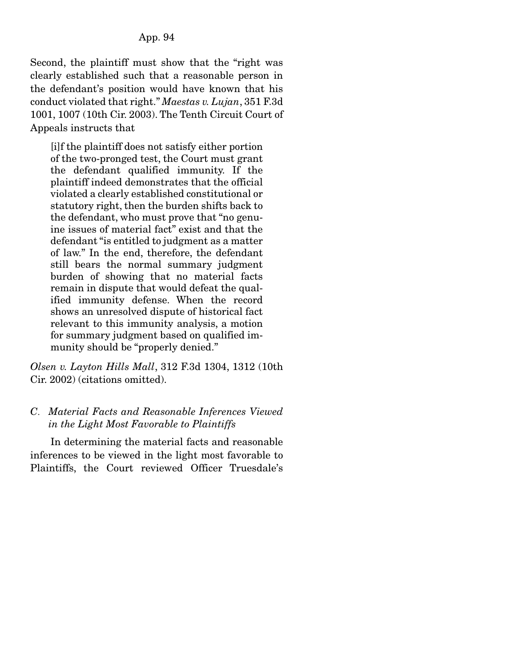Second, the plaintiff must show that the "right was clearly established such that a reasonable person in the defendant's position would have known that his conduct violated that right." *Maestas v. Lujan*, 351 F.3d 1001, 1007 (10th Cir. 2003). The Tenth Circuit Court of Appeals instructs that

[i]f the plaintiff does not satisfy either portion of the two-pronged test, the Court must grant the defendant qualified immunity. If the plaintiff indeed demonstrates that the official violated a clearly established constitutional or statutory right, then the burden shifts back to the defendant, who must prove that "no genuine issues of material fact" exist and that the defendant "is entitled to judgment as a matter of law." In the end, therefore, the defendant still bears the normal summary judgment burden of showing that no material facts remain in dispute that would defeat the qualified immunity defense. When the record shows an unresolved dispute of historical fact relevant to this immunity analysis, a motion for summary judgment based on qualified immunity should be "properly denied."

*Olsen v. Layton Hills Mall*, 312 F.3d 1304, 1312 (10th Cir. 2002) (citations omitted).

# *C*. *Material Facts and Reasonable Inferences Viewed in the Light Most Favorable to Plaintiffs*

In determining the material facts and reasonable inferences to be viewed in the light most favorable to Plaintiffs, the Court reviewed Officer Truesdale's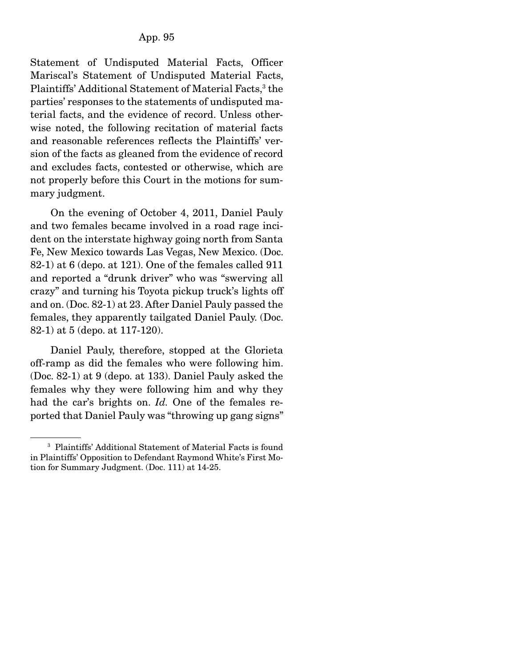Statement of Undisputed Material Facts, Officer Mariscal's Statement of Undisputed Material Facts, Plaintiffs' Additional Statement of Material Facts,<sup>3</sup> the parties' responses to the statements of undisputed material facts, and the evidence of record. Unless otherwise noted, the following recitation of material facts and reasonable references reflects the Plaintiffs' version of the facts as gleaned from the evidence of record and excludes facts, contested or otherwise, which are not properly before this Court in the motions for summary judgment.

 On the evening of October 4, 2011, Daniel Pauly and two females became involved in a road rage incident on the interstate highway going north from Santa Fe, New Mexico towards Las Vegas, New Mexico. (Doc. 82-1) at 6 (depo. at 121). One of the females called 911 and reported a "drunk driver" who was "swerving all crazy" and turning his Toyota pickup truck's lights off and on. (Doc. 82-1) at 23. After Daniel Pauly passed the females, they apparently tailgated Daniel Pauly. (Doc. 82-1) at 5 (depo. at 117-120).

 Daniel Pauly, therefore, stopped at the Glorieta off-ramp as did the females who were following him. (Doc. 82-1) at 9 (depo. at 133). Daniel Pauly asked the females why they were following him and why they had the car's brights on. *Id.* One of the females reported that Daniel Pauly was "throwing up gang signs"

<sup>3</sup> Plaintiffs' Additional Statement of Material Facts is found in Plaintiffs' Opposition to Defendant Raymond White's First Motion for Summary Judgment. (Doc. 111) at 14-25.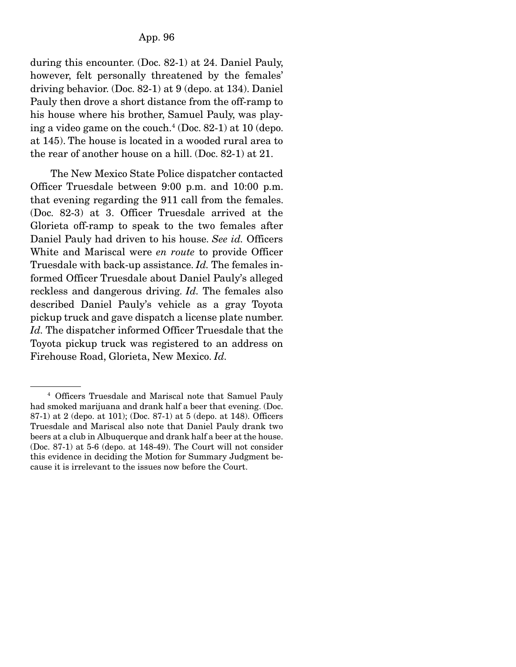during this encounter. (Doc. 82-1) at 24. Daniel Pauly, however, felt personally threatened by the females' driving behavior. (Doc. 82-1) at 9 (depo. at 134). Daniel Pauly then drove a short distance from the off-ramp to his house where his brother, Samuel Pauly, was playing a video game on the couch.<sup>4</sup> (Doc. 82-1) at 10 (depo. at 145). The house is located in a wooded rural area to the rear of another house on a hill. (Doc. 82-1) at 21.

 The New Mexico State Police dispatcher contacted Officer Truesdale between 9:00 p.m. and 10:00 p.m. that evening regarding the 911 call from the females. (Doc. 82-3) at 3. Officer Truesdale arrived at the Glorieta off-ramp to speak to the two females after Daniel Pauly had driven to his house. *See id.* Officers White and Mariscal were *en route* to provide Officer Truesdale with back-up assistance. *Id.* The females informed Officer Truesdale about Daniel Pauly's alleged reckless and dangerous driving. *Id.* The females also described Daniel Pauly's vehicle as a gray Toyota pickup truck and gave dispatch a license plate number. *Id.* The dispatcher informed Officer Truesdale that the Toyota pickup truck was registered to an address on Firehouse Road, Glorieta, New Mexico. *Id.*

<sup>4</sup> Officers Truesdale and Mariscal note that Samuel Pauly had smoked marijuana and drank half a beer that evening. (Doc. 87-1) at 2 (depo. at 101); (Doc. 87-1) at 5 (depo. at 148). Officers Truesdale and Mariscal also note that Daniel Pauly drank two beers at a club in Albuquerque and drank half a beer at the house. (Doc. 87-1) at 5-6 (depo. at 148-49). The Court will not consider this evidence in deciding the Motion for Summary Judgment because it is irrelevant to the issues now before the Court.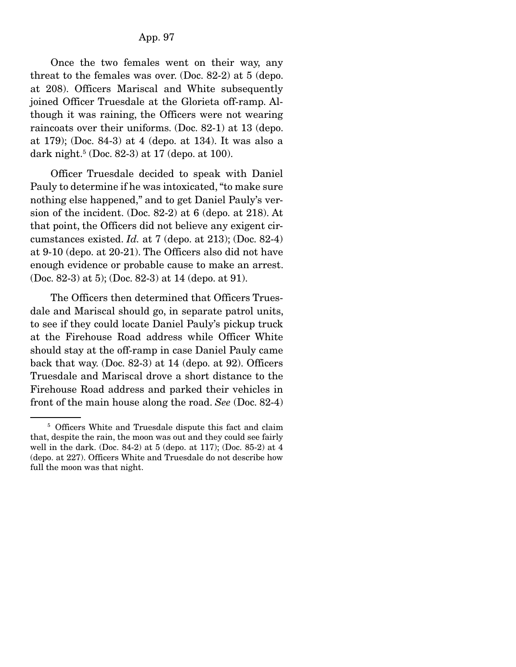Once the two females went on their way, any threat to the females was over. (Doc. 82-2) at 5 (depo. at 208). Officers Mariscal and White subsequently joined Officer Truesdale at the Glorieta off-ramp. Although it was raining, the Officers were not wearing raincoats over their uniforms. (Doc. 82-1) at 13 (depo. at 179); (Doc. 84-3) at 4 (depo. at 134). It was also a dark night.5 (Doc. 82-3) at 17 (depo. at 100).

 Officer Truesdale decided to speak with Daniel Pauly to determine if he was intoxicated, "to make sure nothing else happened," and to get Daniel Pauly's version of the incident. (Doc. 82-2) at 6 (depo. at 218). At that point, the Officers did not believe any exigent circumstances existed. *Id.* at 7 (depo. at 213); (Doc. 82-4) at 9-10 (depo. at 20-21). The Officers also did not have enough evidence or probable cause to make an arrest. (Doc. 82-3) at 5); (Doc. 82-3) at 14 (depo. at 91).

 The Officers then determined that Officers Truesdale and Mariscal should go, in separate patrol units, to see if they could locate Daniel Pauly's pickup truck at the Firehouse Road address while Officer White should stay at the off-ramp in case Daniel Pauly came back that way. (Doc. 82-3) at 14 (depo. at 92). Officers Truesdale and Mariscal drove a short distance to the Firehouse Road address and parked their vehicles in front of the main house along the road. *See* (Doc. 82-4)

<sup>&</sup>lt;sup>5</sup> Officers White and Truesdale dispute this fact and claim that, despite the rain, the moon was out and they could see fairly well in the dark. (Doc. 84-2) at 5 (depo. at 117); (Doc. 85-2) at 4 (depo. at 227). Officers White and Truesdale do not describe how full the moon was that night.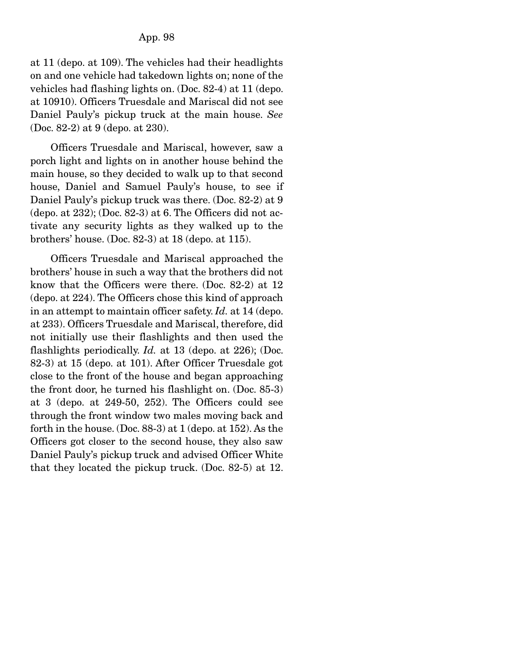at 11 (depo. at 109). The vehicles had their headlights on and one vehicle had takedown lights on; none of the vehicles had flashing lights on. (Doc. 82-4) at 11 (depo. at 10910). Officers Truesdale and Mariscal did not see Daniel Pauly's pickup truck at the main house. *See*  (Doc. 82-2) at 9 (depo. at 230).

 Officers Truesdale and Mariscal, however, saw a porch light and lights on in another house behind the main house, so they decided to walk up to that second house, Daniel and Samuel Pauly's house, to see if Daniel Pauly's pickup truck was there. (Doc. 82-2) at 9  $(depo. at 232)$ ; (Doc. 82-3) at 6. The Officers did not activate any security lights as they walked up to the brothers' house. (Doc. 82-3) at 18 (depo. at 115).

 Officers Truesdale and Mariscal approached the brothers' house in such a way that the brothers did not know that the Officers were there. (Doc. 82-2) at 12 (depo. at 224). The Officers chose this kind of approach in an attempt to maintain officer safety. *Id.* at 14 (depo. at 233). Officers Truesdale and Mariscal, therefore, did not initially use their flashlights and then used the flashlights periodically. *Id.* at 13 (depo. at 226); (Doc. 82-3) at 15 (depo. at 101). After Officer Truesdale got close to the front of the house and began approaching the front door, he turned his flashlight on. (Doc. 85-3) at 3 (depo. at 249-50, 252). The Officers could see through the front window two males moving back and forth in the house. (Doc. 88-3) at 1 (depo. at 152). As the Officers got closer to the second house, they also saw Daniel Pauly's pickup truck and advised Officer White that they located the pickup truck. (Doc. 82-5) at 12.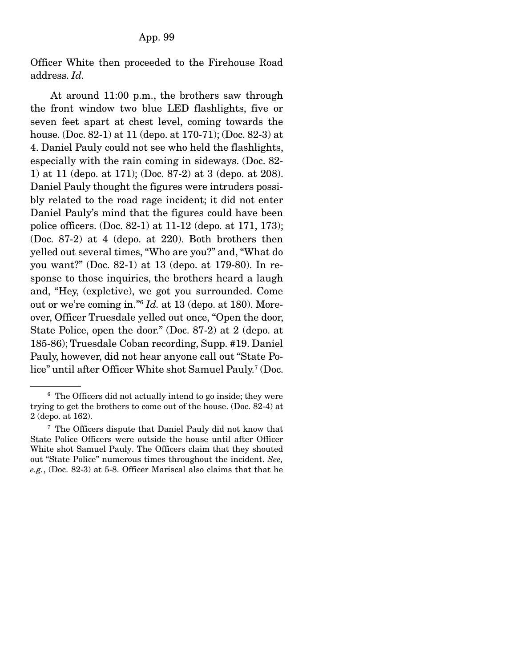Officer White then proceeded to the Firehouse Road address. *Id.*

 At around 11:00 p.m., the brothers saw through the front window two blue LED flashlights, five or seven feet apart at chest level, coming towards the house. (Doc. 82-1) at 11 (depo. at 170-71); (Doc. 82-3) at 4. Daniel Pauly could not see who held the flashlights, especially with the rain coming in sideways. (Doc. 82- 1) at 11 (depo. at 171); (Doc. 87-2) at 3 (depo. at 208). Daniel Pauly thought the figures were intruders possibly related to the road rage incident; it did not enter Daniel Pauly's mind that the figures could have been police officers. (Doc. 82-1) at 11-12 (depo. at 171, 173); (Doc. 87-2) at 4 (depo. at 220). Both brothers then yelled out several times, "Who are you?" and, "What do you want?" (Doc. 82-1) at 13 (depo. at 179-80). In response to those inquiries, the brothers heard a laugh and, "Hey, (expletive), we got you surrounded. Come out or we're coming in."6  *Id.* at 13 (depo. at 180). Moreover, Officer Truesdale yelled out once, "Open the door, State Police, open the door." (Doc. 87-2) at 2 (depo. at 185-86); Truesdale Coban recording, Supp. #19. Daniel Pauly, however, did not hear anyone call out "State Police" until after Officer White shot Samuel Pauly.7 (Doc.

<sup>6</sup> The Officers did not actually intend to go inside; they were trying to get the brothers to come out of the house. (Doc. 82-4) at 2 (depo. at 162).

<sup>7</sup> The Officers dispute that Daniel Pauly did not know that State Police Officers were outside the house until after Officer White shot Samuel Pauly. The Officers claim that they shouted out "State Police" numerous times throughout the incident. *See, e.g.*, (Doc. 82-3) at 5-8. Officer Mariscal also claims that that he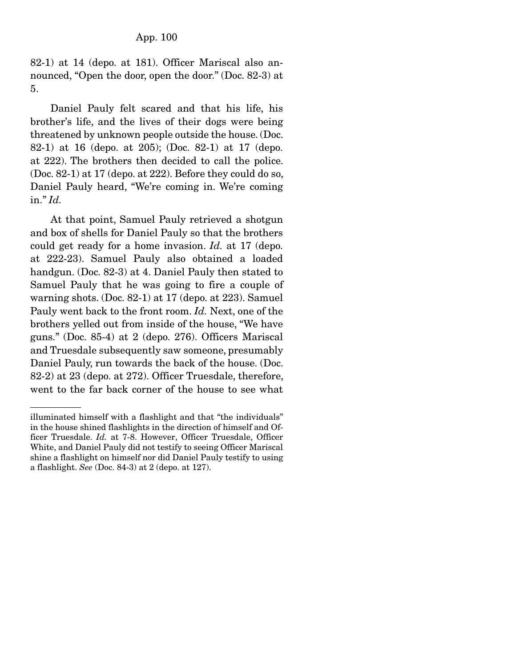82-1) at 14 (depo. at 181). Officer Mariscal also announced, "Open the door, open the door." (Doc. 82-3) at 5.

 Daniel Pauly felt scared and that his life, his brother's life, and the lives of their dogs were being threatened by unknown people outside the house. (Doc. 82-1) at 16 (depo. at 205); (Doc. 82-1) at 17 (depo. at 222). The brothers then decided to call the police. (Doc. 82-1) at 17 (depo. at 222). Before they could do so, Daniel Pauly heard, "We're coming in. We're coming in." *Id.*

 At that point, Samuel Pauly retrieved a shotgun and box of shells for Daniel Pauly so that the brothers could get ready for a home invasion. *Id.* at 17 (depo. at 222-23). Samuel Pauly also obtained a loaded handgun. (Doc. 82-3) at 4. Daniel Pauly then stated to Samuel Pauly that he was going to fire a couple of warning shots. (Doc. 82-1) at 17 (depo. at 223). Samuel Pauly went back to the front room. *Id.* Next, one of the brothers yelled out from inside of the house, "We have guns." (Doc. 85-4) at 2 (depo. 276). Officers Mariscal and Truesdale subsequently saw someone, presumably Daniel Pauly, run towards the back of the house. (Doc. 82-2) at 23 (depo. at 272). Officer Truesdale, therefore, went to the far back corner of the house to see what

illuminated himself with a flashlight and that "the individuals" in the house shined flashlights in the direction of himself and Officer Truesdale. *Id.* at 7-8. However, Officer Truesdale, Officer White, and Daniel Pauly did not testify to seeing Officer Mariscal shine a flashlight on himself nor did Daniel Pauly testify to using a flashlight. *See* (Doc. 84-3) at 2 (depo. at 127).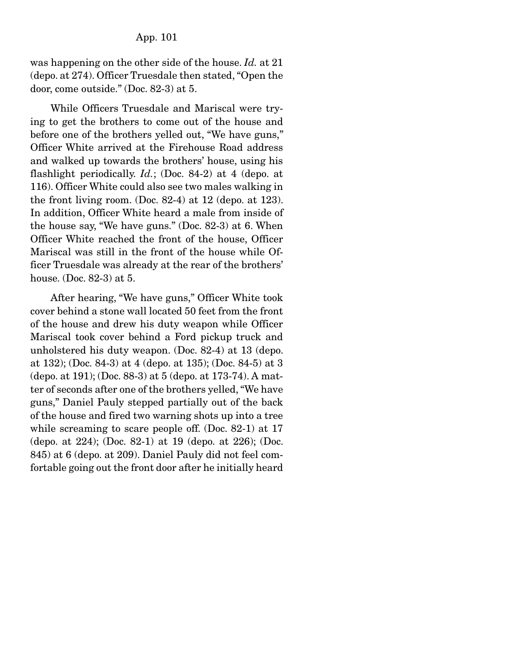was happening on the other side of the house. *Id.* at 21 (depo. at 274). Officer Truesdale then stated, "Open the door, come outside." (Doc. 82-3) at 5.

 While Officers Truesdale and Mariscal were trying to get the brothers to come out of the house and before one of the brothers yelled out, "We have guns," Officer White arrived at the Firehouse Road address and walked up towards the brothers' house, using his flashlight periodically. *Id.*; (Doc. 84-2) at 4 (depo. at 116). Officer White could also see two males walking in the front living room. (Doc. 82-4) at 12 (depo. at 123). In addition, Officer White heard a male from inside of the house say, "We have guns." (Doc. 82-3) at 6. When Officer White reached the front of the house, Officer Mariscal was still in the front of the house while Officer Truesdale was already at the rear of the brothers' house. (Doc. 82-3) at 5.

 After hearing, "We have guns," Officer White took cover behind a stone wall located 50 feet from the front of the house and drew his duty weapon while Officer Mariscal took cover behind a Ford pickup truck and unholstered his duty weapon. (Doc. 82-4) at 13 (depo. at 132); (Doc. 84-3) at 4 (depo. at 135); (Doc. 84-5) at 3 (depo. at 191); (Doc. 88-3) at 5 (depo. at 173-74). A matter of seconds after one of the brothers yelled, "We have guns," Daniel Pauly stepped partially out of the back of the house and fired two warning shots up into a tree while screaming to scare people off. (Doc. 82-1) at 17 (depo. at 224); (Doc. 82-1) at 19 (depo. at 226); (Doc. 845) at 6 (depo. at 209). Daniel Pauly did not feel comfortable going out the front door after he initially heard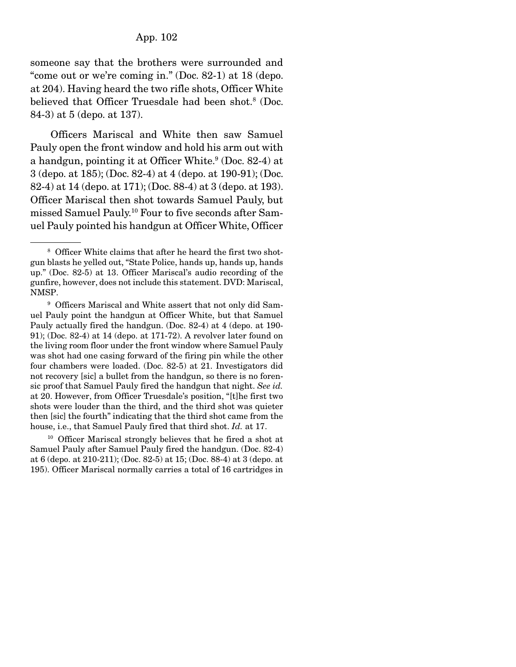someone say that the brothers were surrounded and "come out or we're coming in." (Doc. 82-1) at 18 (depo. at 204). Having heard the two rifle shots, Officer White believed that Officer Truesdale had been shot.<sup>8</sup> (Doc. 84-3) at 5 (depo. at 137).

 Officers Mariscal and White then saw Samuel Pauly open the front window and hold his arm out with a handgun, pointing it at Officer White.<sup>9</sup> (Doc. 82-4) at 3 (depo. at 185); (Doc. 82-4) at 4 (depo. at 190-91); (Doc. 82-4) at 14 (depo. at 171); (Doc. 88-4) at 3 (depo. at 193). Officer Mariscal then shot towards Samuel Pauly, but missed Samuel Pauly.10 Four to five seconds after Samuel Pauly pointed his handgun at Officer White, Officer

<sup>10</sup> Officer Mariscal strongly believes that he fired a shot at Samuel Pauly after Samuel Pauly fired the handgun. (Doc. 82-4) at 6 (depo. at 210-211); (Doc. 82-5) at 15; (Doc. 88-4) at 3 (depo. at 195). Officer Mariscal normally carries a total of 16 cartridges in

<sup>&</sup>lt;sup>8</sup> Officer White claims that after he heard the first two shotgun blasts he yelled out, "State Police, hands up, hands up, hands up." (Doc. 82-5) at 13. Officer Mariscal's audio recording of the gunfire, however, does not include this statement. DVD: Mariscal, NMSP.

<sup>&</sup>lt;sup>9</sup> Officers Mariscal and White assert that not only did Samuel Pauly point the handgun at Officer White, but that Samuel Pauly actually fired the handgun. (Doc. 82-4) at 4 (depo. at 190- 91); (Doc. 82-4) at 14 (depo. at 171-72). A revolver later found on the living room floor under the front window where Samuel Pauly was shot had one casing forward of the firing pin while the other four chambers were loaded. (Doc. 82-5) at 21. Investigators did not recovery [sic] a bullet from the handgun, so there is no forensic proof that Samuel Pauly fired the handgun that night. *See id.*  at 20. However, from Officer Truesdale's position, "[t]he first two shots were louder than the third, and the third shot was quieter then [sic] the fourth" indicating that the third shot came from the house, i.e., that Samuel Pauly fired that third shot. *Id.* at 17.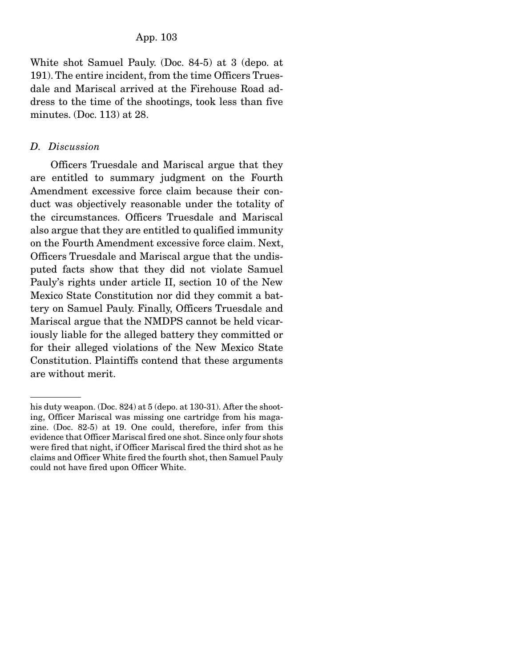White shot Samuel Pauly. (Doc. 84-5) at 3 (depo. at 191). The entire incident, from the time Officers Truesdale and Mariscal arrived at the Firehouse Road address to the time of the shootings, took less than five minutes. (Doc. 113) at 28.

#### *D. Discussion*

Officers Truesdale and Mariscal argue that they are entitled to summary judgment on the Fourth Amendment excessive force claim because their conduct was objectively reasonable under the totality of the circumstances. Officers Truesdale and Mariscal also argue that they are entitled to qualified immunity on the Fourth Amendment excessive force claim. Next, Officers Truesdale and Mariscal argue that the undisputed facts show that they did not violate Samuel Pauly's rights under article II, section 10 of the New Mexico State Constitution nor did they commit a battery on Samuel Pauly. Finally, Officers Truesdale and Mariscal argue that the NMDPS cannot be held vicariously liable for the alleged battery they committed or for their alleged violations of the New Mexico State Constitution. Plaintiffs contend that these arguments are without merit.

his duty weapon. (Doc. 824) at 5 (depo. at 130-31). After the shooting, Officer Mariscal was missing one cartridge from his magazine. (Doc. 82-5) at 19. One could, therefore, infer from this evidence that Officer Mariscal fired one shot. Since only four shots were fired that night, if Officer Mariscal fired the third shot as he claims and Officer White fired the fourth shot, then Samuel Pauly could not have fired upon Officer White.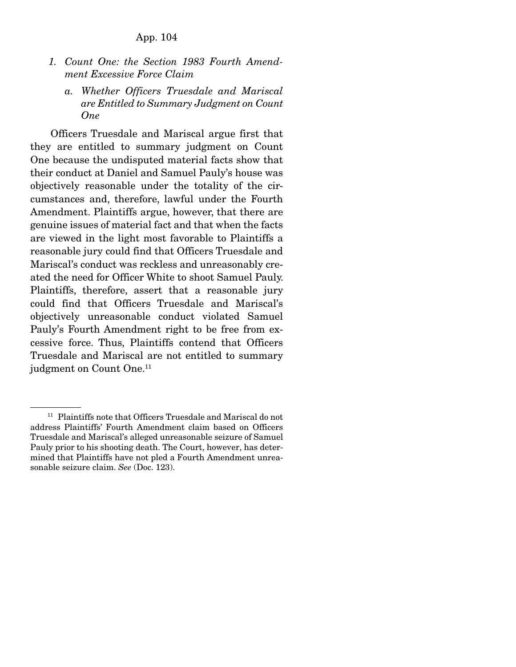- *1. Count One: the Section 1983 Fourth Amendment Excessive Force Claim* 
	- *a. Whether Officers Truesdale and Mariscal are Entitled to Summary Judgment on Count One*

Officers Truesdale and Mariscal argue first that they are entitled to summary judgment on Count One because the undisputed material facts show that their conduct at Daniel and Samuel Pauly's house was objectively reasonable under the totality of the circumstances and, therefore, lawful under the Fourth Amendment. Plaintiffs argue, however, that there are genuine issues of material fact and that when the facts are viewed in the light most favorable to Plaintiffs a reasonable jury could find that Officers Truesdale and Mariscal's conduct was reckless and unreasonably created the need for Officer White to shoot Samuel Pauly. Plaintiffs, therefore, assert that a reasonable jury could find that Officers Truesdale and Mariscal's objectively unreasonable conduct violated Samuel Pauly's Fourth Amendment right to be free from excessive force. Thus, Plaintiffs contend that Officers Truesdale and Mariscal are not entitled to summary judgment on Count One.<sup>11</sup>

<sup>&</sup>lt;sup>11</sup> Plaintiffs note that Officers Truesdale and Mariscal do not address Plaintiffs' Fourth Amendment claim based on Officers Truesdale and Mariscal's alleged unreasonable seizure of Samuel Pauly prior to his shooting death. The Court, however, has determined that Plaintiffs have not pled a Fourth Amendment unreasonable seizure claim. *See* (Doc. 123).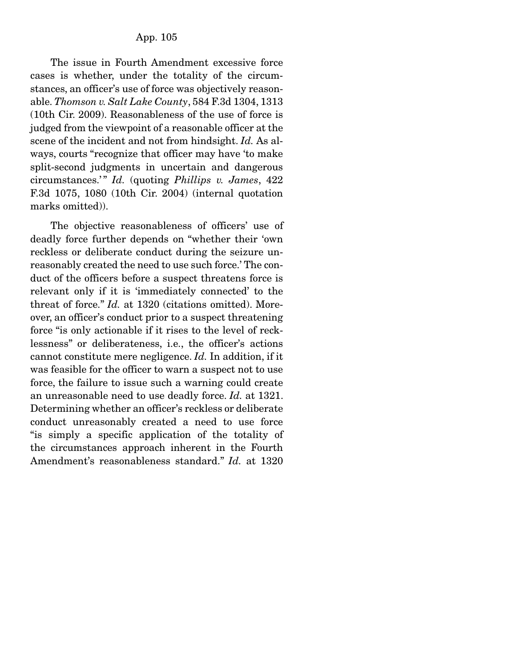The issue in Fourth Amendment excessive force cases is whether, under the totality of the circumstances, an officer's use of force was objectively reasonable. *Thomson v. Salt Lake County*, 584 F.3d 1304, 1313 (10th Cir. 2009). Reasonableness of the use of force is judged from the viewpoint of a reasonable officer at the scene of the incident and not from hindsight. *Id.* As always, courts "recognize that officer may have 'to make split-second judgments in uncertain and dangerous circumstances.' " *Id.* (quoting *Phillips v. James*, 422 F.3d 1075, 1080 (10th Cir. 2004) (internal quotation marks omitted)).

 The objective reasonableness of officers' use of deadly force further depends on "whether their 'own reckless or deliberate conduct during the seizure unreasonably created the need to use such force.' The conduct of the officers before a suspect threatens force is relevant only if it is 'immediately connected' to the threat of force." *Id.* at 1320 (citations omitted). Moreover, an officer's conduct prior to a suspect threatening force "is only actionable if it rises to the level of recklessness" or deliberateness, i.e., the officer's actions cannot constitute mere negligence. *Id.* In addition, if it was feasible for the officer to warn a suspect not to use force, the failure to issue such a warning could create an unreasonable need to use deadly force. *Id.* at 1321. Determining whether an officer's reckless or deliberate conduct unreasonably created a need to use force "is simply a specific application of the totality of the circumstances approach inherent in the Fourth Amendment's reasonableness standard." *Id.* at 1320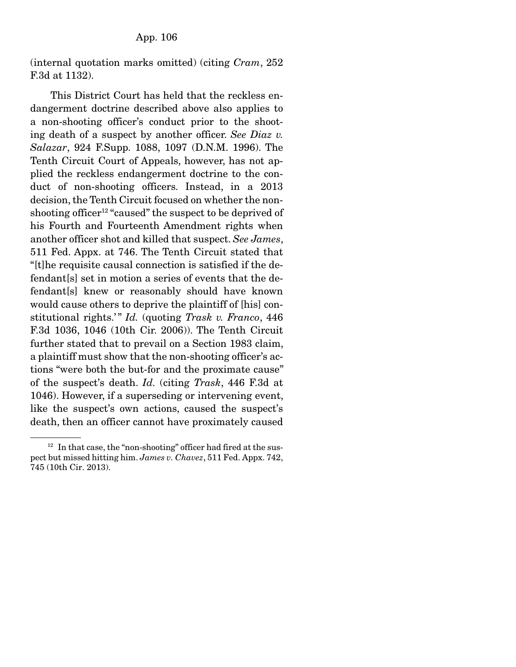(internal quotation marks omitted) (citing *Cram*, 252 F.3d at 1132).

 This District Court has held that the reckless endangerment doctrine described above also applies to a non-shooting officer's conduct prior to the shooting death of a suspect by another officer. *See Diaz v. Salazar*, 924 F.Supp. 1088, 1097 (D.N.M. 1996). The Tenth Circuit Court of Appeals, however, has not applied the reckless endangerment doctrine to the conduct of non-shooting officers. Instead, in a 2013 decision, the Tenth Circuit focused on whether the nonshooting officer<sup>12</sup> "caused" the suspect to be deprived of his Fourth and Fourteenth Amendment rights when another officer shot and killed that suspect. *See James*, 511 Fed. Appx. at 746. The Tenth Circuit stated that "[t]he requisite causal connection is satisfied if the defendant[s] set in motion a series of events that the defendant[s] knew or reasonably should have known would cause others to deprive the plaintiff of [his] constitutional rights.'" *Id.* (quoting *Trask v. Franco*, 446 F.3d 1036, 1046 (10th Cir. 2006)). The Tenth Circuit further stated that to prevail on a Section 1983 claim, a plaintiff must show that the non-shooting officer's actions "were both the but-for and the proximate cause" of the suspect's death. *Id.* (citing *Trask*, 446 F.3d at 1046). However, if a superseding or intervening event, like the suspect's own actions, caused the suspect's death, then an officer cannot have proximately caused

 $12$  In that case, the "non-shooting" officer had fired at the suspect but missed hitting him. *James v. Chavez*, 511 Fed. Appx. 742, 745 (10th Cir. 2013).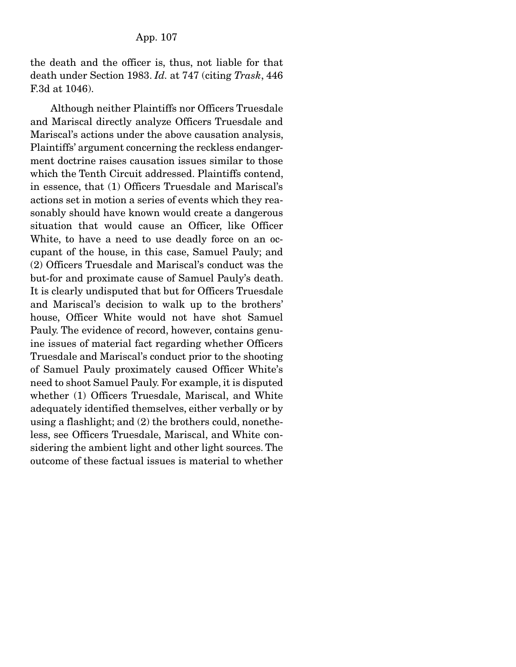the death and the officer is, thus, not liable for that death under Section 1983. *Id.* at 747 (citing *Trask*, 446 F.3d at 1046).

 Although neither Plaintiffs nor Officers Truesdale and Mariscal directly analyze Officers Truesdale and Mariscal's actions under the above causation analysis, Plaintiffs' argument concerning the reckless endangerment doctrine raises causation issues similar to those which the Tenth Circuit addressed. Plaintiffs contend, in essence, that (1) Officers Truesdale and Mariscal's actions set in motion a series of events which they reasonably should have known would create a dangerous situation that would cause an Officer, like Officer White, to have a need to use deadly force on an occupant of the house, in this case, Samuel Pauly; and (2) Officers Truesdale and Mariscal's conduct was the but-for and proximate cause of Samuel Pauly's death. It is clearly undisputed that but for Officers Truesdale and Mariscal's decision to walk up to the brothers' house, Officer White would not have shot Samuel Pauly. The evidence of record, however, contains genuine issues of material fact regarding whether Officers Truesdale and Mariscal's conduct prior to the shooting of Samuel Pauly proximately caused Officer White's need to shoot Samuel Pauly. For example, it is disputed whether (1) Officers Truesdale, Mariscal, and White adequately identified themselves, either verbally or by using a flashlight; and (2) the brothers could, nonetheless, see Officers Truesdale, Mariscal, and White considering the ambient light and other light sources. The outcome of these factual issues is material to whether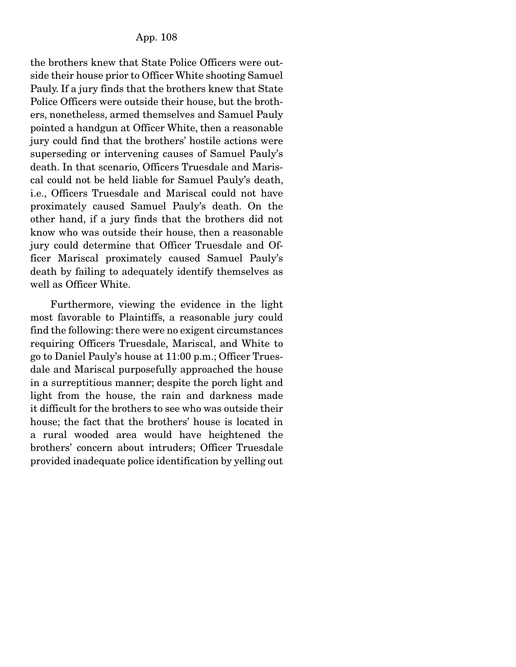the brothers knew that State Police Officers were outside their house prior to Officer White shooting Samuel Pauly. If a jury finds that the brothers knew that State Police Officers were outside their house, but the brothers, nonetheless, armed themselves and Samuel Pauly pointed a handgun at Officer White, then a reasonable jury could find that the brothers' hostile actions were superseding or intervening causes of Samuel Pauly's death. In that scenario, Officers Truesdale and Mariscal could not be held liable for Samuel Pauly's death, i.e., Officers Truesdale and Mariscal could not have proximately caused Samuel Pauly's death. On the other hand, if a jury finds that the brothers did not know who was outside their house, then a reasonable jury could determine that Officer Truesdale and Officer Mariscal proximately caused Samuel Pauly's death by failing to adequately identify themselves as well as Officer White.

 Furthermore, viewing the evidence in the light most favorable to Plaintiffs, a reasonable jury could find the following: there were no exigent circumstances requiring Officers Truesdale, Mariscal, and White to go to Daniel Pauly's house at 11:00 p.m.; Officer Truesdale and Mariscal purposefully approached the house in a surreptitious manner; despite the porch light and light from the house, the rain and darkness made it difficult for the brothers to see who was outside their house; the fact that the brothers' house is located in a rural wooded area would have heightened the brothers' concern about intruders; Officer Truesdale provided inadequate police identification by yelling out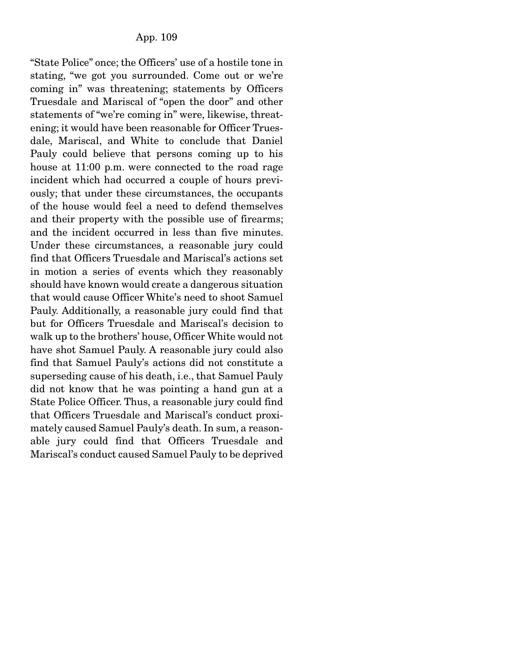"State Police" once; the Officers' use of a hostile tone in stating, "we got you surrounded. Come out or we're coming in" was threatening; statements by Officers Truesdale and Mariscal of "open the door" and other statements of "we're coming in" were, likewise, threatening; it would have been reasonable for Officer Truesdale, Mariscal, and White to conclude that Daniel Pauly could believe that persons coming up to his house at 11:00 p.m. were connected to the road rage incident which had occurred a couple of hours previously; that under these circumstances, the occupants of the house would feel a need to defend themselves and their property with the possible use of firearms; and the incident occurred in less than five minutes. Under these circumstances, a reasonable jury could find that Officers Truesdale and Mariscal's actions set in motion a series of events which they reasonably should have known would create a dangerous situation that would cause Officer White's need to shoot Samuel Pauly. Additionally, a reasonable jury could find that but for Officers Truesdale and Mariscal's decision to walk up to the brothers' house, Officer White would not have shot Samuel Pauly. A reasonable jury could also find that Samuel Pauly's actions did not constitute a superseding cause of his death, i.e., that Samuel Pauly did not know that he was pointing a hand gun at a State Police Officer. Thus, a reasonable jury could find that Officers Truesdale and Mariscal's conduct proximately caused Samuel Pauly's death. In sum, a reasonable jury could find that Officers Truesdale and Mariscal's conduct caused Samuel Pauly to be deprived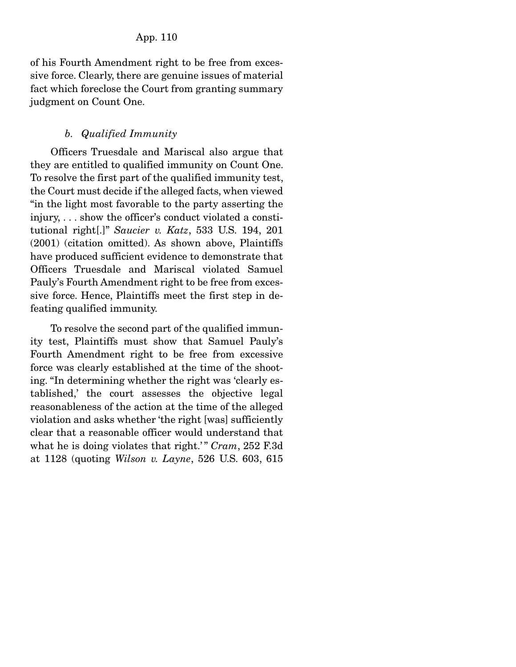of his Fourth Amendment right to be free from excessive force. Clearly, there are genuine issues of material fact which foreclose the Court from granting summary judgment on Count One.

## *b. Qualified Immunity*

Officers Truesdale and Mariscal also argue that they are entitled to qualified immunity on Count One. To resolve the first part of the qualified immunity test, the Court must decide if the alleged facts, when viewed "in the light most favorable to the party asserting the injury, . . . show the officer's conduct violated a constitutional right[.]" *Saucier v. Katz*, 533 U.S. 194, 201 (2001) (citation omitted). As shown above, Plaintiffs have produced sufficient evidence to demonstrate that Officers Truesdale and Mariscal violated Samuel Pauly's Fourth Amendment right to be free from excessive force. Hence, Plaintiffs meet the first step in defeating qualified immunity.

 To resolve the second part of the qualified immunity test, Plaintiffs must show that Samuel Pauly's Fourth Amendment right to be free from excessive force was clearly established at the time of the shooting. "In determining whether the right was 'clearly established,' the court assesses the objective legal reasonableness of the action at the time of the alleged violation and asks whether 'the right [was] sufficiently clear that a reasonable officer would understand that what he is doing violates that right.'" *Cram*, 252 F.3d at 1128 (quoting *Wilson v. Layne*, 526 U.S. 603, 615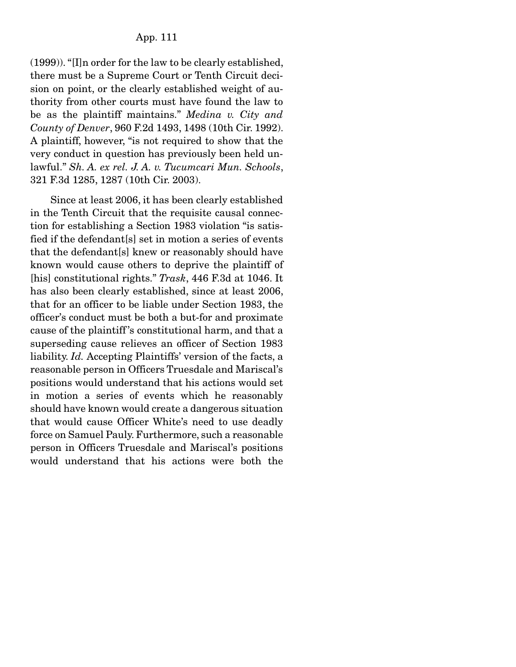(1999)). "[I]n order for the law to be clearly established, there must be a Supreme Court or Tenth Circuit decision on point, or the clearly established weight of authority from other courts must have found the law to be as the plaintiff maintains." *Medina v. City and County of Denver*, 960 F.2d 1493, 1498 (10th Cir. 1992). A plaintiff, however, "is not required to show that the very conduct in question has previously been held unlawful." *Sh. A. ex rel. J. A. v. Tucumcari Mun. Schools*, 321 F.3d 1285, 1287 (10th Cir. 2003).

 Since at least 2006, it has been clearly established in the Tenth Circuit that the requisite causal connection for establishing a Section 1983 violation "is satisfied if the defendant[s] set in motion a series of events that the defendant[s] knew or reasonably should have known would cause others to deprive the plaintiff of [his] constitutional rights." *Trask*, 446 F.3d at 1046. It has also been clearly established, since at least 2006, that for an officer to be liable under Section 1983, the officer's conduct must be both a but-for and proximate cause of the plaintiff 's constitutional harm, and that a superseding cause relieves an officer of Section 1983 liability. *Id.* Accepting Plaintiffs' version of the facts, a reasonable person in Officers Truesdale and Mariscal's positions would understand that his actions would set in motion a series of events which he reasonably should have known would create a dangerous situation that would cause Officer White's need to use deadly force on Samuel Pauly. Furthermore, such a reasonable person in Officers Truesdale and Mariscal's positions would understand that his actions were both the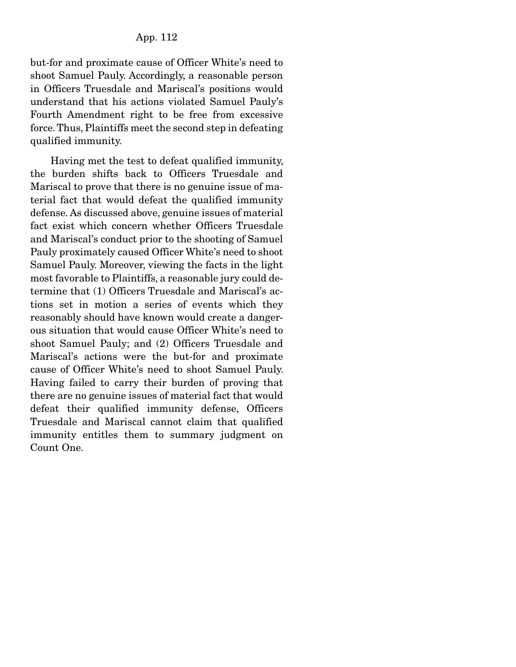but-for and proximate cause of Officer White's need to shoot Samuel Pauly. Accordingly, a reasonable person in Officers Truesdale and Mariscal's positions would understand that his actions violated Samuel Pauly's Fourth Amendment right to be free from excessive force. Thus, Plaintiffs meet the second step in defeating qualified immunity.

 Having met the test to defeat qualified immunity, the burden shifts back to Officers Truesdale and Mariscal to prove that there is no genuine issue of material fact that would defeat the qualified immunity defense. As discussed above, genuine issues of material fact exist which concern whether Officers Truesdale and Mariscal's conduct prior to the shooting of Samuel Pauly proximately caused Officer White's need to shoot Samuel Pauly. Moreover, viewing the facts in the light most favorable to Plaintiffs, a reasonable jury could determine that (1) Officers Truesdale and Mariscal's actions set in motion a series of events which they reasonably should have known would create a dangerous situation that would cause Officer White's need to shoot Samuel Pauly; and (2) Officers Truesdale and Mariscal's actions were the but-for and proximate cause of Officer White's need to shoot Samuel Pauly. Having failed to carry their burden of proving that there are no genuine issues of material fact that would defeat their qualified immunity defense, Officers Truesdale and Mariscal cannot claim that qualified immunity entitles them to summary judgment on Count One.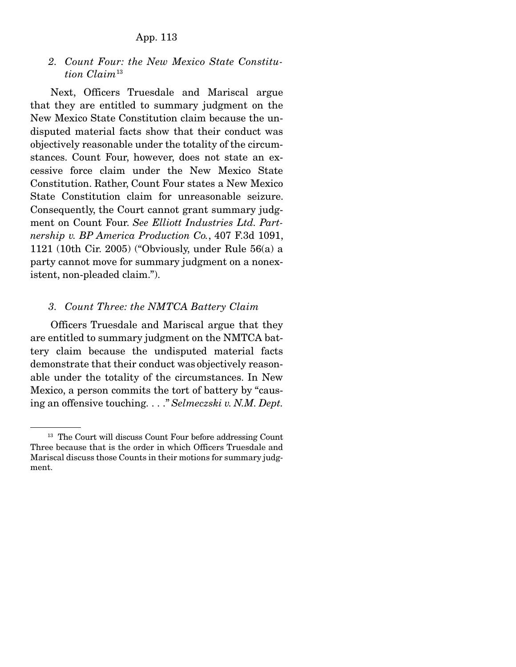*2. Count Four: the New Mexico State Constitution Claim*<sup>13</sup>

Next, Officers Truesdale and Mariscal argue that they are entitled to summary judgment on the New Mexico State Constitution claim because the undisputed material facts show that their conduct was objectively reasonable under the totality of the circumstances. Count Four, however, does not state an excessive force claim under the New Mexico State Constitution. Rather, Count Four states a New Mexico State Constitution claim for unreasonable seizure. Consequently, the Court cannot grant summary judgment on Count Four. *See Elliott Industries Ltd. Partnership v. BP America Production Co.*, 407 F.3d 1091, 1121 (10th Cir. 2005) ("Obviously, under Rule 56(a) a party cannot move for summary judgment on a nonexistent, non-pleaded claim.").

#### *3. Count Three: the NMTCA Battery Claim*

Officers Truesdale and Mariscal argue that they are entitled to summary judgment on the NMTCA battery claim because the undisputed material facts demonstrate that their conduct was objectively reasonable under the totality of the circumstances. In New Mexico, a person commits the tort of battery by "causing an offensive touching. . . ." *Selmeczski v. N.M. Dept.* 

<sup>&</sup>lt;sup>13</sup> The Court will discuss Count Four before addressing Count Three because that is the order in which Officers Truesdale and Mariscal discuss those Counts in their motions for summary judgment.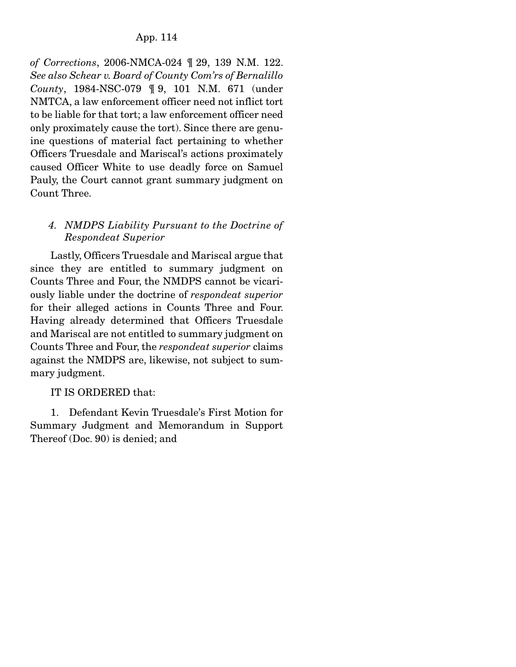*of Corrections*, 2006-NMCA-024 ¶ 29, 139 N.M. 122. *See also Schear v. Board of County Com'rs of Bernalillo County*, 1984-NSC-079 ¶ 9, 101 N.M. 671 (under NMTCA, a law enforcement officer need not inflict tort to be liable for that tort; a law enforcement officer need only proximately cause the tort). Since there are genuine questions of material fact pertaining to whether Officers Truesdale and Mariscal's actions proximately caused Officer White to use deadly force on Samuel Pauly, the Court cannot grant summary judgment on Count Three.

# *4. NMDPS Liability Pursuant to the Doctrine of Respondeat Superior*

 Lastly, Officers Truesdale and Mariscal argue that since they are entitled to summary judgment on Counts Three and Four, the NMDPS cannot be vicariously liable under the doctrine of *respondeat superior*  for their alleged actions in Counts Three and Four. Having already determined that Officers Truesdale and Mariscal are not entitled to summary judgment on Counts Three and Four, the *respondeat superior* claims against the NMDPS are, likewise, not subject to summary judgment.

# IT IS ORDERED that:

 1. Defendant Kevin Truesdale's First Motion for Summary Judgment and Memorandum in Support Thereof (Doc. 90) is denied; and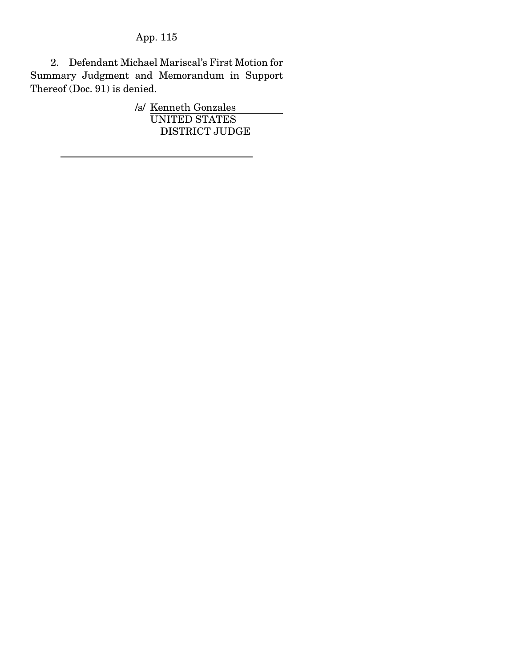2. Defendant Michael Mariscal's First Motion for Summary Judgment and Memorandum in Support Thereof (Doc. 91) is denied.

> /s/ Kenneth Gonzales UNITED STATES DISTRICT JUDGE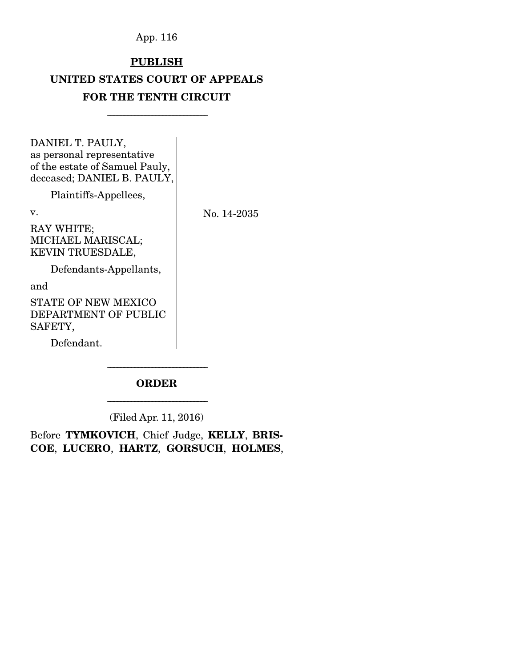# **PUBLISH**

# UNITED STATES COURT OF APPEALS FOR THE TENTH CIRCUIT

-----------------------------------------------------------------------

DANIEL T. PAULY, as personal representative of the estate of Samuel Pauly, deceased; DANIEL B. PAULY,

Plaintiffs-Appellees,

v.

No. 14-2035

RAY WHITE; MICHAEL MARISCAL; KEVIN TRUESDALE,

Defendants-Appellants,

and

STATE OF NEW MEXICO DEPARTMENT OF PUBLIC SAFETY,

Defendant.

# ----------------------------------------------------------------------- ORDER

----------------------------------------------------------------------- (Filed Apr. 11, 2016)

Before TYMKOVICH, Chief Judge, KELLY, BRIS-COE, LUCERO, HARTZ, GORSUCH, HOLMES,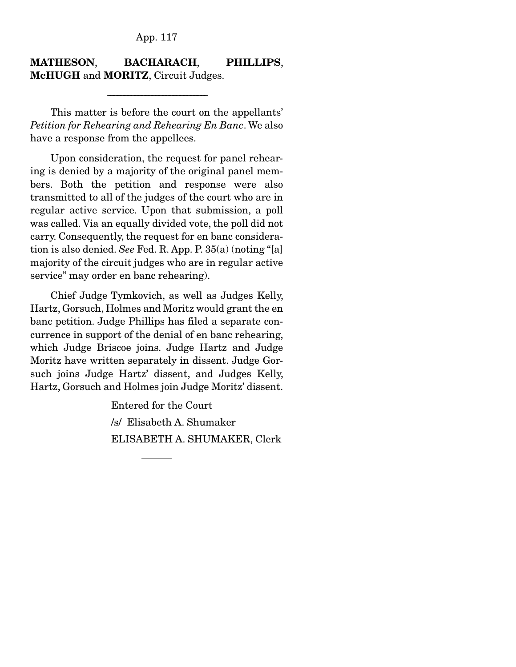## MATHESON, BACHARACH, PHILLIPS, McHUGH and MORITZ, Circuit Judges.

-----------------------------------------------------------------------

 This matter is before the court on the appellants' *Petition for Rehearing and Rehearing En Banc*. We also have a response from the appellees.

 Upon consideration, the request for panel rehearing is denied by a majority of the original panel members. Both the petition and response were also transmitted to all of the judges of the court who are in regular active service. Upon that submission, a poll was called. Via an equally divided vote, the poll did not carry. Consequently, the request for en banc consideration is also denied. *See* Fed. R. App. P. 35(a) (noting "[a] majority of the circuit judges who are in regular active service" may order en banc rehearing).

 Chief Judge Tymkovich, as well as Judges Kelly, Hartz, Gorsuch, Holmes and Moritz would grant the en banc petition. Judge Phillips has filed a separate concurrence in support of the denial of en banc rehearing, which Judge Briscoe joins. Judge Hartz and Judge Moritz have written separately in dissent. Judge Gorsuch joins Judge Hartz' dissent, and Judges Kelly, Hartz, Gorsuch and Holmes join Judge Moritz' dissent.

> Entered for the Court /s/ Elisabeth A. Shumaker ELISABETH A. SHUMAKER, Clerk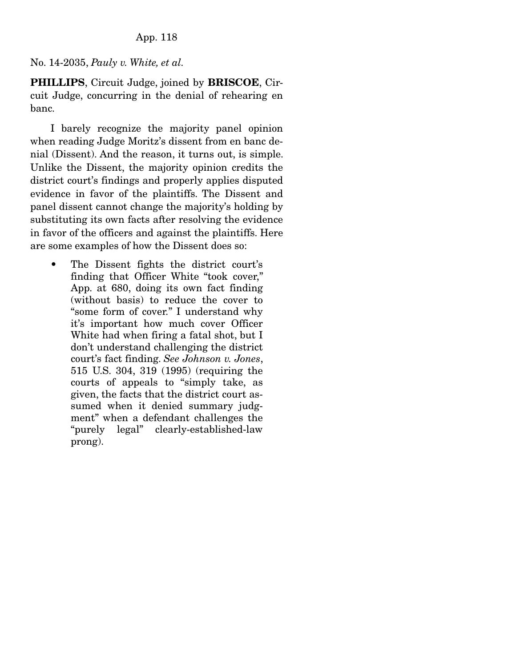# No. 14-2035, *Pauly v. White, et al.*

PHILLIPS, Circuit Judge, joined by BRISCOE, Circuit Judge, concurring in the denial of rehearing en banc.

 I barely recognize the majority panel opinion when reading Judge Moritz's dissent from en banc denial (Dissent). And the reason, it turns out, is simple. Unlike the Dissent, the majority opinion credits the district court's findings and properly applies disputed evidence in favor of the plaintiffs. The Dissent and panel dissent cannot change the majority's holding by substituting its own facts after resolving the evidence in favor of the officers and against the plaintiffs. Here are some examples of how the Dissent does so:

• The Dissent fights the district court's finding that Officer White "took cover," App. at 680, doing its own fact finding (without basis) to reduce the cover to "some form of cover." I understand why it's important how much cover Officer White had when firing a fatal shot, but I don't understand challenging the district court's fact finding. *See Johnson v. Jones*, 515 U.S. 304, 319 (1995) (requiring the courts of appeals to "simply take, as given, the facts that the district court assumed when it denied summary judgment" when a defendant challenges the "purely legal" clearly-established-law prong).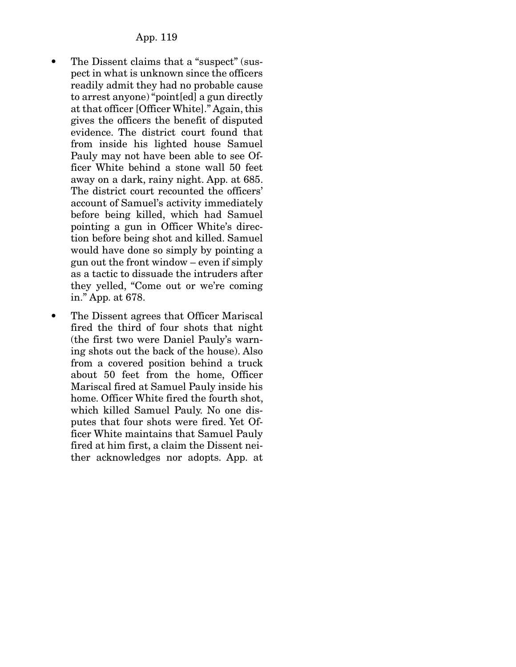- The Dissent claims that a "suspect" (suspect in what is unknown since the officers readily admit they had no probable cause to arrest anyone) "point[ed] a gun directly at that officer [Officer White]." Again, this gives the officers the benefit of disputed evidence. The district court found that from inside his lighted house Samuel Pauly may not have been able to see Officer White behind a stone wall 50 feet away on a dark, rainy night. App. at 685. The district court recounted the officers' account of Samuel's activity immediately before being killed, which had Samuel pointing a gun in Officer White's direction before being shot and killed. Samuel would have done so simply by pointing a gun out the front window – even if simply as a tactic to dissuade the intruders after they yelled, "Come out or we're coming in." App. at 678.
- The Dissent agrees that Officer Mariscal fired the third of four shots that night (the first two were Daniel Pauly's warning shots out the back of the house). Also from a covered position behind a truck about 50 feet from the home, Officer Mariscal fired at Samuel Pauly inside his home. Officer White fired the fourth shot, which killed Samuel Pauly. No one disputes that four shots were fired. Yet Officer White maintains that Samuel Pauly fired at him first, a claim the Dissent neither acknowledges nor adopts. App. at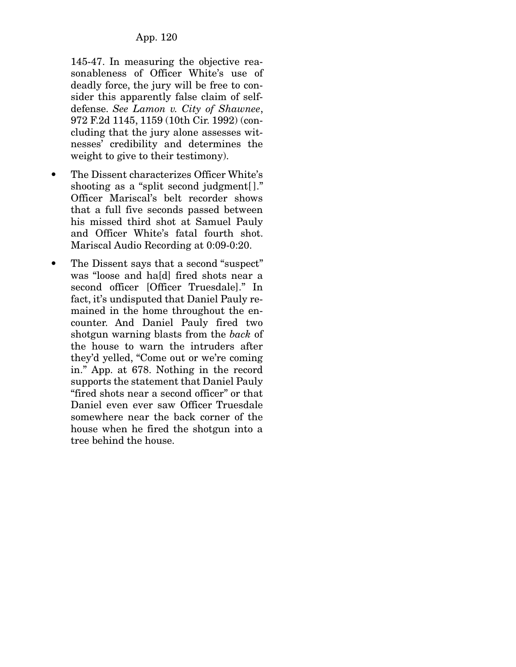145-47. In measuring the objective reasonableness of Officer White's use of deadly force, the jury will be free to consider this apparently false claim of selfdefense. *See Lamon v. City of Shawnee*, 972 F.2d 1145, 1159 (10th Cir. 1992) (concluding that the jury alone assesses witnesses' credibility and determines the weight to give to their testimony).

- The Dissent characterizes Officer White's shooting as a "split second judgment." Officer Mariscal's belt recorder shows that a full five seconds passed between his missed third shot at Samuel Pauly and Officer White's fatal fourth shot. Mariscal Audio Recording at 0:09-0:20.
- The Dissent says that a second "suspect" was "loose and ha[d] fired shots near a second officer [Officer Truesdale]." In fact, it's undisputed that Daniel Pauly remained in the home throughout the encounter. And Daniel Pauly fired two shotgun warning blasts from the *back* of the house to warn the intruders after they'd yelled, "Come out or we're coming in." App. at 678. Nothing in the record supports the statement that Daniel Pauly "fired shots near a second officer" or that Daniel even ever saw Officer Truesdale somewhere near the back corner of the house when he fired the shotgun into a tree behind the house.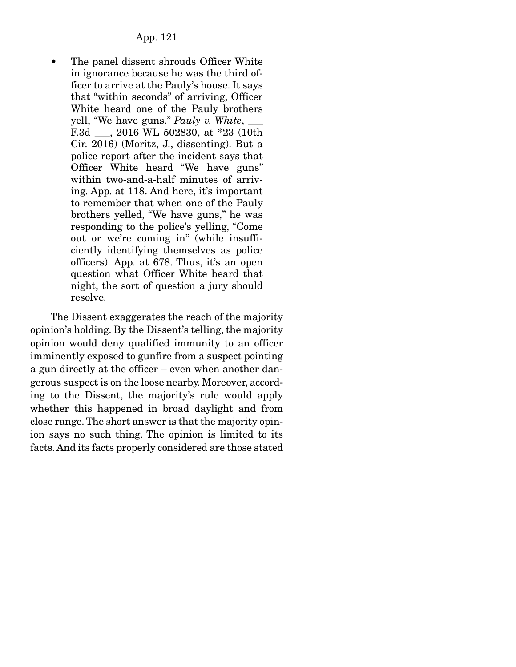The panel dissent shrouds Officer White in ignorance because he was the third officer to arrive at the Pauly's house. It says that "within seconds" of arriving, Officer White heard one of the Pauly brothers yell, "We have guns." *Pauly v. White*, \_\_\_ F.3d \_\_\_, 2016 WL 502830, at \*23 (10th Cir. 2016) (Moritz, J., dissenting). But a police report after the incident says that Officer White heard "We have guns" within two-and-a-half minutes of arriving. App. at 118. And here, it's important to remember that when one of the Pauly brothers yelled, "We have guns," he was responding to the police's yelling, "Come out or we're coming in" (while insufficiently identifying themselves as police officers). App. at 678. Thus, it's an open question what Officer White heard that night, the sort of question a jury should resolve.

 The Dissent exaggerates the reach of the majority opinion's holding. By the Dissent's telling, the majority opinion would deny qualified immunity to an officer imminently exposed to gunfire from a suspect pointing a gun directly at the officer – even when another dangerous suspect is on the loose nearby. Moreover, according to the Dissent, the majority's rule would apply whether this happened in broad daylight and from close range. The short answer is that the majority opinion says no such thing. The opinion is limited to its facts. And its facts properly considered are those stated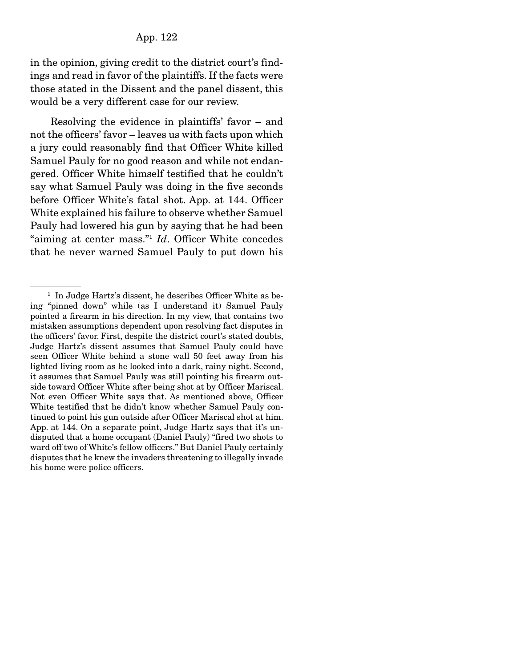in the opinion, giving credit to the district court's findings and read in favor of the plaintiffs. If the facts were those stated in the Dissent and the panel dissent, this would be a very different case for our review.

 Resolving the evidence in plaintiffs' favor – and not the officers' favor – leaves us with facts upon which a jury could reasonably find that Officer White killed Samuel Pauly for no good reason and while not endangered. Officer White himself testified that he couldn't say what Samuel Pauly was doing in the five seconds before Officer White's fatal shot. App. at 144. Officer White explained his failure to observe whether Samuel Pauly had lowered his gun by saying that he had been "aiming at center mass."1 *Id*. Officer White concedes that he never warned Samuel Pauly to put down his

<sup>&</sup>lt;sup>1</sup> In Judge Hartz's dissent, he describes Officer White as being "pinned down" while (as I understand it) Samuel Pauly pointed a firearm in his direction. In my view, that contains two mistaken assumptions dependent upon resolving fact disputes in the officers' favor. First, despite the district court's stated doubts, Judge Hartz's dissent assumes that Samuel Pauly could have seen Officer White behind a stone wall 50 feet away from his lighted living room as he looked into a dark, rainy night. Second, it assumes that Samuel Pauly was still pointing his firearm outside toward Officer White after being shot at by Officer Mariscal. Not even Officer White says that. As mentioned above, Officer White testified that he didn't know whether Samuel Pauly continued to point his gun outside after Officer Mariscal shot at him. App. at 144. On a separate point, Judge Hartz says that it's undisputed that a home occupant (Daniel Pauly) "fired two shots to ward off two of White's fellow officers." But Daniel Pauly certainly disputes that he knew the invaders threatening to illegally invade his home were police officers.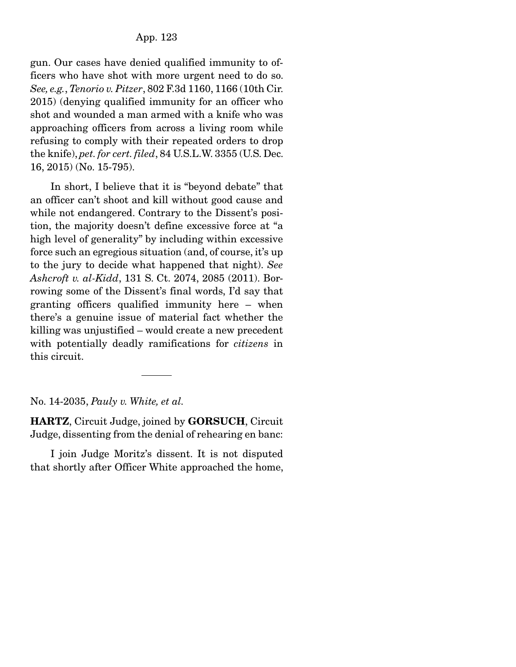gun. Our cases have denied qualified immunity to officers who have shot with more urgent need to do so. *See, e.g.*, *Tenorio v. Pitzer*, 802 F.3d 1160, 1166 (10th Cir. 2015) (denying qualified immunity for an officer who shot and wounded a man armed with a knife who was approaching officers from across a living room while refusing to comply with their repeated orders to drop the knife), *pet. for cert. filed*, 84 U.S.L.W. 3355 (U.S. Dec. 16, 2015) (No. 15-795).

 In short, I believe that it is "beyond debate" that an officer can't shoot and kill without good cause and while not endangered. Contrary to the Dissent's position, the majority doesn't define excessive force at "a high level of generality" by including within excessive force such an egregious situation (and, of course, it's up to the jury to decide what happened that night). *See Ashcroft v. al-Kidd*, 131 S. Ct. 2074, 2085 (2011). Borrowing some of the Dissent's final words, I'd say that granting officers qualified immunity here – when there's a genuine issue of material fact whether the killing was unjustified – would create a new precedent with potentially deadly ramifications for *citizens* in this circuit.

### No. 14-2035, *Pauly v. White, et al.*

HARTZ, Circuit Judge, joined by GORSUCH, Circuit Judge, dissenting from the denial of rehearing en banc:

 I join Judge Moritz's dissent. It is not disputed that shortly after Officer White approached the home,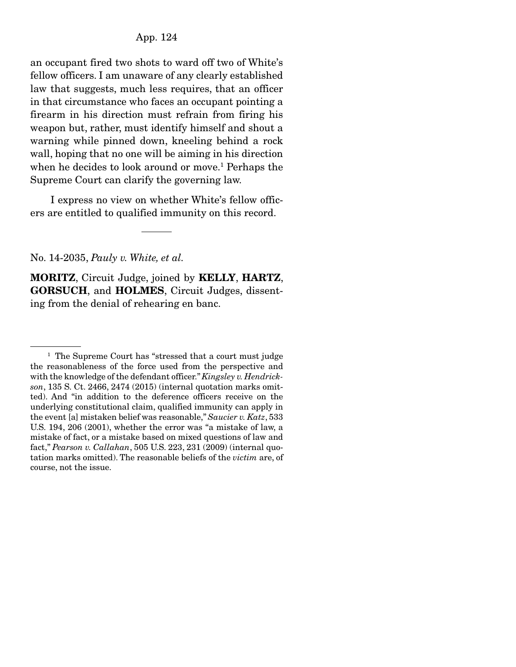an occupant fired two shots to ward off two of White's fellow officers. I am unaware of any clearly established law that suggests, much less requires, that an officer in that circumstance who faces an occupant pointing a firearm in his direction must refrain from firing his weapon but, rather, must identify himself and shout a warning while pinned down, kneeling behind a rock wall, hoping that no one will be aiming in his direction when he decides to look around or move.<sup>1</sup> Perhaps the Supreme Court can clarify the governing law.

 I express no view on whether White's fellow officers are entitled to qualified immunity on this record.

No. 14-2035, *Pauly v. White, et al.*

MORITZ, Circuit Judge, joined by KELLY, HARTZ, GORSUCH, and HOLMES, Circuit Judges, dissenting from the denial of rehearing en banc.

<sup>&</sup>lt;sup>1</sup> The Supreme Court has "stressed that a court must judge the reasonableness of the force used from the perspective and with the knowledge of the defendant officer." *Kingsley v. Hendrickson*, 135 S. Ct. 2466, 2474 (2015) (internal quotation marks omitted). And "in addition to the deference officers receive on the underlying constitutional claim, qualified immunity can apply in the event [a] mistaken belief was reasonable," *Saucier v. Katz*, 533 U.S. 194, 206 (2001), whether the error was "a mistake of law, a mistake of fact, or a mistake based on mixed questions of law and fact," *Pearson v. Callahan*, 505 U.S. 223, 231 (2009) (internal quotation marks omitted). The reasonable beliefs of the *victim* are, of course, not the issue.